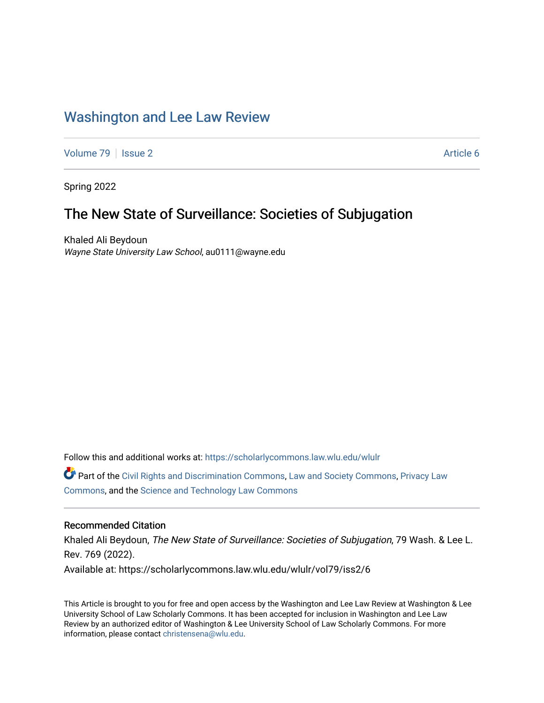# [Washington and Lee Law Review](https://scholarlycommons.law.wlu.edu/wlulr)

[Volume 79](https://scholarlycommons.law.wlu.edu/wlulr/vol79) | [Issue 2](https://scholarlycommons.law.wlu.edu/wlulr/vol79/iss2) Article 6

Spring 2022

# The New State of Surveillance: Societies of Subjugation

Khaled Ali Beydoun Wayne State University Law School, au0111@wayne.edu

Follow this and additional works at: [https://scholarlycommons.law.wlu.edu/wlulr](https://scholarlycommons.law.wlu.edu/wlulr?utm_source=scholarlycommons.law.wlu.edu%2Fwlulr%2Fvol79%2Fiss2%2F6&utm_medium=PDF&utm_campaign=PDFCoverPages) 

Part of the [Civil Rights and Discrimination Commons,](http://network.bepress.com/hgg/discipline/585?utm_source=scholarlycommons.law.wlu.edu%2Fwlulr%2Fvol79%2Fiss2%2F6&utm_medium=PDF&utm_campaign=PDFCoverPages) [Law and Society Commons](http://network.bepress.com/hgg/discipline/853?utm_source=scholarlycommons.law.wlu.edu%2Fwlulr%2Fvol79%2Fiss2%2F6&utm_medium=PDF&utm_campaign=PDFCoverPages), [Privacy Law](http://network.bepress.com/hgg/discipline/1234?utm_source=scholarlycommons.law.wlu.edu%2Fwlulr%2Fvol79%2Fiss2%2F6&utm_medium=PDF&utm_campaign=PDFCoverPages)  [Commons](http://network.bepress.com/hgg/discipline/1234?utm_source=scholarlycommons.law.wlu.edu%2Fwlulr%2Fvol79%2Fiss2%2F6&utm_medium=PDF&utm_campaign=PDFCoverPages), and the [Science and Technology Law Commons](http://network.bepress.com/hgg/discipline/875?utm_source=scholarlycommons.law.wlu.edu%2Fwlulr%2Fvol79%2Fiss2%2F6&utm_medium=PDF&utm_campaign=PDFCoverPages)

# Recommended Citation

Khaled Ali Beydoun, The New State of Surveillance: Societies of Subjugation, 79 Wash. & Lee L. Rev. 769 (2022). Available at: https://scholarlycommons.law.wlu.edu/wlulr/vol79/iss2/6

This Article is brought to you for free and open access by the Washington and Lee Law Review at Washington & Lee University School of Law Scholarly Commons. It has been accepted for inclusion in Washington and Lee Law Review by an authorized editor of Washington & Lee University School of Law Scholarly Commons. For more information, please contact [christensena@wlu.edu](mailto:christensena@wlu.edu).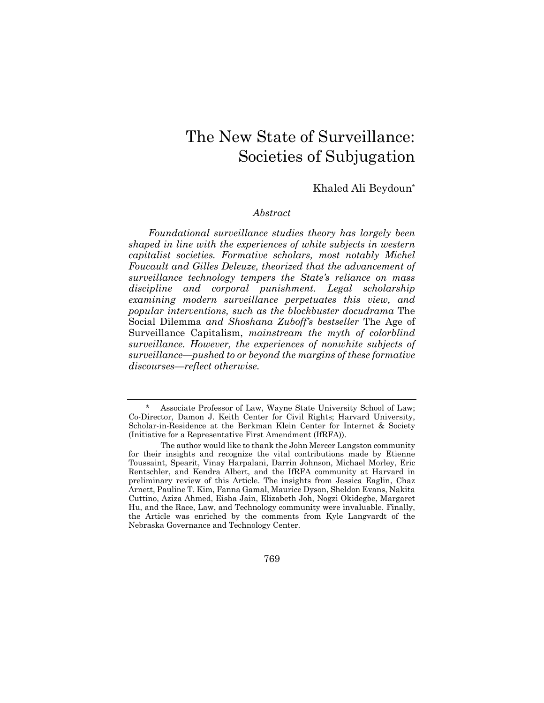# The New State of Surveillance: Societies of Subjugation

# Khaled Ali Beydoun\*

#### *Abstract*

*Foundational surveillance studies theory has largely been shaped in line with the experiences of white subjects in western capitalist societies. Formative scholars, most notably Michel Foucault and Gilles Deleuze, theorized that the advancement of surveillance technology tempers the State's reliance on mass discipline and corporal punishment. Legal scholarship examining modern surveillance perpetuates this view, and popular interventions, such as the blockbuster docudrama* The Social Dilemma *and Shoshana Zuboff's bestseller* The Age of Surveillance Capitalism, *mainstream the myth of colorblind surveillance. However, the experiences of nonwhite subjects of surveillance—pushed to or beyond the margins of these formative discourses—reflect otherwise.* 

769

Associate Professor of Law, Wayne State University School of Law; Co-Director, Damon J. Keith Center for Civil Rights; Harvard University, Scholar-in-Residence at the Berkman Klein Center for Internet & Society (Initiative for a Representative First Amendment (IfRFA)).

The author would like to thank the John Mercer Langston community for their insights and recognize the vital contributions made by Etienne Toussaint, Spearit, Vinay Harpalani, Darrin Johnson, Michael Morley, Eric Rentschler, and Kendra Albert, and the IfRFA community at Harvard in preliminary review of this Article. The insights from Jessica Eaglin, Chaz Arnett, Pauline T. Kim, Fanna Gamal, Maurice Dyson, Sheldon Evans, Nakita Cuttino, Aziza Ahmed, Eisha Jain, Elizabeth Joh, Nogzi Okidegbe, Margaret Hu, and the Race, Law, and Technology community were invaluable. Finally, the Article was enriched by the comments from Kyle Langvardt of the Nebraska Governance and Technology Center.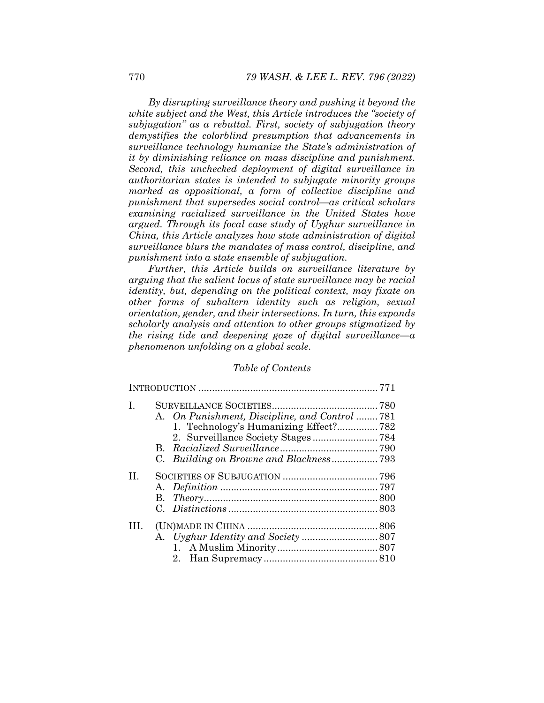*By disrupting surveillance theory and pushing it beyond the white subject and the West, this Article introduces the "society of subjugation" as a rebuttal. First, society of subjugation theory demystifies the colorblind presumption that advancements in surveillance technology humanize the State's administration of it by diminishing reliance on mass discipline and punishment. Second, this unchecked deployment of digital surveillance in authoritarian states is intended to subjugate minority groups marked as oppositional, a form of collective discipline and punishment that supersedes social control—as critical scholars examining racialized surveillance in the United States have argued. Through its focal case study of Uyghur surveillance in China, this Article analyzes how state administration of digital surveillance blurs the mandates of mass control, discipline, and punishment into a state ensemble of subjugation.* 

*Further, this Article builds on surveillance literature by arguing that the salient locus of state surveillance may be racial identity, but, depending on the political context, may fixate on other forms of subaltern identity such as religion, sexual orientation, gender, and their intersections. In turn, this expands scholarly analysis and attention to other groups stigmatized by the rising tide and deepening gaze of digital surveillance—a phenomenon unfolding on a global scale.* 

## *Table of Contents*

| T.      | A. On Punishment, Discipline, and Control 781<br>1. Technology's Humanizing Effect?782<br>2. Surveillance Society Stages784 |  |  |
|---------|-----------------------------------------------------------------------------------------------------------------------------|--|--|
| $\Pi$ . |                                                                                                                             |  |  |
| HL.     |                                                                                                                             |  |  |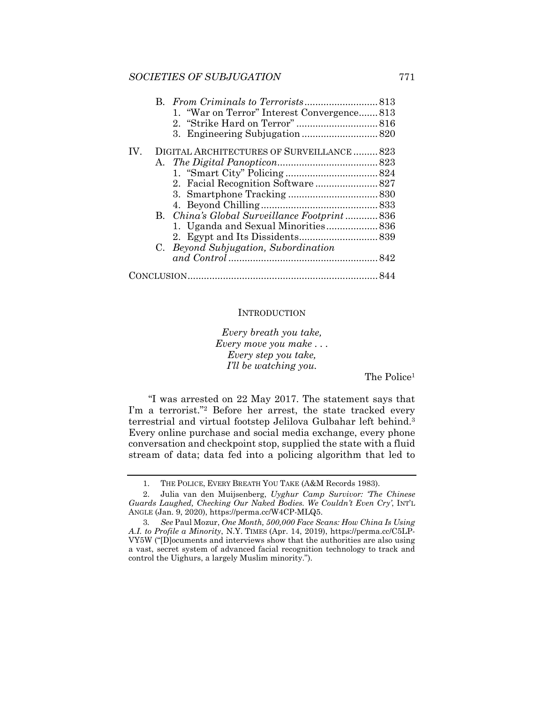## *SOCIETIES OF SUBJUGATION* 771

|     | 1. "War on Terror" Interest Convergence813   |  |
|-----|----------------------------------------------|--|
|     |                                              |  |
|     |                                              |  |
| IV. | DIGITAL ARCHITECTURES OF SURVEILLANCE  823   |  |
|     |                                              |  |
|     |                                              |  |
|     |                                              |  |
|     |                                              |  |
|     |                                              |  |
|     | B. China's Global Surveillance Footprint 836 |  |
|     | 1. Uganda and Sexual Minorities 836          |  |
|     |                                              |  |
|     | C. Beyond Subjugation, Subordination         |  |
|     |                                              |  |
|     |                                              |  |

## **INTRODUCTION**

*Every breath you take, Every move you make . . . Every step you take, I'll be watching you.* 

The Police<sup>1</sup>

"I was arrested on 22 May 2017. The statement says that I'm a terrorist."2 Before her arrest, the state tracked every terrestrial and virtual footstep Jelilova Gulbahar left behind.3 Every online purchase and social media exchange, every phone conversation and checkpoint stop, supplied the state with a fluid stream of data; data fed into a policing algorithm that led to

 <sup>1.</sup> THE POLICE, EVERY BREATH YOU TAKE (A&M Records 1983).

 <sup>2.</sup> Julia van den Muijsenberg, *Uyghur Camp Survivor: 'The Chinese Guards Laughed, Checking Our Naked Bodies. We Couldn't Even Cry'*, INT'L ANGLE (Jan. 9, 2020), https://perma.cc/W4CP-MLQ5.

<sup>3</sup>*. See* Paul Mozur, *One Month, 500,000 Face Scans: How China Is Using A.I. to Profile a Minority*, N.Y. TIMES (Apr. 14, 2019), https://perma.cc/C5LP-VY5W ("[D]ocuments and interviews show that the authorities are also using a vast, secret system of advanced facial recognition technology to track and control the Uighurs, a largely Muslim minority.").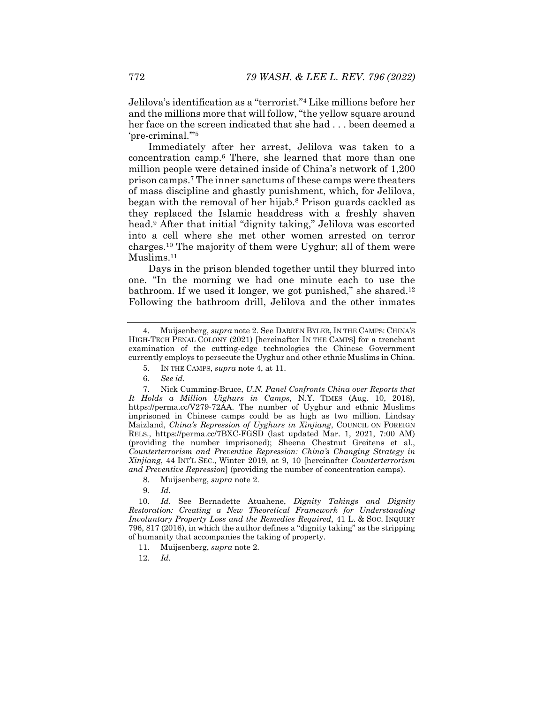Jelilova's identification as a "terrorist."4 Like millions before her and the millions more that will follow, "the yellow square around her face on the screen indicated that she had . . . been deemed a 'pre-criminal.'"5

Immediately after her arrest, Jelilova was taken to a concentration camp.6 There, she learned that more than one million people were detained inside of China's network of 1,200 prison camps.7 The inner sanctums of these camps were theaters of mass discipline and ghastly punishment, which, for Jelilova, began with the removal of her hijab.8 Prison guards cackled as they replaced the Islamic headdress with a freshly shaven head.9 After that initial "dignity taking," Jelilova was escorted into a cell where she met other women arrested on terror charges.10 The majority of them were Uyghur; all of them were Muslims.<sup>11</sup>

Days in the prison blended together until they blurred into one. "In the morning we had one minute each to use the bathroom. If we used it longer, we got punished," she shared.<sup>12</sup> Following the bathroom drill, Jelilova and the other inmates

- 5. IN THE CAMPS, *supra* note 4, at 11.
- 6*. See id.*

 7. Nick Cumming-Bruce, *U.N. Panel Confronts China over Reports that It Holds a Million Uighurs in Camps*, N.Y. TIMES (Aug. 10, 2018), https://perma.cc/V279-72AA. The number of Uyghur and ethnic Muslims imprisoned in Chinese camps could be as high as two million. Lindsay Maizland, *China's Repression of Uyghurs in Xinjiang*, COUNCIL ON FOREIGN RELS., https://perma.cc/7BXC-FGSD (last updated Mar. 1, 2021, 7:00 AM) (providing the number imprisoned); Sheena Chestnut Greitens et al., *Counterterrorism and Preventive Repression: China's Changing Strategy in Xinjiang*, 44 INT'L SEC., Winter 2019, at 9, 10 [hereinafter *Counterterrorism and Preventive Repression*] (providing the number of concentration camps).

- 8. Muijsenberg, *supra* note 2.
- 9*. Id.*

10*. Id*. See Bernadette Atuahene, *Dignity Takings and Dignity Restoration: Creating a New Theoretical Framework for Understanding Involuntary Property Loss and the Remedies Required*, 41 L. & SOC. INQUIRY 796, 817 (2016), in which the author defines a "dignity taking" as the stripping of humanity that accompanies the taking of property.

- 11. Muijsenberg, *supra* note 2.
- 12*. Id.*

 <sup>4.</sup> Muijsenberg, *supra* note 2. See DARREN BYLER, IN THE CAMPS: CHINA'S HIGH-TECH PENAL COLONY (2021) [hereinafter IN THE CAMPS] for a trenchant examination of the cutting-edge technologies the Chinese Government currently employs to persecute the Uyghur and other ethnic Muslims in China.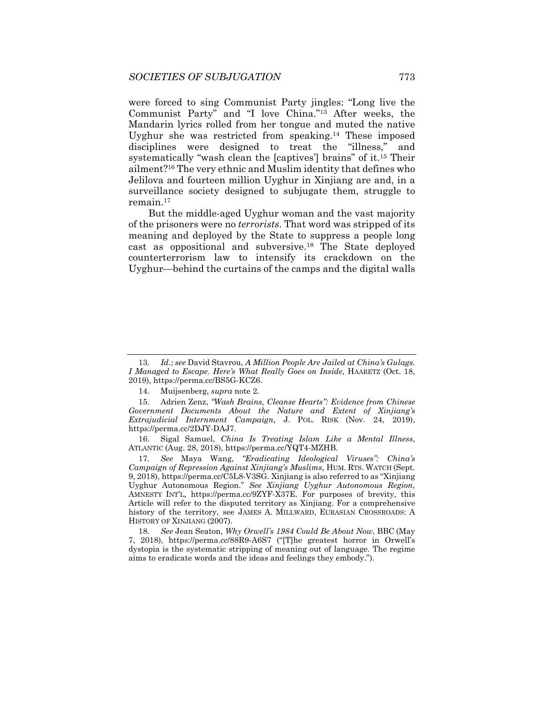were forced to sing Communist Party jingles: "Long live the Communist Party" and "I love China."13 After weeks, the Mandarin lyrics rolled from her tongue and muted the native Uyghur she was restricted from speaking.14 These imposed disciplines were designed to treat the "illness," and systematically "wash clean the [captives'] brains" of it.15 Their ailment?16 The very ethnic and Muslim identity that defines who Jelilova and fourteen million Uyghur in Xinjiang are and, in a surveillance society designed to subjugate them, struggle to remain.17

But the middle-aged Uyghur woman and the vast majority of the prisoners were no *terrorists*. That word was stripped of its meaning and deployed by the State to suppress a people long cast as oppositional and subversive.18 The State deployed counterterrorism law to intensify its crackdown on the Uyghur—behind the curtains of the camps and the digital walls

 16. Sigal Samuel, *China Is Treating Islam Like a Mental Illness*, ATLANTIC (Aug. 28, 2018), https://perma.cc/YQT4-MZHB.

17*. See* Maya Wang, *"Eradicating Ideological Viruses": China's Campaign of Repression Against Xinjiang's Muslims*, HUM. RTS. WATCH (Sept. 9, 2018), https://perma.cc/C5L8-V3SG. Xinjiang is also referred to as "Xinjiang Uyghur Autonomous Region." *See Xinjiang Uyghur Autonomous Region*, AMNESTY INT'L, https://perma.cc/9ZYF-X37E. For purposes of brevity, this Article will refer to the disputed territory as Xinjiang. For a comprehensive history of the territory, see JAMES A. MILLWARD, EURASIAN CROSSROADS: A HISTORY OF XINJIANG (2007).

18*. See* Jean Seaton, *Why Orwell's 1984 Could Be About Now*, BBC (May 7, 2018), https://perma.cc/88R9-A6S7 ("[T]he greatest horror in Orwell's dystopia is the systematic stripping of meaning out of language. The regime aims to eradicate words and the ideas and feelings they embody.").

<sup>13</sup>*. Id.*; *see* David Stavrou, *A Million People Are Jailed at China's Gulags. I Managed to Escape. Here's What Really Goes on Inside*, HAARETZ (Oct. 18, 2019), https://perma.cc/BS5G-KCZ6.

 <sup>14.</sup> Muijsenberg, *supra* note 2.

 <sup>15.</sup> Adrien Zenz, *"Wash Brains, Cleanse Hearts": Evidence from Chinese Government Documents About the Nature and Extent of Xinjiang's Extrajudicial Internment Campaign*, J. POL. RISK (Nov. 24, 2019), https://perma.cc/2DJY-DAJ7.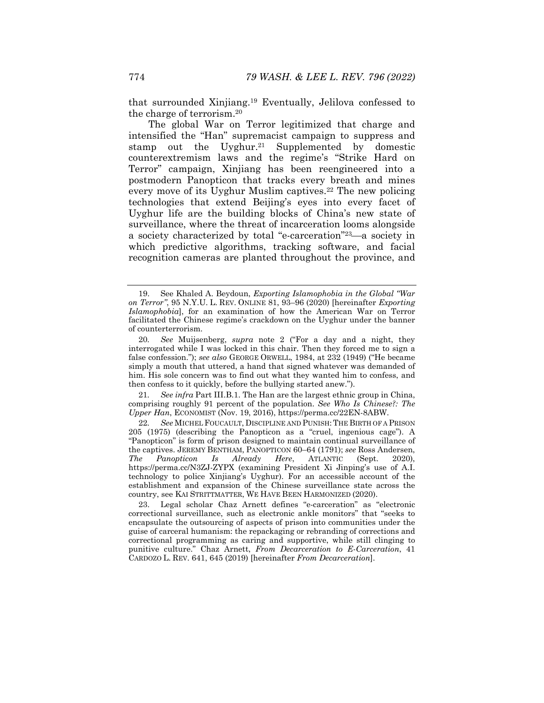that surrounded Xinjiang.19 Eventually, Jelilova confessed to the charge of terrorism.20

The global War on Terror legitimized that charge and intensified the "Han" supremacist campaign to suppress and stamp out the Uyghur.<sup>21</sup> Supplemented by domestic counterextremism laws and the regime's "Strike Hard on Terror" campaign, Xinjiang has been reengineered into a postmodern Panopticon that tracks every breath and mines every move of its Uyghur Muslim captives.<sup>22</sup> The new policing technologies that extend Beijing's eyes into every facet of Uyghur life are the building blocks of China's new state of surveillance, where the threat of incarceration looms alongside a society characterized by total "e-carceration"<sup>23</sup>—a society in which predictive algorithms, tracking software, and facial recognition cameras are planted throughout the province, and

21*. See infra* Part III.B.1. The Han are the largest ethnic group in China, comprising roughly 91 percent of the population. *See Who Is Chinese?: The Upper Han*, ECONOMIST (Nov. 19, 2016), https://perma.cc/22EN-8ABW.

22*. See* MICHEL FOUCAULT, DISCIPLINE AND PUNISH:THE BIRTH OF A PRISON 205 (1975) (describing the Panopticon as a "cruel, ingenious cage"). A "Panopticon" is form of prison designed to maintain continual surveillance of the captives. JEREMY BENTHAM, PANOPTICON 60–64 (1791); *see* Ross Andersen, *The Panopticon Is Already Here*, ATLANTIC (Sept. 2020), https://perma.cc/N3ZJ-ZYPX (examining President Xi Jinping's use of A.I. technology to police Xinjiang's Uyghur). For an accessible account of the establishment and expansion of the Chinese surveillance state across the country, see KAI STRITTMATTER, WE HAVE BEEN HARMONIZED (2020).

 23. Legal scholar Chaz Arnett defines "e-carceration" as "electronic correctional surveillance, such as electronic ankle monitors" that "seeks to encapsulate the outsourcing of aspects of prison into communities under the guise of carceral humanism: the repackaging or rebranding of corrections and correctional programming as caring and supportive, while still clinging to punitive culture." Chaz Arnett, *From Decarceration to E-Carceration*, 41 CARDOZO L. REV. 641, 645 (2019) [hereinafter *From Decarceration*].

 <sup>19.</sup> See Khaled A. Beydoun, *Exporting Islamophobia in the Global "War on Terror"*, 95 N.Y.U. L. REV. ONLINE 81, 93–96 (2020) [hereinafter *Exporting Islamophobia*], for an examination of how the American War on Terror facilitated the Chinese regime's crackdown on the Uyghur under the banner of counterterrorism.

<sup>20</sup>*. See* Muijsenberg, *supra* note 2 ("For a day and a night, they interrogated while I was locked in this chair. Then they forced me to sign a false confession."); *see also* GEORGE ORWELL, 1984, at 232 (1949) ("He became simply a mouth that uttered, a hand that signed whatever was demanded of him. His sole concern was to find out what they wanted him to confess, and then confess to it quickly, before the bullying started anew.").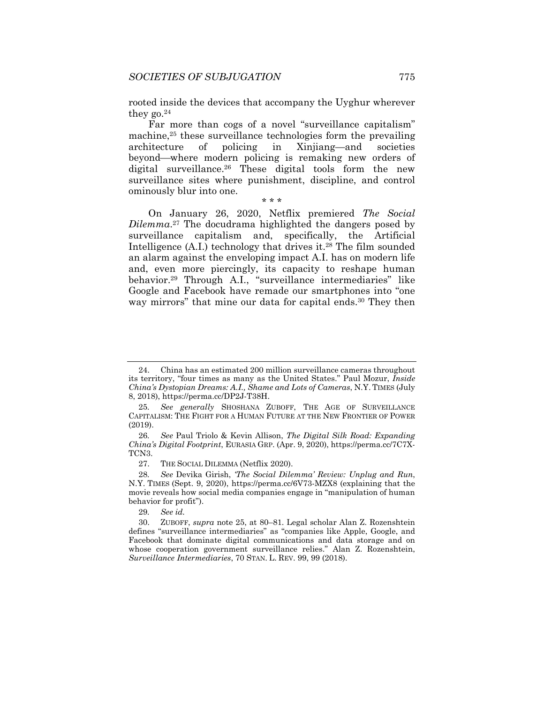rooted inside the devices that accompany the Uyghur wherever they  $g_0$ .<sup>24</sup>

Far more than cogs of a novel "surveillance capitalism" machine,25 these surveillance technologies form the prevailing architecture of policing in Xinjiang—and societies beyond—where modern policing is remaking new orders of digital surveillance.26 These digital tools form the new surveillance sites where punishment, discipline, and control ominously blur into one.

#### \* \* \*

On January 26, 2020, Netflix premiered *The Social Dilemma*.27 The docudrama highlighted the dangers posed by surveillance capitalism and, specifically, the Artificial Intelligence  $(A,I)$  technology that drives it.<sup>28</sup> The film sounded an alarm against the enveloping impact A.I. has on modern life and, even more piercingly, its capacity to reshape human behavior.29 Through A.I., "surveillance intermediaries" like Google and Facebook have remade our smartphones into "one way mirrors" that mine our data for capital ends.<sup>30</sup> They then

29*. See id.*

 <sup>24.</sup> China has an estimated 200 million surveillance cameras throughout its territory, "four times as many as the United States." Paul Mozur, *Inside China's Dystopian Dreams: A.I., Shame and Lots of Cameras*, N.Y. TIMES (July 8, 2018), https://perma.cc/DP2J-T38H.

<sup>25</sup>*. See generally* SHOSHANA ZUBOFF, THE AGE OF SURVEILLANCE CAPITALISM: THE FIGHT FOR A HUMAN FUTURE AT THE NEW FRONTIER OF POWER (2019).

<sup>26</sup>*. See* Paul Triolo & Kevin Allison, *The Digital Silk Road: Expanding China's Digital Footprint*, EURASIA GRP. (Apr. 9, 2020), https://perma.cc/7C7X-TCN3.

 <sup>27.</sup> THE SOCIAL DILEMMA (Netflix 2020).

<sup>28</sup>*. See* Devika Girish, *'The Social Dilemma' Review: Unplug and Run*, N.Y. TIMES (Sept. 9, 2020), https://perma.cc/6V73-MZX8 (explaining that the movie reveals how social media companies engage in "manipulation of human behavior for profit").

 <sup>30.</sup> ZUBOFF, *supra* note 25, at 80–81. Legal scholar Alan Z. Rozenshtein defines "surveillance intermediaries" as "companies like Apple, Google, and Facebook that dominate digital communications and data storage and on whose cooperation government surveillance relies." Alan Z. Rozenshtein, *Surveillance Intermediaries*, 70 STAN. L. REV. 99, 99 (2018).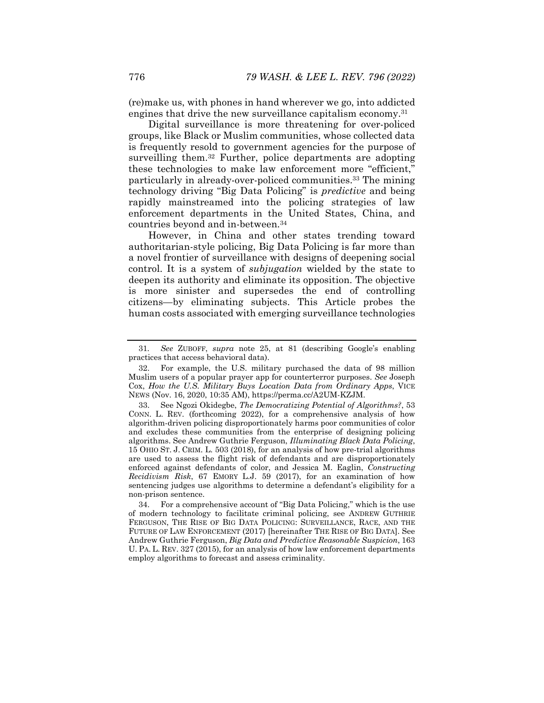(re)make us, with phones in hand wherever we go, into addicted engines that drive the new surveillance capitalism economy.<sup>31</sup>

Digital surveillance is more threatening for over-policed groups, like Black or Muslim communities, whose collected data is frequently resold to government agencies for the purpose of surveilling them.32 Further, police departments are adopting these technologies to make law enforcement more "efficient," particularly in already-over-policed communities.<sup>33</sup> The mining technology driving "Big Data Policing" is *predictive* and being rapidly mainstreamed into the policing strategies of law enforcement departments in the United States, China, and countries beyond and in-between.34

However, in China and other states trending toward authoritarian-style policing, Big Data Policing is far more than a novel frontier of surveillance with designs of deepening social control. It is a system of *subjugation* wielded by the state to deepen its authority and eliminate its opposition. The objective is more sinister and supersedes the end of controlling citizens—by eliminating subjects. This Article probes the human costs associated with emerging surveillance technologies

<sup>31</sup>*. See* ZUBOFF, *supra* note 25, at 81 (describing Google's enabling practices that access behavioral data).

 <sup>32.</sup> For example, the U.S. military purchased the data of 98 million Muslim users of a popular prayer app for counterterror purposes. *See* Joseph Cox, *How the U.S. Military Buys Location Data from Ordinary Apps*, VICE NEWS (Nov. 16, 2020, 10:35 AM), https://perma.cc/A2UM-KZJM.

 <sup>33.</sup> See Ngozi Okidegbe, *The Democratizing Potential of Algorithms?*, 53 CONN. L. REV. (forthcoming 2022), for a comprehensive analysis of how algorithm-driven policing disproportionately harms poor communities of color and excludes these communities from the enterprise of designing policing algorithms. See Andrew Guthrie Ferguson, *Illuminating Black Data Policing*, 15 OHIO ST. J. CRIM. L. 503 (2018), for an analysis of how pre-trial algorithms are used to assess the flight risk of defendants and are disproportionately enforced against defendants of color, and Jessica M. Eaglin, *Constructing Recidivism Risk*, 67 EMORY L.J. 59 (2017), for an examination of how sentencing judges use algorithms to determine a defendant's eligibility for a non-prison sentence.

 <sup>34.</sup> For a comprehensive account of "Big Data Policing," which is the use of modern technology to facilitate criminal policing, see ANDREW GUTHRIE FERGUSON, THE RISE OF BIG DATA POLICING: SURVEILLANCE, RACE, AND THE FUTURE OF LAW ENFORCEMENT (2017) [hereinafter THE RISE OF BIG DATA]. See Andrew Guthrie Ferguson, *Big Data and Predictive Reasonable Suspicion*, 163 U. PA. L. REV. 327 (2015), for an analysis of how law enforcement departments employ algorithms to forecast and assess criminality.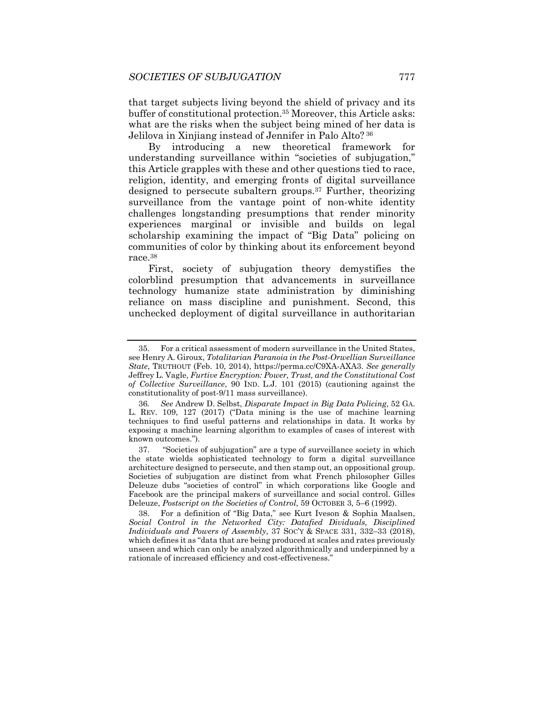that target subjects living beyond the shield of privacy and its buffer of constitutional protection.35 Moreover, this Article asks: what are the risks when the subject being mined of her data is Jelilova in Xinjiang instead of Jennifer in Palo Alto? 36

By introducing a new theoretical framework for understanding surveillance within "societies of subjugation," this Article grapples with these and other questions tied to race, religion, identity, and emerging fronts of digital surveillance designed to persecute subaltern groups.37 Further, theorizing surveillance from the vantage point of non-white identity challenges longstanding presumptions that render minority experiences marginal or invisible and builds on legal scholarship examining the impact of "Big Data" policing on communities of color by thinking about its enforcement beyond race.38

First, society of subjugation theory demystifies the colorblind presumption that advancements in surveillance technology humanize state administration by diminishing reliance on mass discipline and punishment. Second, this unchecked deployment of digital surveillance in authoritarian

 <sup>35.</sup> For a critical assessment of modern surveillance in the United States, see Henry A. Giroux, *Totalitarian Paranoia in the Post-Orwellian Surveillance State*, TRUTHOUT (Feb. 10, 2014), https://perma.cc/C9XA-AXA3. *See generally* Jeffrey L. Vagle, *Furtive Encryption: Power, Trust, and the Constitutional Cost of Collective Surveillance*, 90 IND. L.J. 101 (2015) (cautioning against the constitutionality of post-9/11 mass surveillance).

<sup>36</sup>*. See* Andrew D. Selbst, *Disparate Impact in Big Data Policing*, 52 GA. L. REV. 109, 127 (2017) ("Data mining is the use of machine learning techniques to find useful patterns and relationships in data. It works by exposing a machine learning algorithm to examples of cases of interest with known outcomes.").

 <sup>37. &</sup>quot;Societies of subjugation" are a type of surveillance society in which the state wields sophisticated technology to form a digital surveillance architecture designed to persecute, and then stamp out, an oppositional group. Societies of subjugation are distinct from what French philosopher Gilles Deleuze dubs "societies of control" in which corporations like Google and Facebook are the principal makers of surveillance and social control. Gilles Deleuze, *Postscript on the Societies of Control*, 59 OCTOBER 3, 5–6 (1992).

 <sup>38.</sup> For a definition of "Big Data," see Kurt Iveson & Sophia Maalsen, *Social Control in the Networked City: Datafied Dividuals, Disciplined Individuals and Powers of Assembly*, 37 SOC'Y & SPACE 331, 332–33 (2018), which defines it as "data that are being produced at scales and rates previously unseen and which can only be analyzed algorithmically and underpinned by a rationale of increased efficiency and cost-effectiveness."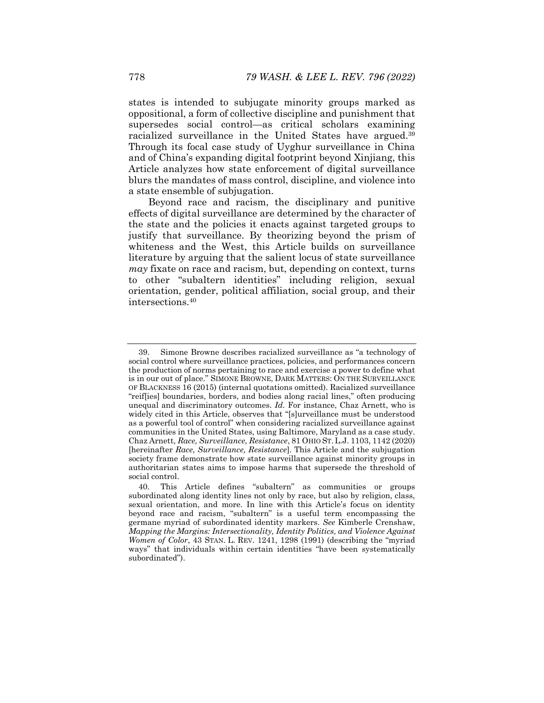states is intended to subjugate minority groups marked as oppositional, a form of collective discipline and punishment that supersedes social control—as critical scholars examining racialized surveillance in the United States have argued.<sup>39</sup> Through its focal case study of Uyghur surveillance in China and of China's expanding digital footprint beyond Xinjiang, this Article analyzes how state enforcement of digital surveillance blurs the mandates of mass control, discipline, and violence into a state ensemble of subjugation.

Beyond race and racism, the disciplinary and punitive effects of digital surveillance are determined by the character of the state and the policies it enacts against targeted groups to justify that surveillance. By theorizing beyond the prism of whiteness and the West, this Article builds on surveillance literature by arguing that the salient locus of state surveillance *may* fixate on race and racism, but, depending on context, turns to other "subaltern identities" including religion, sexual orientation, gender, political affiliation, social group, and their intersections.40

 <sup>39.</sup> Simone Browne describes racialized surveillance as "a technology of social control where surveillance practices, policies, and performances concern the production of norms pertaining to race and exercise a power to define what is in our out of place." SIMONE BROWNE, DARK MATTERS: ON THE SURVEILLANCE OF BLACKNESS 16 (2015) (internal quotations omitted). Racialized surveillance "reif[ies] boundaries, borders, and bodies along racial lines," often producing unequal and discriminatory outcomes. *Id.* For instance, Chaz Arnett, who is widely cited in this Article, observes that "[s]urveillance must be understood as a powerful tool of control" when considering racialized surveillance against communities in the United States, using Baltimore, Maryland as a case study. Chaz Arnett, *Race, Surveillance, Resistance*, 81 OHIO ST.L.J. 1103, 1142 (2020) [hereinafter *Race, Surveillance, Resistance*]. This Article and the subjugation society frame demonstrate how state surveillance against minority groups in authoritarian states aims to impose harms that supersede the threshold of social control.

 <sup>40.</sup> This Article defines "subaltern" as communities or groups subordinated along identity lines not only by race, but also by religion, class, sexual orientation, and more. In line with this Article's focus on identity beyond race and racism, "subaltern" is a useful term encompassing the germane myriad of subordinated identity markers. *See* Kimberlé Crenshaw, *Mapping the Margins: Intersectionality, Identity Politics, and Violence Against Women of Color*, 43 STAN. L. REV. 1241, 1298 (1991) (describing the "myriad ways" that individuals within certain identities "have been systematically subordinated").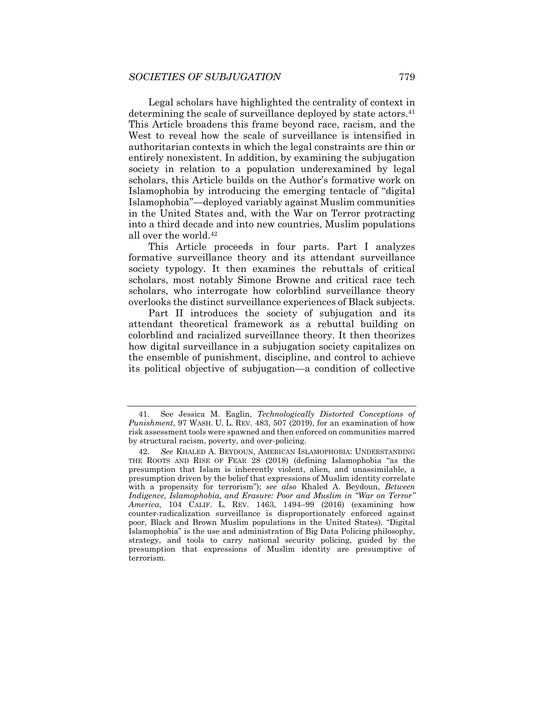Legal scholars have highlighted the centrality of context in determining the scale of surveillance deployed by state actors.<sup>41</sup> This Article broadens this frame beyond race, racism, and the West to reveal how the scale of surveillance is intensified in authoritarian contexts in which the legal constraints are thin or entirely nonexistent. In addition, by examining the subjugation society in relation to a population underexamined by legal scholars, this Article builds on the Author's formative work on Islamophobia by introducing the emerging tentacle of "digital Islamophobia"—deployed variably against Muslim communities in the United States and, with the War on Terror protracting into a third decade and into new countries, Muslim populations all over the world.42

This Article proceeds in four parts. Part I analyzes formative surveillance theory and its attendant surveillance society typology. It then examines the rebuttals of critical scholars, most notably Simone Browne and critical race tech scholars, who interrogate how colorblind surveillance theory overlooks the distinct surveillance experiences of Black subjects.

Part II introduces the society of subjugation and its attendant theoretical framework as a rebuttal building on colorblind and racialized surveillance theory. It then theorizes how digital surveillance in a subjugation society capitalizes on the ensemble of punishment, discipline, and control to achieve its political objective of subjugation—a condition of collective

 <sup>41.</sup> See Jessica M. Eaglin, *Technologically Distorted Conceptions of Punishment*, 97 WASH. U. L. REV. 483, 507 (2019), for an examination of how risk assessment tools were spawned and then enforced on communities marred by structural racism, poverty, and over-policing.

<sup>42</sup>*. See* KHALED A. BEYDOUN, AMERICAN ISLAMOPHOBIA: UNDERSTANDING THE ROOTS AND RISE OF FEAR 28 (2018) (defining Islamophobia "as the presumption that Islam is inherently violent, alien, and unassimilable, a presumption driven by the belief that expressions of Muslim identity correlate with a propensity for terrorism"); *see also* Khaled A. Beydoun, *Between Indigence, Islamophobia, and Erasure: Poor and Muslim in "War on Terror" America*, 104 CALIF. L. REV. 1463, 1494–99 (2016) (examining how counter-radicalization surveillance is disproportionately enforced against poor, Black and Brown Muslim populations in the United States). "Digital Islamophobia" is the use and administration of Big Data Policing philosophy, strategy, and tools to carry national security policing, guided by the presumption that expressions of Muslim identity are presumptive of terrorism.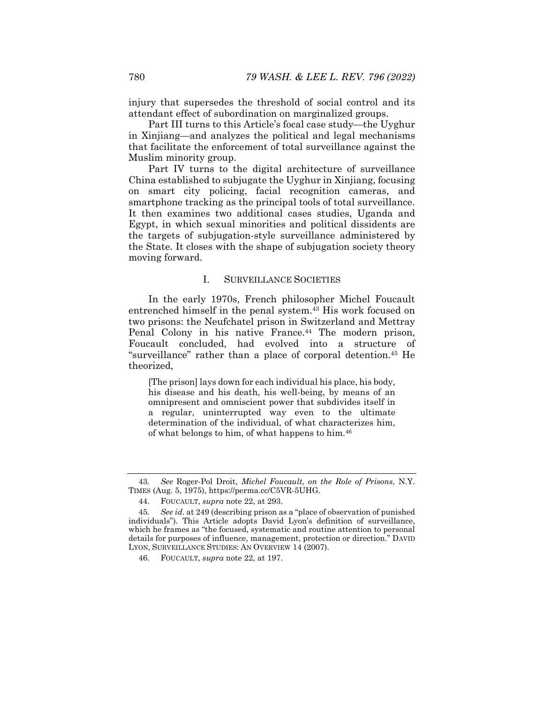injury that supersedes the threshold of social control and its attendant effect of subordination on marginalized groups.

Part III turns to this Article's focal case study—the Uyghur in Xinjiang—and analyzes the political and legal mechanisms that facilitate the enforcement of total surveillance against the Muslim minority group.

Part IV turns to the digital architecture of surveillance China established to subjugate the Uyghur in Xinjiang, focusing on smart city policing, facial recognition cameras, and smartphone tracking as the principal tools of total surveillance. It then examines two additional cases studies, Uganda and Egypt, in which sexual minorities and political dissidents are the targets of subjugation-style surveillance administered by the State. It closes with the shape of subjugation society theory moving forward.

## I. SURVEILLANCE SOCIETIES

In the early 1970s, French philosopher Michel Foucault entrenched himself in the penal system.43 His work focused on two prisons: the Neufchatel prison in Switzerland and Mettray Penal Colony in his native France.<sup>44</sup> The modern prison, Foucault concluded, had evolved into a structure of "surveillance" rather than a place of corporal detention.45 He theorized,

[The prison] lays down for each individual his place, his body, his disease and his death, his well-being, by means of an omnipresent and omniscient power that subdivides itself in a regular, uninterrupted way even to the ultimate determination of the individual, of what characterizes him, of what belongs to him, of what happens to him.46

<sup>43</sup>*. See* Roger-Pol Droit, *Michel Foucault, on the Role of Prisons*, N.Y. TIMES (Aug. 5, 1975), https://perma.cc/C5VR-5UHG.

 <sup>44.</sup> FOUCAULT, *supra* note 22, at 293.

<sup>45</sup>*. See id.* at 249 (describing prison as a "place of observation of punished individuals"). This Article adopts David Lyon's definition of surveillance, which he frames as "the focused, systematic and routine attention to personal details for purposes of influence, management, protection or direction." DAVID LYON, SURVEILLANCE STUDIES: AN OVERVIEW 14 (2007).

 <sup>46.</sup> FOUCAULT, *supra* note 22, at 197.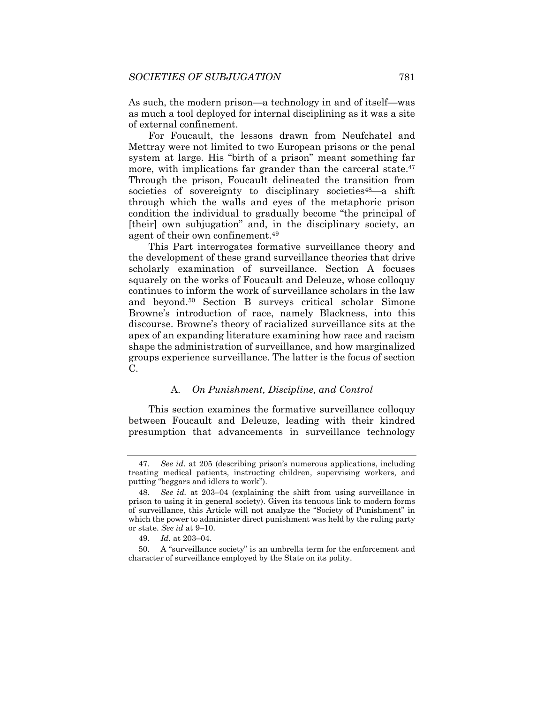As such, the modern prison—a technology in and of itself—was as much a tool deployed for internal disciplining as it was a site of external confinement.

For Foucault, the lessons drawn from Neufchatel and Mettray were not limited to two European prisons or the penal system at large. His "birth of a prison" meant something far more, with implications far grander than the carceral state.<sup>47</sup> Through the prison, Foucault delineated the transition from societies of sovereignty to disciplinary societies<sup>48</sup>—a shift through which the walls and eyes of the metaphoric prison condition the individual to gradually become "the principal of [their] own subjugation" and, in the disciplinary society, an agent of their own confinement.49

This Part interrogates formative surveillance theory and the development of these grand surveillance theories that drive scholarly examination of surveillance. Section A focuses squarely on the works of Foucault and Deleuze, whose colloquy continues to inform the work of surveillance scholars in the law and beyond.50 Section B surveys critical scholar Simone Browne's introduction of race, namely Blackness, into this discourse. Browne's theory of racialized surveillance sits at the apex of an expanding literature examining how race and racism shape the administration of surveillance, and how marginalized groups experience surveillance. The latter is the focus of section C.

#### A. *On Punishment, Discipline, and Control*

This section examines the formative surveillance colloquy between Foucault and Deleuze, leading with their kindred presumption that advancements in surveillance technology

<sup>47</sup>*. See id.* at 205 (describing prison's numerous applications, including treating medical patients, instructing children, supervising workers, and putting "beggars and idlers to work").

<sup>48</sup>*. See id.* at 203–04 (explaining the shift from using surveillance in prison to using it in general society). Given its tenuous link to modern forms of surveillance, this Article will not analyze the "Society of Punishment" in which the power to administer direct punishment was held by the ruling party or state. *See id* at 9–10.

<sup>49</sup>*. Id.* at 203–04.

 <sup>50.</sup> A "surveillance society" is an umbrella term for the enforcement and character of surveillance employed by the State on its polity.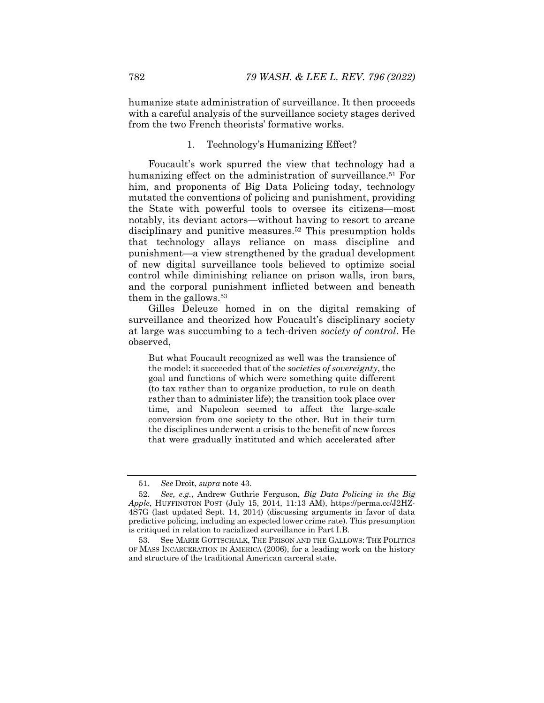humanize state administration of surveillance. It then proceeds with a careful analysis of the surveillance society stages derived from the two French theorists' formative works.

#### 1. Technology's Humanizing Effect?

Foucault's work spurred the view that technology had a humanizing effect on the administration of surveillance.<sup>51</sup> For him, and proponents of Big Data Policing today, technology mutated the conventions of policing and punishment, providing the State with powerful tools to oversee its citizens—most notably, its deviant actors—without having to resort to arcane disciplinary and punitive measures.<sup>52</sup> This presumption holds that technology allays reliance on mass discipline and punishment—a view strengthened by the gradual development of new digital surveillance tools believed to optimize social control while diminishing reliance on prison walls, iron bars, and the corporal punishment inflicted between and beneath them in the gallows.53

Gilles Deleuze homed in on the digital remaking of surveillance and theorized how Foucault's disciplinary society at large was succumbing to a tech-driven *society of control*. He observed,

But what Foucault recognized as well was the transience of the model: it succeeded that of the *societies of sovereignty*, the goal and functions of which were something quite different (to tax rather than to organize production, to rule on death rather than to administer life); the transition took place over time, and Napoleon seemed to affect the large-scale conversion from one society to the other. But in their turn the disciplines underwent a crisis to the benefit of new forces that were gradually instituted and which accelerated after

<sup>51</sup>*. See* Droit, *supra* note 43.

<sup>52</sup>*. See, e.g.*, Andrew Guthrie Ferguson, *Big Data Policing in the Big Apple*, HUFFINGTON POST (July 15, 2014, 11:13 AM), https://perma.cc/J2HZ-4S7G (last updated Sept. 14, 2014) (discussing arguments in favor of data predictive policing, including an expected lower crime rate). This presumption is critiqued in relation to racialized surveillance in Part I.B.

 <sup>53.</sup> See MARIE GOTTSCHALK, THE PRISON AND THE GALLOWS: THE POLITICS OF MASS INCARCERATION IN AMERICA (2006), for a leading work on the history and structure of the traditional American carceral state.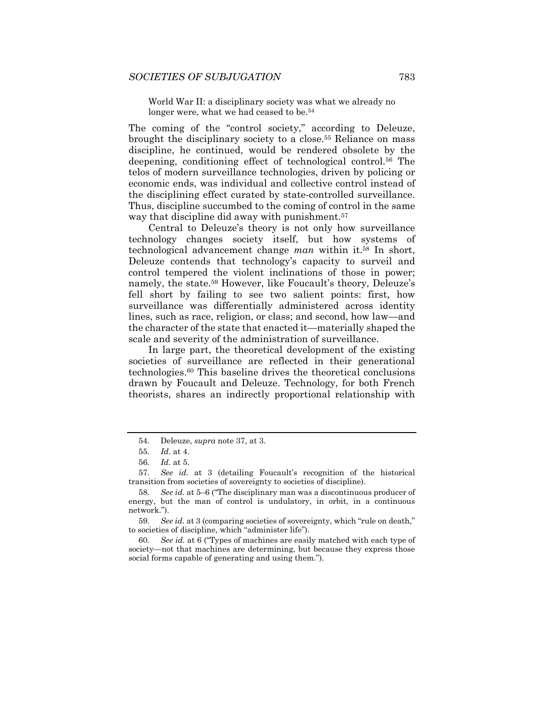World War II: a disciplinary society was what we already no longer were, what we had ceased to be.<sup>54</sup>

The coming of the "control society," according to Deleuze, brought the disciplinary society to a close.55 Reliance on mass discipline, he continued, would be rendered obsolete by the deepening, conditioning effect of technological control.56 The telos of modern surveillance technologies, driven by policing or economic ends, was individual and collective control instead of the disciplining effect curated by state-controlled surveillance. Thus, discipline succumbed to the coming of control in the same way that discipline did away with punishment.<sup>57</sup>

Central to Deleuze's theory is not only how surveillance technology changes society itself, but how systems of technological advancement change *man* within it.58 In short, Deleuze contends that technology's capacity to surveil and control tempered the violent inclinations of those in power; namely, the state.<sup>59</sup> However, like Foucault's theory, Deleuze's fell short by failing to see two salient points: first, how surveillance was differentially administered across identity lines, such as race, religion, or class; and second, how law—and the character of the state that enacted it—materially shaped the scale and severity of the administration of surveillance.

In large part, the theoretical development of the existing societies of surveillance are reflected in their generational technologies.60 This baseline drives the theoretical conclusions drawn by Foucault and Deleuze. Technology, for both French theorists, shares an indirectly proportional relationship with

59*. See id.* at 3 (comparing societies of sovereignty, which "rule on death," to societies of discipline, which "administer life").

60*. See id.* at 6 ("Types of machines are easily matched with each type of society—not that machines are determining, but because they express those social forms capable of generating and using them.").

 <sup>54.</sup> Deleuze, *supra* note 37, at 3.

<sup>55</sup>*. Id*. at 4.

<sup>56</sup>*. Id.* at 5.

<sup>57</sup>*. See id.* at 3 (detailing Foucault's recognition of the historical transition from societies of sovereignty to societies of discipline).

<sup>58</sup>*. See id.* at 5–6 ("The disciplinary man was a discontinuous producer of energy, but the man of control is undulatory, in orbit, in a continuous network.").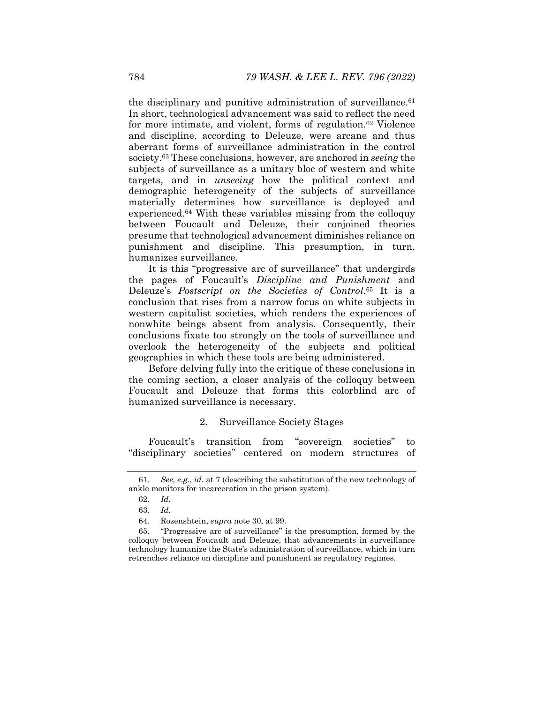the disciplinary and punitive administration of surveillance.<sup>61</sup> In short, technological advancement was said to reflect the need for more intimate, and violent, forms of regulation.62 Violence and discipline, according to Deleuze, were arcane and thus aberrant forms of surveillance administration in the control society.63 These conclusions, however, are anchored in *seeing* the subjects of surveillance as a unitary bloc of western and white targets, and in *unseeing* how the political context and demographic heterogeneity of the subjects of surveillance materially determines how surveillance is deployed and experienced.64 With these variables missing from the colloquy between Foucault and Deleuze, their conjoined theories presume that technological advancement diminishes reliance on punishment and discipline. This presumption, in turn, humanizes surveillance.

It is this "progressive arc of surveillance" that undergirds the pages of Foucault's *Discipline and Punishment* and Deleuze's *Postscript on the Societies of Control.*65 It is a conclusion that rises from a narrow focus on white subjects in western capitalist societies, which renders the experiences of nonwhite beings absent from analysis. Consequently, their conclusions fixate too strongly on the tools of surveillance and overlook the heterogeneity of the subjects and political geographies in which these tools are being administered.

Before delving fully into the critique of these conclusions in the coming section, a closer analysis of the colloquy between Foucault and Deleuze that forms this colorblind arc of humanized surveillance is necessary.

# 2. Surveillance Society Stages

Foucault's transition from "sovereign societies" to "disciplinary societies" centered on modern structures of

<sup>61</sup>*. See, e.g.*, *id.* at 7 (describing the substitution of the new technology of ankle monitors for incarceration in the prison system).

<sup>62</sup>*. Id.*

<sup>63</sup>*. Id*.

 <sup>64.</sup> Rozenshtein, *supra* note 30, at 99.

 <sup>65. &</sup>quot;Progressive arc of surveillance" is the presumption, formed by the colloquy between Foucault and Deleuze, that advancements in surveillance technology humanize the State's administration of surveillance, which in turn retrenches reliance on discipline and punishment as regulatory regimes.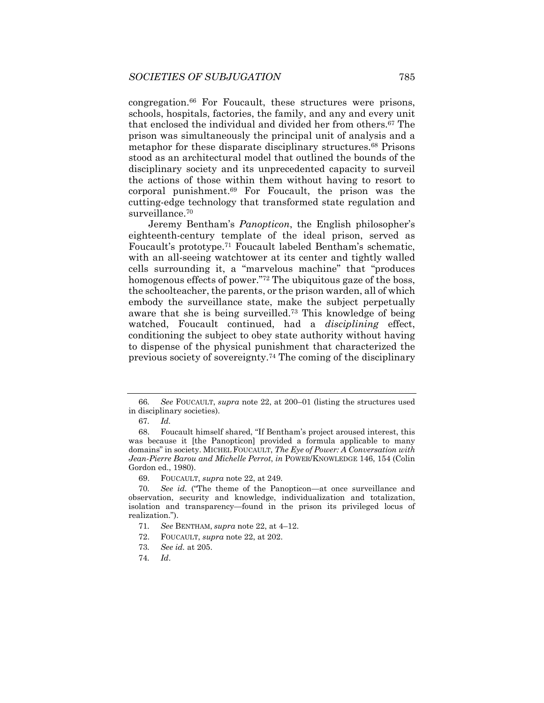congregation.66 For Foucault, these structures were prisons, schools, hospitals, factories, the family, and any and every unit that enclosed the individual and divided her from others.67 The prison was simultaneously the principal unit of analysis and a metaphor for these disparate disciplinary structures.68 Prisons stood as an architectural model that outlined the bounds of the disciplinary society and its unprecedented capacity to surveil the actions of those within them without having to resort to corporal punishment.69 For Foucault, the prison was the cutting-edge technology that transformed state regulation and surveillance.70

Jeremy Bentham's *Panopticon*, the English philosopher's eighteenth-century template of the ideal prison, served as Foucault's prototype.71 Foucault labeled Bentham's schematic, with an all-seeing watchtower at its center and tightly walled cells surrounding it, a "marvelous machine" that "produces homogenous effects of power."<sup>72</sup> The ubiquitous gaze of the boss, the schoolteacher, the parents, or the prison warden, all of which embody the surveillance state, make the subject perpetually aware that she is being surveilled.73 This knowledge of being watched, Foucault continued, had a *disciplining* effect, conditioning the subject to obey state authority without having to dispense of the physical punishment that characterized the previous society of sovereignty.74 The coming of the disciplinary

<sup>66</sup>*. See* FOUCAULT, *supra* note 22, at 200–01 (listing the structures used in disciplinary societies).

<sup>67</sup>*. Id.*

 <sup>68.</sup> Foucault himself shared, "If Bentham's project aroused interest, this was because it [the Panopticon] provided a formula applicable to many domains" in society. MICHEL FOUCAULT, *The Eye of Power: A Conversation with Jean-Pierre Barou and Michelle Perrot*, *in* POWER/KNOWLEDGE 146, 154 (Colin Gordon ed., 1980).

 <sup>69.</sup> FOUCAULT, *supra* note 22, at 249.

<sup>70</sup>*. See id.* ("The theme of the Panopticon—at once surveillance and observation, security and knowledge, individualization and totalization, isolation and transparency—found in the prison its privileged locus of realization.").

<sup>71</sup>*. See* BENTHAM, *supra* note 22, at 4–12.

 <sup>72.</sup> FOUCAULT, *supra* note 22, at 202.

<sup>73</sup>*. See id.* at 205.

<sup>74</sup>*. Id*.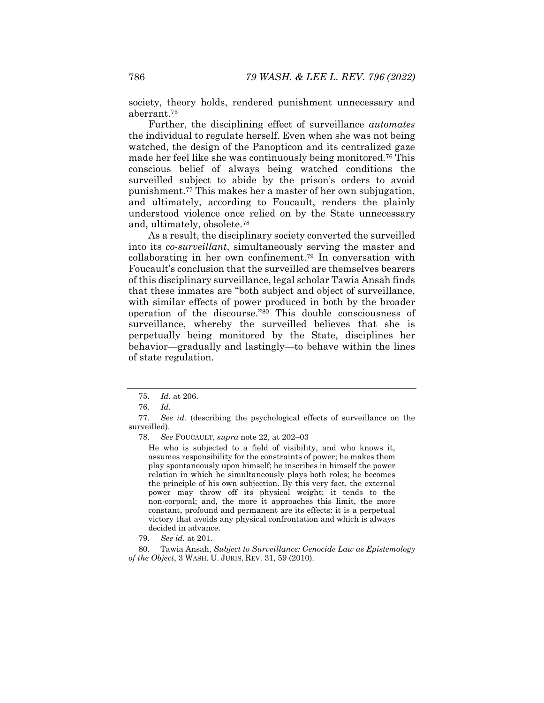society, theory holds, rendered punishment unnecessary and aberrant.75

Further, the disciplining effect of surveillance *automates* the individual to regulate herself. Even when she was not being watched, the design of the Panopticon and its centralized gaze made her feel like she was continuously being monitored.76 This conscious belief of always being watched conditions the surveilled subject to abide by the prison's orders to avoid punishment.77 This makes her a master of her own subjugation, and ultimately, according to Foucault, renders the plainly understood violence once relied on by the State unnecessary and, ultimately, obsolete.78

As a result, the disciplinary society converted the surveilled into its *co-surveillant*, simultaneously serving the master and collaborating in her own confinement.79 In conversation with Foucault's conclusion that the surveilled are themselves bearers of this disciplinary surveillance, legal scholar Tawia Ansah finds that these inmates are "both subject and object of surveillance, with similar effects of power produced in both by the broader operation of the discourse."80 This double consciousness of surveillance, whereby the surveilled believes that she is perpetually being monitored by the State, disciplines her behavior—gradually and lastingly—to behave within the lines of state regulation.

78*. See* FOUCAULT, *supra* note 22, at 202–03

He who is subjected to a field of visibility, and who knows it, assumes responsibility for the constraints of power; he makes them play spontaneously upon himself; he inscribes in himself the power relation in which he simultaneously plays both roles; he becomes the principle of his own subjection. By this very fact, the external power may throw off its physical weight; it tends to the non-corporal; and, the more it approaches this limit, the more constant, profound and permanent are its effects: it is a perpetual victory that avoids any physical confrontation and which is always decided in advance.

79*. See id.* at 201.

 80. Tawia Ansah, *Subject to Surveillance: Genocide Law as Epistemology of the Object*, 3 WASH. U. JURIS. REV. 31, 59 (2010).

<sup>75</sup>*. Id.* at 206.

<sup>76</sup>*. Id.*

<sup>77</sup>*. See id.* (describing the psychological effects of surveillance on the surveilled).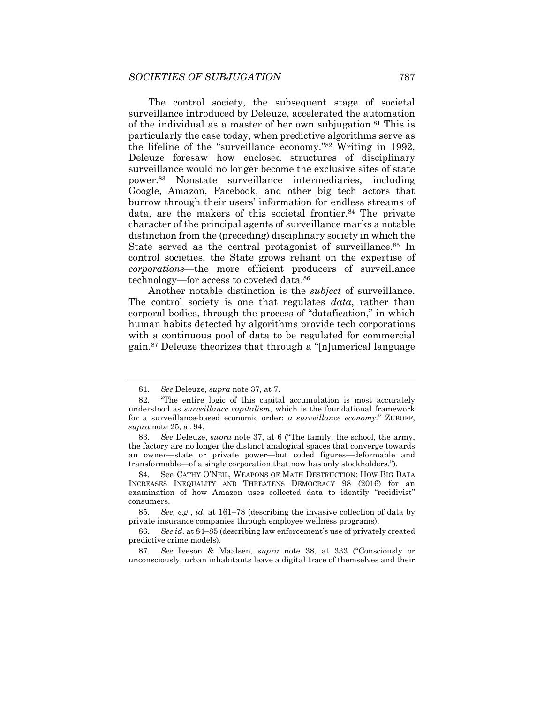The control society, the subsequent stage of societal surveillance introduced by Deleuze, accelerated the automation of the individual as a master of her own subjugation.<sup>81</sup> This is particularly the case today, when predictive algorithms serve as the lifeline of the "surveillance economy."82 Writing in 1992, Deleuze foresaw how enclosed structures of disciplinary surveillance would no longer become the exclusive sites of state power.83 Nonstate surveillance intermediaries, including Google, Amazon, Facebook, and other big tech actors that burrow through their users' information for endless streams of data, are the makers of this societal frontier.<sup>84</sup> The private character of the principal agents of surveillance marks a notable distinction from the (preceding) disciplinary society in which the State served as the central protagonist of surveillance.<sup>85</sup> In control societies, the State grows reliant on the expertise of *corporations*—the more efficient producers of surveillance technology—for access to coveted data.86

Another notable distinction is the *subject* of surveillance. The control society is one that regulates *data*, rather than corporal bodies, through the process of "datafication," in which human habits detected by algorithms provide tech corporations with a continuous pool of data to be regulated for commercial gain.87 Deleuze theorizes that through a "[n]umerical language

<sup>81</sup>*. See* Deleuze, *supra* note 37, at 7.

 <sup>82. &</sup>quot;The entire logic of this capital accumulation is most accurately understood as *surveillance capitalism*, which is the foundational framework for a surveillance-based economic order: *a surveillance economy*." ZUBOFF, *supra* note 25, at 94.

<sup>83</sup>*. See* Deleuze, *supra* note 37, at 6 ("The family, the school, the army, the factory are no longer the distinct analogical spaces that converge towards an owner—state or private power—but coded figures—deformable and transformable—of a single corporation that now has only stockholders.").

 <sup>84.</sup> See CATHY O'NEIL, WEAPONS OF MATH DESTRUCTION: HOW BIG DATA INCREASES INEQUALITY AND THREATENS DEMOCRACY 98 (2016) for an examination of how Amazon uses collected data to identify "recidivist" consumers.

<sup>85</sup>*. See, e.g.*, *id.* at 161–78 (describing the invasive collection of data by private insurance companies through employee wellness programs).

<sup>86</sup>*. See id*. at 84–85 (describing law enforcement's use of privately created predictive crime models).

<sup>87</sup>*. See* Iveson & Maalsen, *supra* note 38, at 333 ("Consciously or unconsciously, urban inhabitants leave a digital trace of themselves and their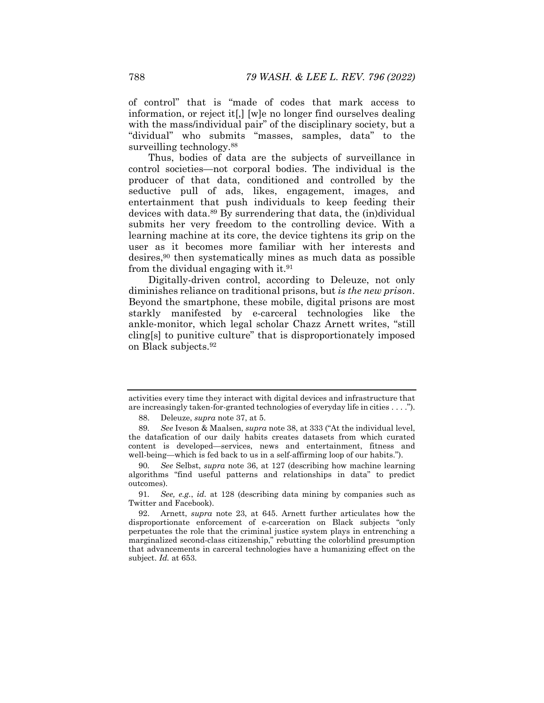of control" that is "made of codes that mark access to information, or reject it[,] [w]e no longer find ourselves dealing with the mass/individual pair" of the disciplinary society, but a "dividual" who submits "masses, samples, data" to the surveilling technology.<sup>88</sup>

Thus, bodies of data are the subjects of surveillance in control societies—not corporal bodies. The individual is the producer of that data, conditioned and controlled by the seductive pull of ads, likes, engagement, images, and entertainment that push individuals to keep feeding their devices with data.89 By surrendering that data, the (in)dividual submits her very freedom to the controlling device. With a learning machine at its core, the device tightens its grip on the user as it becomes more familiar with her interests and desires,90 then systematically mines as much data as possible from the dividual engaging with it.<sup>91</sup>

Digitally-driven control, according to Deleuze, not only diminishes reliance on traditional prisons, but *is the new prison*. Beyond the smartphone, these mobile, digital prisons are most starkly manifested by e-carceral technologies like the ankle-monitor, which legal scholar Chazz Arnett writes, "still cling[s] to punitive culture" that is disproportionately imposed on Black subjects.92

activities every time they interact with digital devices and infrastructure that are increasingly taken-for-granted technologies of everyday life in cities . . . .").

 <sup>88.</sup> Deleuze, *supra* note 37, at 5.

<sup>89</sup>*. See* Iveson & Maalsen, *supra* note 38, at 333 ("At the individual level, the datafication of our daily habits creates datasets from which curated content is developed—services, news and entertainment, fitness and well-being—which is fed back to us in a self-affirming loop of our habits.").

<sup>90</sup>*. See* Selbst, *supra* note 36, at 127 (describing how machine learning algorithms "find useful patterns and relationships in data" to predict outcomes).

<sup>91</sup>*. See, e.g.*, *id.* at 128 (describing data mining by companies such as Twitter and Facebook).

 <sup>92.</sup> Arnett, *supra* note 23, at 645. Arnett further articulates how the disproportionate enforcement of e-carceration on Black subjects "only perpetuates the role that the criminal justice system plays in entrenching a marginalized second-class citizenship," rebutting the colorblind presumption that advancements in carceral technologies have a humanizing effect on the subject. *Id.* at 653.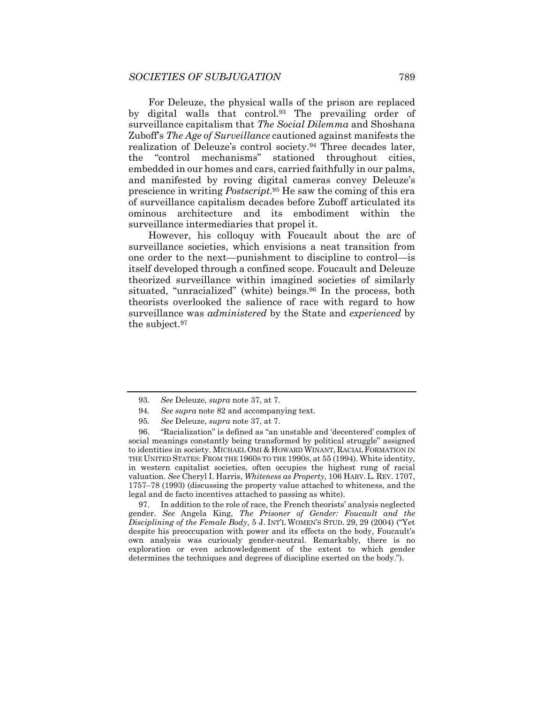For Deleuze, the physical walls of the prison are replaced by digital walls that control.93 The prevailing order of surveillance capitalism that *The Social Dilemma* and Shoshana Zuboff's *The Age of Surveillance* cautioned against manifests the realization of Deleuze's control society.94 Three decades later, the "control mechanisms" stationed throughout cities, embedded in our homes and cars, carried faithfully in our palms, and manifested by roving digital cameras convey Deleuze's prescience in writing *Postscript*.95 He saw the coming of this era of surveillance capitalism decades before Zuboff articulated its ominous architecture and its embodiment within the surveillance intermediaries that propel it.

However, his colloquy with Foucault about the arc of surveillance societies, which envisions a neat transition from one order to the next—punishment to discipline to control—is itself developed through a confined scope. Foucault and Deleuze theorized surveillance within imagined societies of similarly situated, "unracialized" (white) beings.<sup>96</sup> In the process, both theorists overlooked the salience of race with regard to how surveillance was *administered* by the State and *experienced* by the subject.97

 97. In addition to the role of race, the French theorists' analysis neglected gender. *See* Angela King, *The Prisoner of Gender: Foucault and the Disciplining of the Female Body*, 5 J. INT'L WOMEN'S STUD. 29, 29 (2004) ("Yet despite his preoccupation with power and its effects on the body, Foucault's own analysis was curiously gender-neutral. Remarkably, there is no exploration or even acknowledgement of the extent to which gender determines the techniques and degrees of discipline exerted on the body.").

<sup>93</sup>*. See* Deleuze, *supra* note 37, at 7.

<sup>94</sup>*. See supra* note 82 and accompanying text.

<sup>95</sup>*. See* Deleuze, *supra* note 37, at 7.

 <sup>96. &</sup>quot;Racialization" is defined as "an unstable and 'decentered' complex of social meanings constantly being transformed by political struggle" assigned to identities in society. MICHAEL OMI & HOWARD WINANT, RACIAL FORMATION IN THE UNITED STATES: FROM THE 1960S TO THE 1990S, at 55 (1994). White identity, in western capitalist societies, often occupies the highest rung of racial valuation. *See* Cheryl I. Harris, *Whiteness as Property*, 106 HARV. L. REV. 1707, 1757–78 (1993) (discussing the property value attached to whiteness, and the legal and de facto incentives attached to passing as white).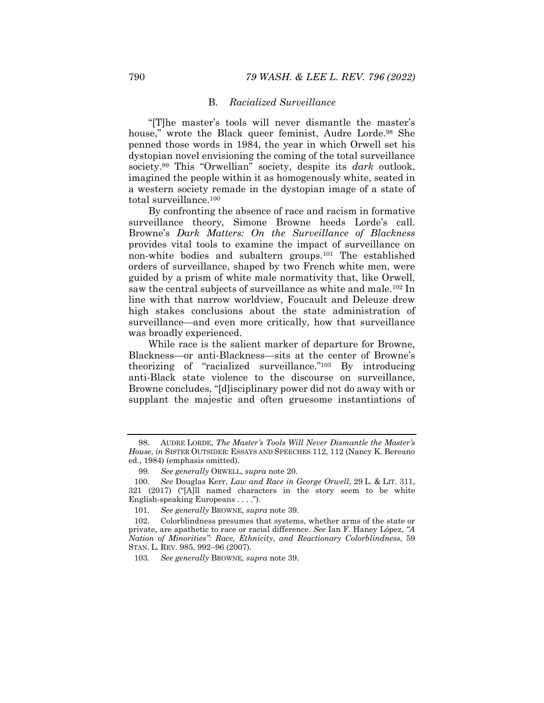# B. *Racialized Surveillance*

"[T]he master's tools will never dismantle the master's house," wrote the Black queer feminist, Audre Lorde.<sup>98</sup> She penned those words in 1984, the year in which Orwell set his dystopian novel envisioning the coming of the total surveillance society.99 This "Orwellian" society, despite its *dark* outlook, imagined the people within it as homogenously white, seated in a western society remade in the dystopian image of a state of total surveillance.100

By confronting the absence of race and racism in formative surveillance theory, Simone Browne heeds Lorde's call. Browne's *Dark Matters: On the Surveillance of Blackness* provides vital tools to examine the impact of surveillance on non-white bodies and subaltern groups.101 The established orders of surveillance, shaped by two French white men, were guided by a prism of white male normativity that, like Orwell, saw the central subjects of surveillance as white and male.102 In line with that narrow worldview, Foucault and Deleuze drew high stakes conclusions about the state administration of surveillance—and even more critically, how that surveillance was broadly experienced.

While race is the salient marker of departure for Browne, Blackness—or anti-Blackness—sits at the center of Browne's theorizing of "racialized surveillance."103 By introducing anti-Black state violence to the discourse on surveillance, Browne concludes, "[d]isciplinary power did not do away with or supplant the majestic and often gruesome instantiations of

 <sup>98.</sup> AUDRE LORDE, *The Master's Tools Will Never Dismantle the Master's House*, *in* SISTER OUTSIDER: ESSAYS AND SPEECHES 112, 112 (Nancy K. Bereano ed., 1984) (emphasis omitted).

<sup>99</sup>*. See generally* ORWELL, *supra* note 20.

<sup>100</sup>*. See* Douglas Kerr, *Law and Race in George Orwell*, 29 L. & LIT. 311, 321 (2017) ("[A]ll named characters in the story seem to be white English-speaking Europeans . . . .").

<sup>101</sup>*. See generally* BROWNE, *supra* note 39.

 <sup>102.</sup> Colorblindness presumes that systems, whether arms of the state or private, are apathetic to race or racial difference. *See* Ian F. Haney López, *"A Nation of Minorities": Race, Ethnicity, and Reactionary Colorblindness*, 59 STAN. L. REV. 985, 992–96 (2007).

<sup>103</sup>*. See generally* BROWNE, *supra* note 39.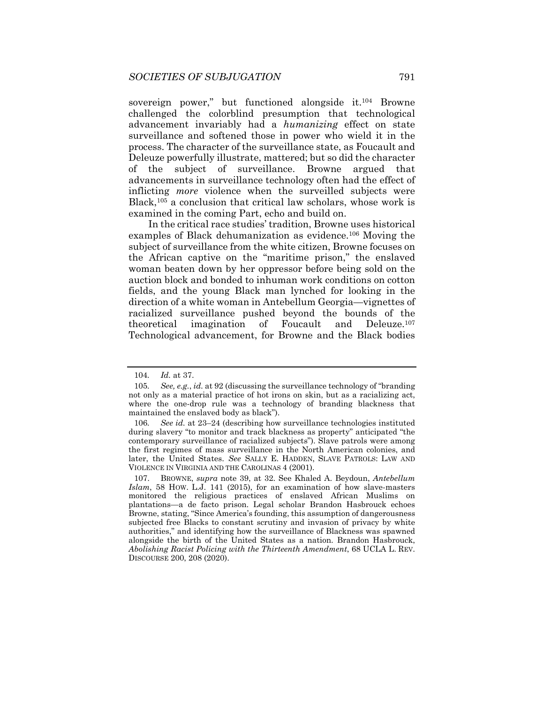sovereign power," but functioned alongside it.104 Browne challenged the colorblind presumption that technological advancement invariably had a *humanizing* effect on state surveillance and softened those in power who wield it in the process. The character of the surveillance state, as Foucault and Deleuze powerfully illustrate, mattered; but so did the character of the subject of surveillance. Browne argued that advancements in surveillance technology often had the effect of inflicting *more* violence when the surveilled subjects were Black,<sup>105</sup> a conclusion that critical law scholars, whose work is examined in the coming Part, echo and build on.

In the critical race studies' tradition, Browne uses historical examples of Black dehumanization as evidence.106 Moving the subject of surveillance from the white citizen, Browne focuses on the African captive on the "maritime prison," the enslaved woman beaten down by her oppressor before being sold on the auction block and bonded to inhuman work conditions on cotton fields, and the young Black man lynched for looking in the direction of a white woman in Antebellum Georgia—vignettes of racialized surveillance pushed beyond the bounds of the theoretical imagination of Foucault and Deleuze.107 Technological advancement, for Browne and the Black bodies

<sup>104</sup>*. Id.* at 37.

<sup>105</sup>*. See, e.g.*, *id.* at 92 (discussing the surveillance technology of "branding not only as a material practice of hot irons on skin, but as a racializing act, where the one-drop rule was a technology of branding blackness that maintained the enslaved body as black").

<sup>106</sup>*. See id.* at 23–24 (describing how surveillance technologies instituted during slavery "to monitor and track blackness as property" anticipated "the contemporary surveillance of racialized subjects"). Slave patrols were among the first regimes of mass surveillance in the North American colonies, and later, the United States. *See* SALLY E. HADDEN, SLAVE PATROLS: LAW AND VIOLENCE IN VIRGINIA AND THE CAROLINAS 4 (2001).

 <sup>107.</sup> BROWNE, *supra* note 39, at 32. See Khaled A. Beydoun, *Antebellum Islam*, 58 HOW. L.J. 141 (2015), for an examination of how slave-masters monitored the religious practices of enslaved African Muslims on plantations—a de facto prison. Legal scholar Brandon Hasbrouck echoes Browne, stating, "Since America's founding, this assumption of dangerousness subjected free Blacks to constant scrutiny and invasion of privacy by white authorities," and identifying how the surveillance of Blackness was spawned alongside the birth of the United States as a nation. Brandon Hasbrouck, *Abolishing Racist Policing with the Thirteenth Amendment*, 68 UCLA L. REV. DISCOURSE 200, 208 (2020).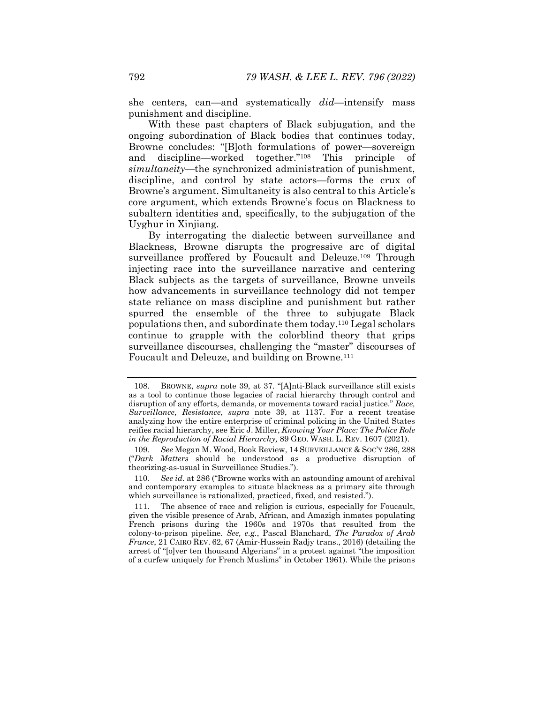she centers, can—and systematically *did*—intensify mass punishment and discipline.

With these past chapters of Black subjugation, and the ongoing subordination of Black bodies that continues today, Browne concludes: "[B]oth formulations of power—sovereign and discipline—worked together."108 This principle of *simultaneity*—the synchronized administration of punishment, discipline, and control by state actors—forms the crux of Browne's argument. Simultaneity is also central to this Article's core argument, which extends Browne's focus on Blackness to subaltern identities and, specifically, to the subjugation of the Uyghur in Xinjiang.

By interrogating the dialectic between surveillance and Blackness, Browne disrupts the progressive arc of digital surveillance proffered by Foucault and Deleuze.<sup>109</sup> Through injecting race into the surveillance narrative and centering Black subjects as the targets of surveillance, Browne unveils how advancements in surveillance technology did not temper state reliance on mass discipline and punishment but rather spurred the ensemble of the three to subjugate Black populations then, and subordinate them today.110 Legal scholars continue to grapple with the colorblind theory that grips surveillance discourses, challenging the "master" discourses of Foucault and Deleuze, and building on Browne.<sup>111</sup>

 <sup>108.</sup> BROWNE, *supra* note 39, at 37. "[A]nti-Black surveillance still exists as a tool to continue those legacies of racial hierarchy through control and disruption of any efforts, demands, or movements toward racial justice." *Race, Surveillance, Resistance*, *supra* note 39, at 1137. For a recent treatise analyzing how the entire enterprise of criminal policing in the United States reifies racial hierarchy, see Eric J. Miller, *Knowing Your Place: The Police Role in the Reproduction of Racial Hierarchy,* 89 GEO. WASH. L. REV. 1607 (2021).

<sup>109</sup>*. See* Megan M. Wood, Book Review, 14 SURVEILLANCE & SOC'Y 286, 288 ("*Dark Matters* should be understood as a productive disruption of theorizing-as-usual in Surveillance Studies.").

<sup>110</sup>*. See id.* at 286 ("Browne works with an astounding amount of archival and contemporary examples to situate blackness as a primary site through which surveillance is rationalized, practiced, fixed, and resisted.").

 <sup>111.</sup> The absence of race and religion is curious, especially for Foucault, given the visible presence of Arab, African, and Amazigh inmates populating French prisons during the 1960s and 1970s that resulted from the colony-to-prison pipeline. *See, e.g.*, Pascal Blanchard, *The Paradox of Arab France*, 21 CAIRO REV. 62, 67 (Amir-Hussein Radjy trans., 2016) (detailing the arrest of "[o]ver ten thousand Algerians" in a protest against "the imposition of a curfew uniquely for French Muslims" in October 1961). While the prisons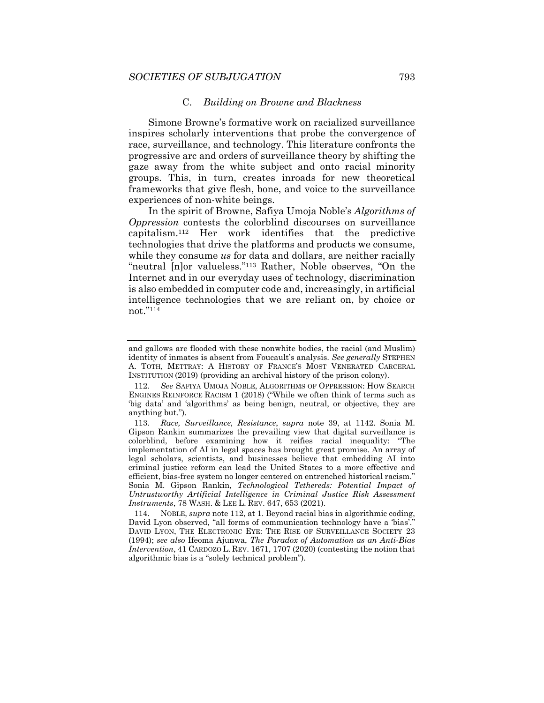#### C. *Building on Browne and Blackness*

Simone Browne's formative work on racialized surveillance inspires scholarly interventions that probe the convergence of race, surveillance, and technology. This literature confronts the progressive arc and orders of surveillance theory by shifting the gaze away from the white subject and onto racial minority groups. This, in turn, creates inroads for new theoretical frameworks that give flesh, bone, and voice to the surveillance experiences of non-white beings.

In the spirit of Browne, Safiya Umoja Noble's *Algorithms of Oppression* contests the colorblind discourses on surveillance capitalism.112 Her work identifies that the predictive technologies that drive the platforms and products we consume, while they consume *us* for data and dollars, are neither racially "neutral [n]or valueless."<sup>113</sup> Rather, Noble observes, "On the Internet and in our everyday uses of technology, discrimination is also embedded in computer code and, increasingly, in artificial intelligence technologies that we are reliant on, by choice or not."114

and gallows are flooded with these nonwhite bodies, the racial (and Muslim) identity of inmates is absent from Foucault's analysis. *See generally* STEPHEN A. TOTH, METTRAY: A HISTORY OF FRANCE'S MOST VENERATED CARCERAL INSTITUTION (2019) (providing an archival history of the prison colony).

<sup>112</sup>*. See* SAFIYA UMOJA NOBLE, ALGORITHMS OF OPPRESSION: HOW SEARCH ENGINES REINFORCE RACISM 1 (2018) ("While we often think of terms such as 'big data' and 'algorithms' as being benign, neutral, or objective, they are anything but.").

<sup>113</sup>*. Race, Surveillance, Resistance*, *supra* note 39, at 1142. Sonia M. Gipson Rankin summarizes the prevailing view that digital surveillance is colorblind, before examining how it reifies racial inequality: "The implementation of AI in legal spaces has brought great promise. An array of legal scholars, scientists, and businesses believe that embedding AI into criminal justice reform can lead the United States to a more effective and efficient, bias-free system no longer centered on entrenched historical racism." Sonia M. Gipson Rankin, *Technological Tethereds: Potential Impact of Untrustworthy Artificial Intelligence in Criminal Justice Risk Assessment Instruments*, 78 WASH. & LEE L. REV. 647, 653 (2021).

 <sup>114.</sup> NOBLE, *supra* note 112, at 1. Beyond racial bias in algorithmic coding, David Lyon observed, "all forms of communication technology have a 'bias'." DAVID LYON, THE ELECTRONIC EYE: THE RISE OF SURVEILLANCE SOCIETY 23 (1994); *see also* Ifeoma Ajunwa, *The Paradox of Automation as an Anti-Bias Intervention*, 41 CARDOZO L. REV. 1671, 1707 (2020) (contesting the notion that algorithmic bias is a "solely technical problem").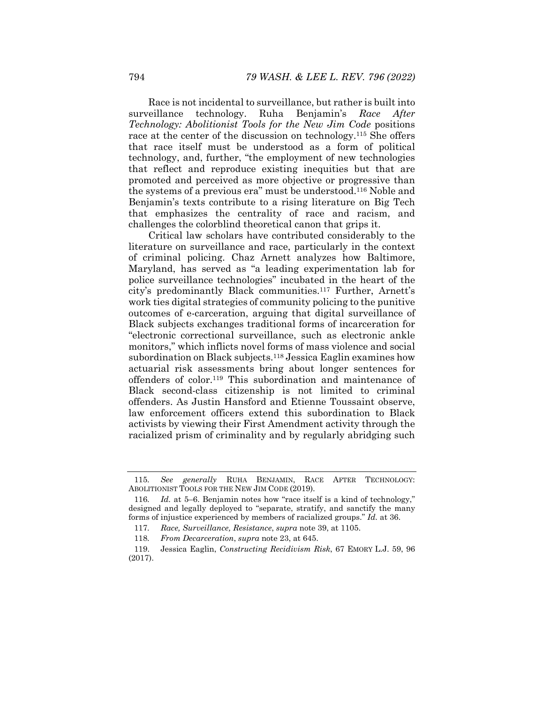Race is not incidental to surveillance, but rather is built into surveillance technology. Ruha Benjamin's *Race After Technology: Abolitionist Tools for the New Jim Code* positions race at the center of the discussion on technology.115 She offers that race itself must be understood as a form of political technology, and, further, "the employment of new technologies that reflect and reproduce existing inequities but that are promoted and perceived as more objective or progressive than the systems of a previous era" must be understood.116 Noble and Benjamin's texts contribute to a rising literature on Big Tech that emphasizes the centrality of race and racism, and challenges the colorblind theoretical canon that grips it.

Critical law scholars have contributed considerably to the literature on surveillance and race, particularly in the context of criminal policing. Chaz Arnett analyzes how Baltimore, Maryland, has served as "a leading experimentation lab for police surveillance technologies" incubated in the heart of the city's predominantly Black communities.117 Further, Arnett's work ties digital strategies of community policing to the punitive outcomes of e-carceration, arguing that digital surveillance of Black subjects exchanges traditional forms of incarceration for "electronic correctional surveillance, such as electronic ankle monitors," which inflicts novel forms of mass violence and social subordination on Black subjects.<sup>118</sup> Jessica Eaglin examines how actuarial risk assessments bring about longer sentences for offenders of color.119 This subordination and maintenance of Black second-class citizenship is not limited to criminal offenders. As Justin Hansford and Etienne Toussaint observe, law enforcement officers extend this subordination to Black activists by viewing their First Amendment activity through the racialized prism of criminality and by regularly abridging such

<sup>115</sup>*. See generally* RUHA BENJAMIN, RACE AFTER TECHNOLOGY: ABOLITIONIST TOOLS FOR THE NEW JIM CODE (2019).

<sup>116</sup>*. Id.* at 5–6. Benjamin notes how "race itself is a kind of technology," designed and legally deployed to "separate, stratify, and sanctify the many forms of injustice experienced by members of racialized groups." *Id.* at 36.

<sup>117</sup>*. Race, Surveillance, Resistance*, *supra* note 39, at 1105.

<sup>118</sup>*. From Decarceration*, *supra* note 23, at 645.

 <sup>119.</sup> Jessica Eaglin, *Constructing Recidivism Risk*, 67 EMORY L.J. 59, 96 (2017).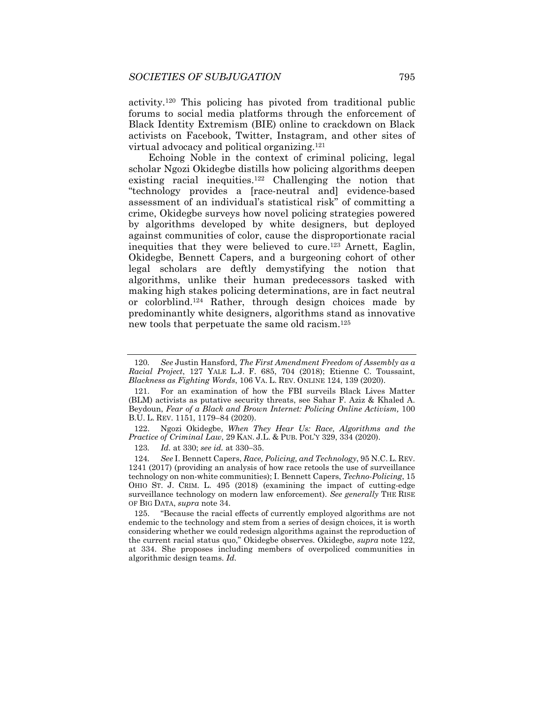activity.120 This policing has pivoted from traditional public forums to social media platforms through the enforcement of Black Identity Extremism (BIE) online to crackdown on Black activists on Facebook, Twitter, Instagram, and other sites of virtual advocacy and political organizing.121

Echoing Noble in the context of criminal policing, legal scholar Ngozi Okidegbe distills how policing algorithms deepen existing racial inequities.<sup>122</sup> Challenging the notion that "technology provides a [race-neutral and] evidence-based assessment of an individual's statistical risk" of committing a crime, Okidegbe surveys how novel policing strategies powered by algorithms developed by white designers, but deployed against communities of color, cause the disproportionate racial inequities that they were believed to cure.123 Arnett, Eaglin, Okidegbe, Bennett Capers, and a burgeoning cohort of other legal scholars are deftly demystifying the notion that algorithms, unlike their human predecessors tasked with making high stakes policing determinations, are in fact neutral or colorblind.124 Rather, through design choices made by predominantly white designers, algorithms stand as innovative new tools that perpetuate the same old racism.125

<sup>120</sup>*. See* Justin Hansford, *The First Amendment Freedom of Assembly as a Racial Project*, 127 YALE L.J. F. 685, 704 (2018); Etienne C. Toussaint, *Blackness as Fighting Words*, 106 VA. L. REV. ONLINE 124, 139 (2020).

 <sup>121.</sup> For an examination of how the FBI surveils Black Lives Matter (BLM) activists as putative security threats, see Sahar F. Aziz & Khaled A. Beydoun, *Fear of a Black and Brown Internet: Policing Online Activism,* 100 B.U. L. REV. 1151, 1179–84 (2020).

 <sup>122.</sup> Ngozi Okidegbe, *When They Hear Us: Race, Algorithms and the Practice of Criminal Law*, 29 KAN. J.L. & PUB. POL'Y 329, 334 (2020).

<sup>123.</sup> *Id.* at 330; *see id.* at 330-35.

<sup>124</sup>*. See* I. Bennett Capers, *Race, Policing, and Technology*, 95 N.C. L. REV. 1241 (2017) (providing an analysis of how race retools the use of surveillance technology on non-white communities); I. Bennett Capers, *Techno-Policing*, 15 OHIO ST. J. CRIM. L. 495 (2018) (examining the impact of cutting-edge surveillance technology on modern law enforcement). *See generally* THE RISE OF BIG DATA, *supra* note 34.

 <sup>125. &</sup>quot;Because the racial effects of currently employed algorithms are not endemic to the technology and stem from a series of design choices, it is worth considering whether we could redesign algorithms against the reproduction of the current racial status quo," Okidegbe observes. Okidegbe, *supra* note 122, at 334. She proposes including members of overpoliced communities in algorithmic design teams. *Id.*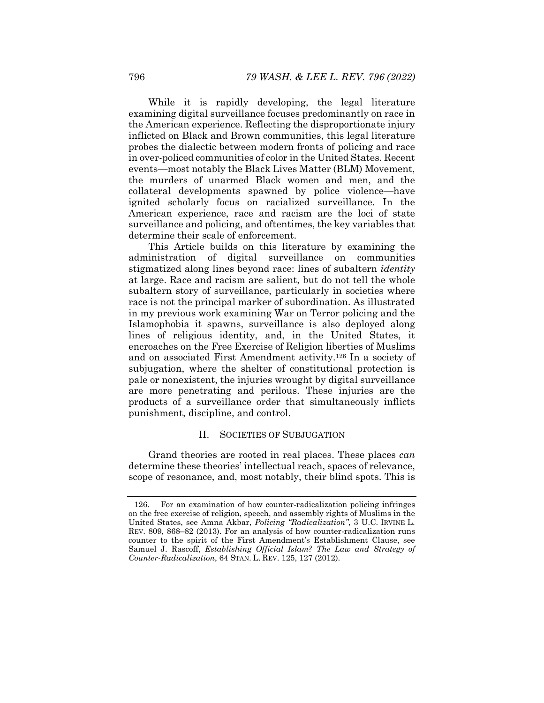While it is rapidly developing, the legal literature examining digital surveillance focuses predominantly on race in the American experience. Reflecting the disproportionate injury inflicted on Black and Brown communities, this legal literature probes the dialectic between modern fronts of policing and race in over-policed communities of color in the United States. Recent events—most notably the Black Lives Matter (BLM) Movement, the murders of unarmed Black women and men, and the collateral developments spawned by police violence—have ignited scholarly focus on racialized surveillance. In the American experience, race and racism are the loci of state surveillance and policing, and oftentimes, the key variables that determine their scale of enforcement.

This Article builds on this literature by examining the administration of digital surveillance on communities stigmatized along lines beyond race: lines of subaltern *identity* at large. Race and racism are salient, but do not tell the whole subaltern story of surveillance, particularly in societies where race is not the principal marker of subordination. As illustrated in my previous work examining War on Terror policing and the Islamophobia it spawns, surveillance is also deployed along lines of religious identity, and, in the United States, it encroaches on the Free Exercise of Religion liberties of Muslims and on associated First Amendment activity.126 In a society of subjugation, where the shelter of constitutional protection is pale or nonexistent, the injuries wrought by digital surveillance are more penetrating and perilous. These injuries are the products of a surveillance order that simultaneously inflicts punishment, discipline, and control.

#### II. SOCIETIES OF SUBJUGATION

Grand theories are rooted in real places. These places *can* determine these theories' intellectual reach, spaces of relevance, scope of resonance, and, most notably, their blind spots. This is

 <sup>126.</sup> For an examination of how counter-radicalization policing infringes on the free exercise of religion, speech, and assembly rights of Muslims in the United States, see Amna Akbar, *Policing "Radicalization"*, 3 U.C. IRVINE L. REV. 809, 868–82 (2013). For an analysis of how counter-radicalization runs counter to the spirit of the First Amendment's Establishment Clause, see Samuel J. Rascoff, *Establishing Official Islam? The Law and Strategy of Counter-Radicalization*, 64 STAN. L. REV. 125, 127 (2012).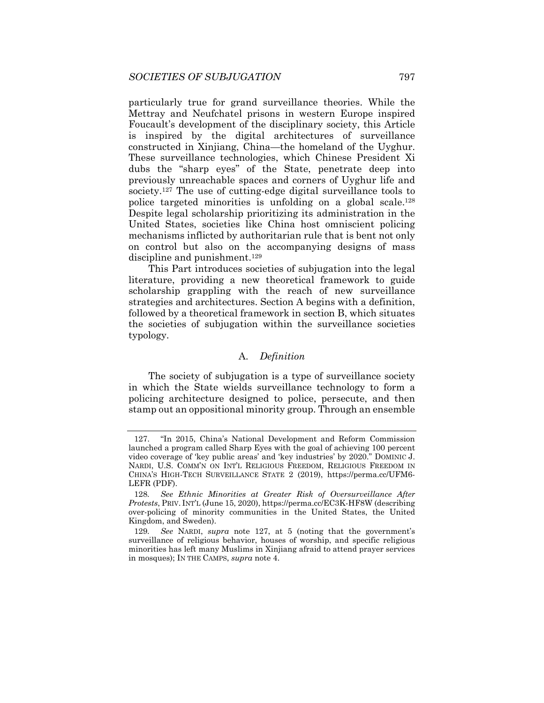particularly true for grand surveillance theories. While the Mettray and Neufchatel prisons in western Europe inspired Foucault's development of the disciplinary society, this Article is inspired by the digital architectures of surveillance constructed in Xinjiang, China—the homeland of the Uyghur. These surveillance technologies, which Chinese President Xi dubs the "sharp eyes" of the State, penetrate deep into previously unreachable spaces and corners of Uyghur life and society.<sup>127</sup> The use of cutting-edge digital surveillance tools to police targeted minorities is unfolding on a global scale.128 Despite legal scholarship prioritizing its administration in the United States, societies like China host omniscient policing mechanisms inflicted by authoritarian rule that is bent not only on control but also on the accompanying designs of mass discipline and punishment.<sup>129</sup>

This Part introduces societies of subjugation into the legal literature, providing a new theoretical framework to guide scholarship grappling with the reach of new surveillance strategies and architectures. Section A begins with a definition, followed by a theoretical framework in section B, which situates the societies of subjugation within the surveillance societies typology.

# A. *Definition*

The society of subjugation is a type of surveillance society in which the State wields surveillance technology to form a policing architecture designed to police, persecute, and then stamp out an oppositional minority group. Through an ensemble

 <sup>127. &</sup>quot;In 2015, China's National Development and Reform Commission launched a program called Sharp Eyes with the goal of achieving 100 percent video coverage of 'key public areas' and 'key industries' by 2020." DOMINIC J. NARDI, U.S. COMM'N ON INT'L RELIGIOUS FREEDOM, RELIGIOUS FREEDOM IN CHINA'S HIGH-TECH SURVEILLANCE STATE 2 (2019), https://perma.cc/UFM6- LEFR (PDF).

<sup>128</sup>*. See Ethnic Minorities at Greater Risk of Oversurveillance After Protests*, PRIV. INT'L (June 15, 2020), https://perma.cc/EC3K-HF8W (describing over-policing of minority communities in the United States, the United Kingdom, and Sweden).

<sup>129</sup>*. See* NARDI, *supra* note 127, at 5 (noting that the government's surveillance of religious behavior, houses of worship, and specific religious minorities has left many Muslims in Xinjiang afraid to attend prayer services in mosques); IN THE CAMPS, *supra* note 4.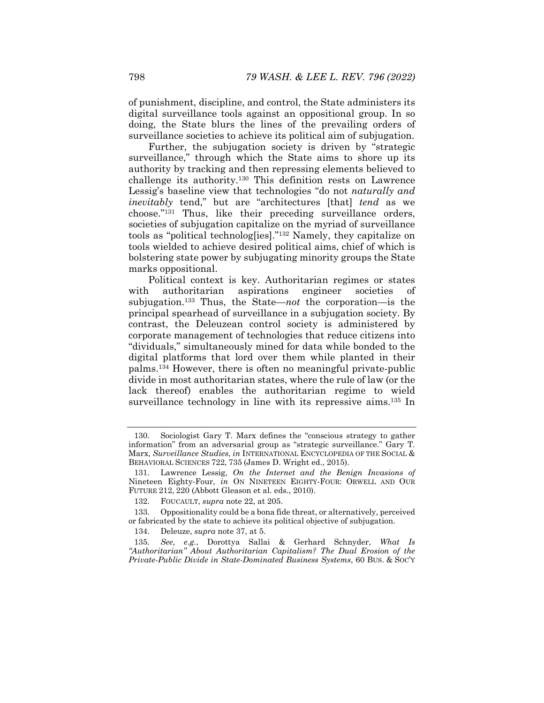of punishment, discipline, and control, the State administers its digital surveillance tools against an oppositional group. In so doing, the State blurs the lines of the prevailing orders of surveillance societies to achieve its political aim of subjugation.

Further, the subjugation society is driven by "strategic surveillance," through which the State aims to shore up its authority by tracking and then repressing elements believed to challenge its authority.130 This definition rests on Lawrence Lessig's baseline view that technologies "do not *naturally and inevitably* tend," but are "architectures [that] *tend* as we choose."131 Thus, like their preceding surveillance orders, societies of subjugation capitalize on the myriad of surveillance tools as "political technolog[ies]."132 Namely, they capitalize on tools wielded to achieve desired political aims, chief of which is bolstering state power by subjugating minority groups the State marks oppositional.

Political context is key. Authoritarian regimes or states with authoritarian aspirations engineer societies of subjugation.133 Thus, the State—*not* the corporation—is the principal spearhead of surveillance in a subjugation society. By contrast, the Deleuzean control society is administered by corporate management of technologies that reduce citizens into "dividuals," simultaneously mined for data while bonded to the digital platforms that lord over them while planted in their palms.134 However, there is often no meaningful private-public divide in most authoritarian states, where the rule of law (or the lack thereof) enables the authoritarian regime to wield surveillance technology in line with its repressive aims.<sup>135</sup> In

 <sup>130.</sup> Sociologist Gary T. Marx defines the "conscious strategy to gather information" from an adversarial group as "strategic surveillance." Gary T. Marx, *Surveillance Studies*, *in* INTERNATIONAL ENCYCLOPEDIA OF THE SOCIAL & BEHAVIORAL SCIENCES 722, 735 (James D. Wright ed., 2015).

 <sup>131.</sup> Lawrence Lessig, *On the Internet and the Benign Invasions of*  Nineteen Eighty-Four, *in* ON NINETEEN EIGHTY-FOUR: ORWELL AND OUR FUTURE 212, 220 (Abbott Gleason et al. eds., 2010).

 <sup>132.</sup> FOUCAULT, *supra* note 22, at 205.

 <sup>133.</sup> Oppositionality could be a bona fide threat, or alternatively, perceived or fabricated by the state to achieve its political objective of subjugation.

 <sup>134.</sup> Deleuze, *supra* note 37, at 5.

<sup>135</sup>*. See, e.g.*, Dorottya Sallai & Gerhard Schnyder, *What Is "Authoritarian" About Authoritarian Capitalism? The Dual Erosion of the Private-Public Divide in State-Dominated Business Systems*, 60 BUS. & SOC'Y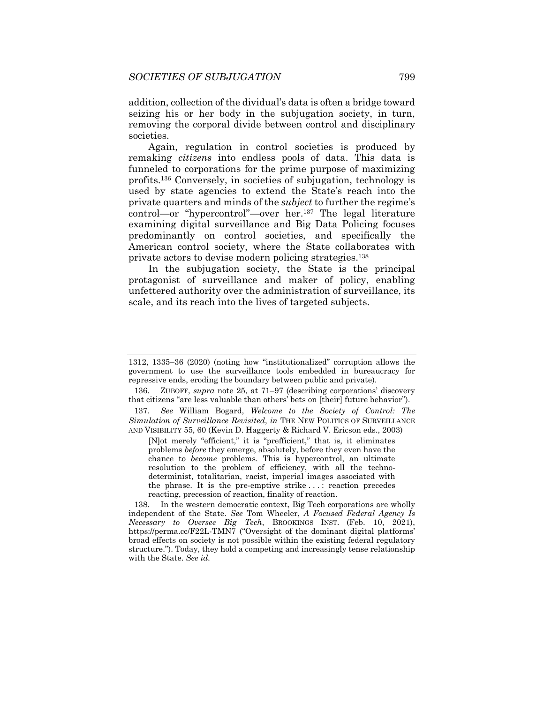addition, collection of the dividual's data is often a bridge toward seizing his or her body in the subjugation society, in turn, removing the corporal divide between control and disciplinary societies.

Again, regulation in control societies is produced by remaking *citizens* into endless pools of data. This data is funneled to corporations for the prime purpose of maximizing profits.136 Conversely, in societies of subjugation, technology is used by state agencies to extend the State's reach into the private quarters and minds of the *subject* to further the regime's control—or "hypercontrol"—over her.137 The legal literature examining digital surveillance and Big Data Policing focuses predominantly on control societies, and specifically the American control society, where the State collaborates with private actors to devise modern policing strategies.138

In the subjugation society, the State is the principal protagonist of surveillance and maker of policy, enabling unfettered authority over the administration of surveillance, its scale, and its reach into the lives of targeted subjects.

[N]ot merely "efficient," it is "prefficient," that is, it eliminates problems *before* they emerge, absolutely, before they even have the chance to *become* problems. This is hypercontrol, an ultimate resolution to the problem of efficiency, with all the technodeterminist, totalitarian, racist, imperial images associated with the phrase. It is the pre-emptive strike . . . : reaction precedes reacting, precession of reaction, finality of reaction.

<sup>1312, 1335–36 (2020) (</sup>noting how "institutionalized" corruption allows the government to use the surveillance tools embedded in bureaucracy for repressive ends, eroding the boundary between public and private).

 <sup>136.</sup> ZUBOFF, *supra* note 25, at 71–97 (describing corporations' discovery that citizens "are less valuable than others' bets on [their] future behavior").

<sup>137</sup>*. See* William Bogard, *Welcome to the Society of Control: The Simulation of Surveillance Revisited*, *in* THE NEW POLITICS OF SURVEILLANCE AND VISIBILITY 55, 60 (Kevin D. Haggerty & Richard V. Ericson eds., 2003)

 <sup>138.</sup> In the western democratic context, Big Tech corporations are wholly independent of the State. *See* Tom Wheeler, *A Focused Federal Agency Is Necessary to Oversee Big Tech*, BROOKINGS INST. (Feb. 10, 2021), https://perma.cc/F22L-TMN7 ("Oversight of the dominant digital platforms' broad effects on society is not possible within the existing federal regulatory structure."). Today, they hold a competing and increasingly tense relationship with the State. *See id.*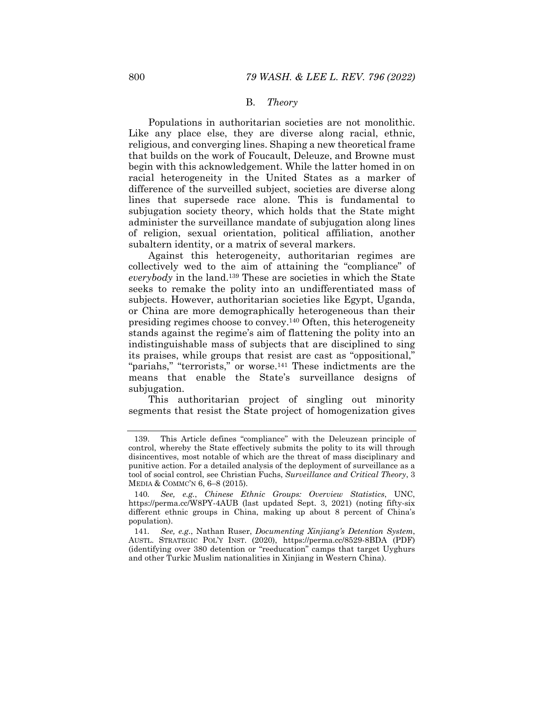#### B. *Theory*

Populations in authoritarian societies are not monolithic. Like any place else, they are diverse along racial, ethnic, religious, and converging lines. Shaping a new theoretical frame that builds on the work of Foucault, Deleuze, and Browne must begin with this acknowledgement. While the latter homed in on racial heterogeneity in the United States as a marker of difference of the surveilled subject, societies are diverse along lines that supersede race alone. This is fundamental to subjugation society theory, which holds that the State might administer the surveillance mandate of subjugation along lines of religion, sexual orientation, political affiliation, another subaltern identity, or a matrix of several markers.

Against this heterogeneity, authoritarian regimes are collectively wed to the aim of attaining the "compliance" of *everybody* in the land.139 These are societies in which the State seeks to remake the polity into an undifferentiated mass of subjects. However, authoritarian societies like Egypt, Uganda, or China are more demographically heterogeneous than their presiding regimes choose to convey.140 Often, this heterogeneity stands against the regime's aim of flattening the polity into an indistinguishable mass of subjects that are disciplined to sing its praises, while groups that resist are cast as "oppositional," "pariahs," "terrorists," or worse.<sup>141</sup> These indictments are the means that enable the State's surveillance designs of subjugation.

This authoritarian project of singling out minority segments that resist the State project of homogenization gives

 <sup>139.</sup> This Article defines "compliance" with the Deleuzean principle of control, whereby the State effectively submits the polity to its will through disincentives, most notable of which are the threat of mass disciplinary and punitive action. For a detailed analysis of the deployment of surveillance as a tool of social control, see Christian Fuchs, *Surveillance and Critical Theory*, 3 MEDIA & COMMC'N 6, 6–8 (2015).

<sup>140</sup>*. See, e.g.*, *Chinese Ethnic Groups: Overview Statistics*, UNC, https://perma.cc/W8PY-4AUB (last updated Sept. 3, 2021) (noting fifty-six different ethnic groups in China, making up about 8 percent of China's population).

<sup>141</sup>*. See, e.g.*, Nathan Ruser, *Documenting Xinjiang's Detention System*, AUSTL. STRATEGIC POL'Y INST. (2020), https://perma.cc/8529-8BDA (PDF) (identifying over 380 detention or "reeducation" camps that target Uyghurs and other Turkic Muslim nationalities in Xinjiang in Western China).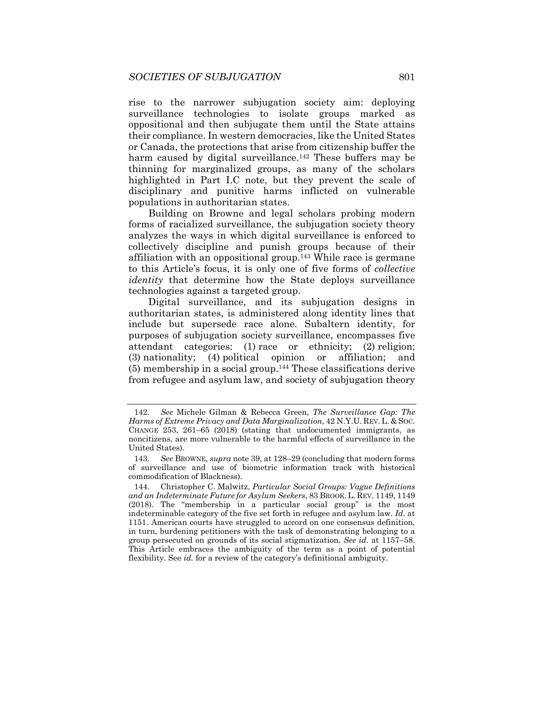rise to the narrower subjugation society aim: deploying surveillance technologies to isolate groups marked as oppositional and then subjugate them until the State attains their compliance. In western democracies, like the United States or Canada, the protections that arise from citizenship buffer the harm caused by digital surveillance.<sup>142</sup> These buffers may be thinning for marginalized groups, as many of the scholars highlighted in Part I.C note, but they prevent the scale of disciplinary and punitive harms inflicted on vulnerable populations in authoritarian states.

Building on Browne and legal scholars probing modern forms of racialized surveillance, the subjugation society theory analyzes the ways in which digital surveillance is enforced to collectively discipline and punish groups because of their affiliation with an oppositional group.143 While race is germane to this Article's focus, it is only one of five forms of *collective identity* that determine how the State deploys surveillance technologies against a targeted group.

Digital surveillance, and its subjugation designs in authoritarian states, is administered along identity lines that include but supersede race alone. Subaltern identity, for purposes of subjugation society surveillance, encompasses five attendant categories: (1) race or ethnicity; (2) religion; (3) nationality; (4) political opinion or affiliation; and  $(5)$  membership in a social group.<sup>144</sup> These classifications derive from refugee and asylum law, and society of subjugation theory

<sup>142</sup>*. See* Michele Gilman & Rebecca Green, *The Surveillance Gap: The Harms of Extreme Privacy and Data Marginalization*, 42 N.Y.U. REV. L. & SOC. CHANGE 253, 261–65 (2018) (stating that undocumented immigrants, as noncitizens, are more vulnerable to the harmful effects of surveillance in the United States).

<sup>143</sup>*. See* BROWNE, *supra* note 39, at 128–29 (concluding that modern forms of surveillance and use of biometric information track with historical commodification of Blackness).

 <sup>144.</sup> Christopher C. Malwitz, *Particular Social Groups: Vague Definitions and an Indeterminate Future for Asylum Seekers*, 83 BROOK. L. REV. 1149, 1149 (2018). The "membership in a particular social group" is the most indeterminable category of the five set forth in refugee and asylum law. *Id.* at 1151. American courts have struggled to accord on one consensus definition, in turn, burdening petitioners with the task of demonstrating belonging to a group persecuted on grounds of its social stigmatization. *See id.* at 1157–58. This Article embraces the ambiguity of the term as a point of potential flexibility. See *id.* for a review of the category's definitional ambiguity.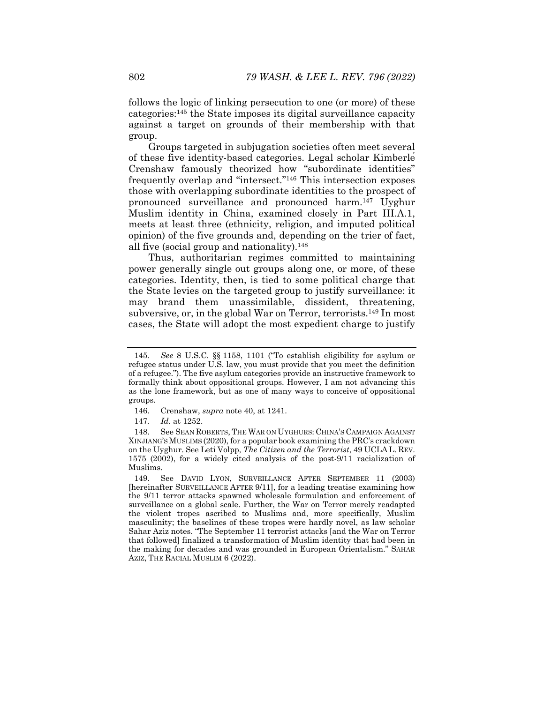follows the logic of linking persecution to one (or more) of these categories:145 the State imposes its digital surveillance capacity against a target on grounds of their membership with that group.

Groups targeted in subjugation societies often meet several of these five identity-based categories. Legal scholar Kimberlé Crenshaw famously theorized how "subordinate identities" frequently overlap and "intersect."146 This intersection exposes those with overlapping subordinate identities to the prospect of pronounced surveillance and pronounced harm.147 Uyghur Muslim identity in China, examined closely in Part III.A.1, meets at least three (ethnicity, religion, and imputed political opinion) of the five grounds and, depending on the trier of fact, all five (social group and nationality).148

Thus, authoritarian regimes committed to maintaining power generally single out groups along one, or more, of these categories. Identity, then, is tied to some political charge that the State levies on the targeted group to justify surveillance: it may brand them unassimilable, dissident, threatening, subversive, or, in the global War on Terror, terrorists.149 In most cases, the State will adopt the most expedient charge to justify

 148. See SEAN ROBERTS, THE WAR ON UYGHURS: CHINA'S CAMPAIGN AGAINST XINJIANG'S MUSLIMS (2020), for a popular book examining the PRC's crackdown on the Uyghur. See Leti Volpp, *The Citizen and the Terrorist*, 49 UCLA L. REV. 1575 (2002), for a widely cited analysis of the post-9/11 racialization of Muslims.

<sup>145</sup>*. See* 8 U.S.C. §§ 1158, 1101 ("To establish eligibility for asylum or refugee status under U.S. law, you must provide that you meet the definition of a refugee."). The five asylum categories provide an instructive framework to formally think about oppositional groups. However, I am not advancing this as the lone framework, but as one of many ways to conceive of oppositional groups.

 <sup>146.</sup> Crenshaw, *supra* note 40, at 1241.

<sup>147</sup>*. Id.* at 1252.

 <sup>149.</sup> See DAVID LYON, SURVEILLANCE AFTER SEPTEMBER 11 (2003) [hereinafter SURVEILLANCE AFTER 9/11], for a leading treatise examining how the 9/11 terror attacks spawned wholesale formulation and enforcement of surveillance on a global scale. Further, the War on Terror merely readapted the violent tropes ascribed to Muslims and, more specifically, Muslim masculinity; the baselines of these tropes were hardly novel, as law scholar Sahar Aziz notes. "The September 11 terrorist attacks [and the War on Terror that followed] finalized a transformation of Muslim identity that had been in the making for decades and was grounded in European Orientalism." SAHAR AZIZ, THE RACIAL MUSLIM 6 (2022).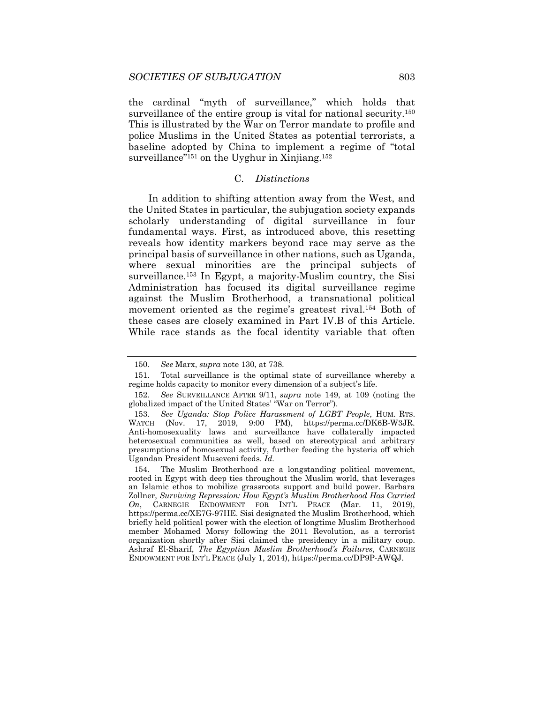the cardinal "myth of surveillance," which holds that surveillance of the entire group is vital for national security.<sup>150</sup> This is illustrated by the War on Terror mandate to profile and police Muslims in the United States as potential terrorists, a baseline adopted by China to implement a regime of "total surveillance"<sup>151</sup> on the Uyghur in Xinjiang.<sup>152</sup>

#### C. *Distinctions*

In addition to shifting attention away from the West, and the United States in particular, the subjugation society expands scholarly understanding of digital surveillance in four fundamental ways. First, as introduced above, this resetting reveals how identity markers beyond race may serve as the principal basis of surveillance in other nations, such as Uganda, where sexual minorities are the principal subjects of surveillance.<sup>153</sup> In Egypt, a majority-Muslim country, the Sisi Administration has focused its digital surveillance regime against the Muslim Brotherhood, a transnational political movement oriented as the regime's greatest rival.154 Both of these cases are closely examined in Part IV.B of this Article. While race stands as the focal identity variable that often

<sup>150</sup>*. See* Marx, *supra* note 130, at 738.

 <sup>151.</sup> Total surveillance is the optimal state of surveillance whereby a regime holds capacity to monitor every dimension of a subject's life.

<sup>152</sup>*. See* SURVEILLANCE AFTER 9/11, *supra* note 149, at 109 (noting the globalized impact of the United States' "War on Terror").

<sup>153</sup>*. See Uganda: Stop Police Harassment of LGBT People*, HUM. RTS. WATCH (Nov. 17, 2019, 9:00 PM), https://perma.cc/DK6B-W3JR. Anti-homosexuality laws and surveillance have collaterally impacted heterosexual communities as well, based on stereotypical and arbitrary presumptions of homosexual activity, further feeding the hysteria off which Ugandan President Museveni feeds. *Id.*

 <sup>154.</sup> The Muslim Brotherhood are a longstanding political movement, rooted in Egypt with deep ties throughout the Muslim world, that leverages an Islamic ethos to mobilize grassroots support and build power. Barbara Zollner, *Surviving Repression: How Egypt's Muslim Brotherhood Has Carried On*, CARNEGIE ENDOWMENT FOR INT'L PEACE (Mar. 11, 2019), https://perma.cc/XE7G-97HE. Sisi designated the Muslim Brotherhood, which briefly held political power with the election of longtime Muslim Brotherhood member Mohamed Morsy following the 2011 Revolution, as a terrorist organization shortly after Sisi claimed the presidency in a military coup. Ashraf El-Sharif, *The Egyptian Muslim Brotherhood's Failures*, CARNEGIE ENDOWMENT FOR INT'L PEACE (July 1, 2014), https://perma.cc/DP9P-AWQJ.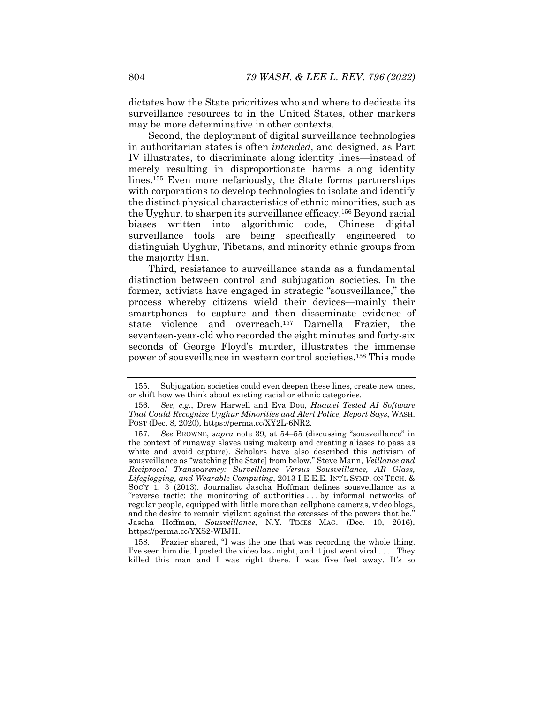dictates how the State prioritizes who and where to dedicate its surveillance resources to in the United States, other markers may be more determinative in other contexts.

Second, the deployment of digital surveillance technologies in authoritarian states is often *intended*, and designed, as Part IV illustrates, to discriminate along identity lines—instead of merely resulting in disproportionate harms along identity lines.155 Even more nefariously, the State forms partnerships with corporations to develop technologies to isolate and identify the distinct physical characteristics of ethnic minorities, such as the Uyghur, to sharpen its surveillance efficacy.156 Beyond racial biases written into algorithmic code, Chinese digital surveillance tools are being specifically engineered to distinguish Uyghur, Tibetans, and minority ethnic groups from the majority Han.

Third, resistance to surveillance stands as a fundamental distinction between control and subjugation societies. In the former, activists have engaged in strategic "sousveillance," the process whereby citizens wield their devices—mainly their smartphones—to capture and then disseminate evidence of state violence and overreach.157 Darnella Frazier, the seventeen-year-old who recorded the eight minutes and forty-six seconds of George Floyd's murder, illustrates the immense power of sousveillance in western control societies.158 This mode

 158. Frazier shared, "I was the one that was recording the whole thing. I've seen him die. I posted the video last night, and it just went viral . . . . They killed this man and I was right there. I was five feet away. It's so

 <sup>155.</sup> Subjugation societies could even deepen these lines, create new ones, or shift how we think about existing racial or ethnic categories.

<sup>156</sup>*. See, e.g.*, Drew Harwell and Eva Dou, *Huawei Tested AI Software That Could Recognize Uyghur Minorities and Alert Police, Report Says*, WASH. POST (Dec. 8, 2020), https://perma.cc/XY2L-6NR2.

<sup>157</sup>*. See* BROWNE, *supra* note 39, at 54–55 (discussing "sousveillance" in the context of runaway slaves using makeup and creating aliases to pass as white and avoid capture). Scholars have also described this activism of sousveillance as "watching [the State] from below." Steve Mann, *Veillance and Reciprocal Transparency: Surveillance Versus Sousveillance, AR Glass, Lifeglogging, and Wearable Computing*, 2013 I.E.E.E. INT'L SYMP. ON TECH. & SOC'Y 1, 3 (2013). Journalist Jascha Hoffman defines sousveillance as a "reverse tactic: the monitoring of authorities . . . by informal networks of regular people, equipped with little more than cellphone cameras, video blogs, and the desire to remain vigilant against the excesses of the powers that be." Jascha Hoffman, *Sousveillance*, N.Y. TIMES MAG. (Dec. 10, 2016), https://perma.cc/YXS2-WBJH.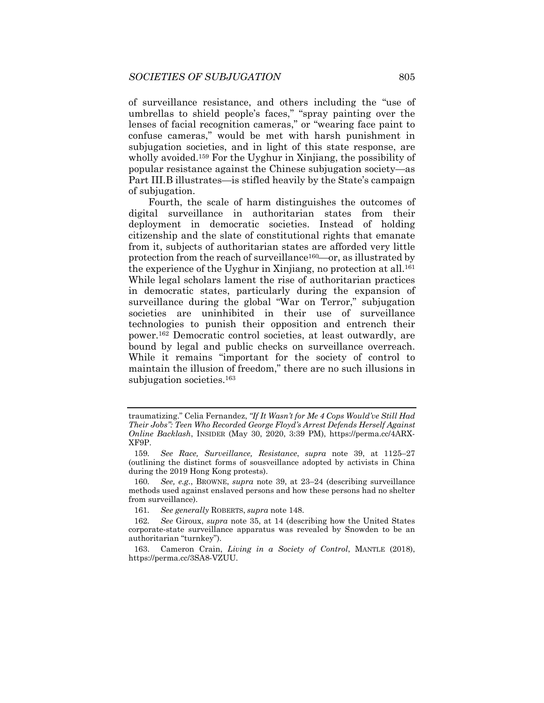of surveillance resistance, and others including the "use of umbrellas to shield people's faces," "spray painting over the lenses of facial recognition cameras," or "wearing face paint to confuse cameras," would be met with harsh punishment in subjugation societies, and in light of this state response, are wholly avoided.<sup>159</sup> For the Uyghur in Xinjiang, the possibility of popular resistance against the Chinese subjugation society—as Part III.B illustrates—is stifled heavily by the State's campaign of subjugation.

Fourth, the scale of harm distinguishes the outcomes of digital surveillance in authoritarian states from their deployment in democratic societies. Instead of holding citizenship and the slate of constitutional rights that emanate from it, subjects of authoritarian states are afforded very little protection from the reach of surveillance<sup>160</sup> $-$ or, as illustrated by the experience of the Uyghur in Xinjiang, no protection at all.<sup>161</sup> While legal scholars lament the rise of authoritarian practices in democratic states, particularly during the expansion of surveillance during the global "War on Terror," subjugation societies are uninhibited in their use of surveillance technologies to punish their opposition and entrench their power.162 Democratic control societies, at least outwardly, are bound by legal and public checks on surveillance overreach. While it remains "important for the society of control to maintain the illusion of freedom," there are no such illusions in subjugation societies.<sup>163</sup>

traumatizing." Celia Fernandez, *"If It Wasn't for Me 4 Cops Would've Still Had Their Jobs": Teen Who Recorded George Floyd's Arrest Defends Herself Against Online Backlash*, INSIDER (May 30, 2020, 3:39 PM), https://perma.cc/4ARX-XF9P.

<sup>159</sup>*. See Race, Surveillance, Resistance*, *supra* note 39, at 1125–27 (outlining the distinct forms of sousveillance adopted by activists in China during the 2019 Hong Kong protests).

<sup>160</sup>*. See, e.g.*, BROWNE, *supra* note 39, at 23–24 (describing surveillance methods used against enslaved persons and how these persons had no shelter from surveillance).

<sup>161</sup>*. See generally* ROBERTS, *supra* note 148.

<sup>162</sup>*. See* Giroux, *supra* note 35, at 14 (describing how the United States corporate-state surveillance apparatus was revealed by Snowden to be an authoritarian "turnkey").

 <sup>163.</sup> Cameron Crain, *Living in a Society of Control*, MANTLE (2018), https://perma.cc/3SA8-VZUU.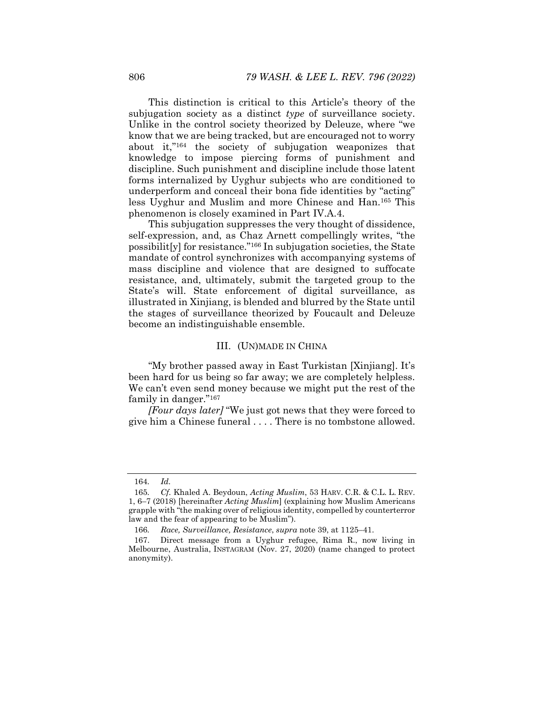This distinction is critical to this Article's theory of the subjugation society as a distinct *type* of surveillance society. Unlike in the control society theorized by Deleuze, where "we know that we are being tracked, but are encouraged not to worry about it,"164 the society of subjugation weaponizes that knowledge to impose piercing forms of punishment and discipline. Such punishment and discipline include those latent forms internalized by Uyghur subjects who are conditioned to underperform and conceal their bona fide identities by "acting" less Uyghur and Muslim and more Chinese and Han.165 This phenomenon is closely examined in Part IV.A.4.

This subjugation suppresses the very thought of dissidence, self-expression, and, as Chaz Arnett compellingly writes, "the possibilit[y] for resistance."166 In subjugation societies, the State mandate of control synchronizes with accompanying systems of mass discipline and violence that are designed to suffocate resistance, and, ultimately, submit the targeted group to the State's will. State enforcement of digital surveillance, as illustrated in Xinjiang, is blended and blurred by the State until the stages of surveillance theorized by Foucault and Deleuze become an indistinguishable ensemble.

## III. (UN)MADE IN CHINA

"My brother passed away in East Turkistan [Xinjiang]. It's been hard for us being so far away; we are completely helpless. We can't even send money because we might put the rest of the family in danger."167

*[Four days later]* "We just got news that they were forced to give him a Chinese funeral . . . . There is no tombstone allowed.

<sup>164</sup>*. Id.*

<sup>165</sup>*. Cf.* Khaled A. Beydoun, *Acting Muslim*, 53 HARV. C.R. & C.L. L. REV. 1, 6–7 (2018) [hereinafter *Acting Muslim*] (explaining how Muslim Americans grapple with "the making over of religious identity, compelled by counterterror law and the fear of appearing to be Muslim").

<sup>166</sup>*. Race, Surveillance, Resistance*, *supra* note 39, at 1125–41.

 <sup>167.</sup> Direct message from a Uyghur refugee, Rima R., now living in Melbourne, Australia, INSTAGRAM (Nov. 27, 2020) (name changed to protect anonymity).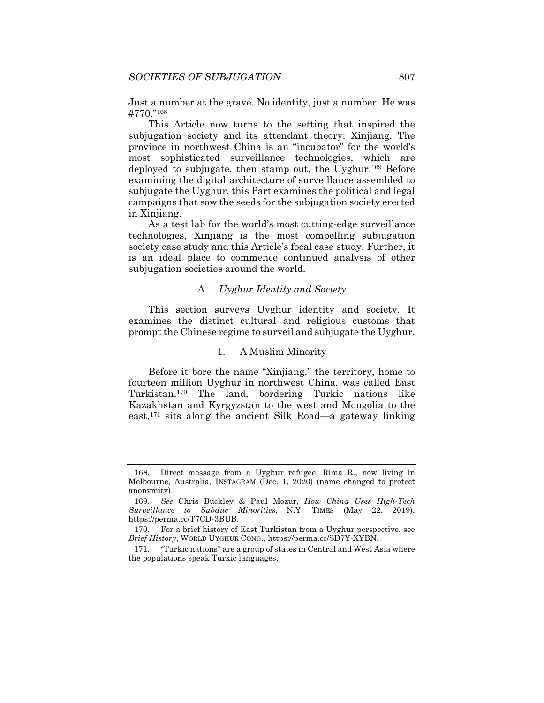Just a number at the grave. No identity, just a number. He was #770."168

This Article now turns to the setting that inspired the subjugation society and its attendant theory: Xinjiang. The province in northwest China is an "incubator" for the world's most sophisticated surveillance technologies, which are deployed to subjugate, then stamp out, the Uyghur.169 Before examining the digital architecture of surveillance assembled to subjugate the Uyghur, this Part examines the political and legal campaigns that sow the seeds for the subjugation society erected in Xinjiang.

As a test lab for the world's most cutting-edge surveillance technologies, Xinjiang is the most compelling subjugation society case study and this Article's focal case study. Further, it is an ideal place to commence continued analysis of other subjugation societies around the world.

# A. *Uyghur Identity and Society*

This section surveys Uyghur identity and society. It examines the distinct cultural and religious customs that prompt the Chinese regime to surveil and subjugate the Uyghur.

## 1. A Muslim Minority

Before it bore the name "Xinjiang," the territory, home to fourteen million Uyghur in northwest China, was called East Turkistan.170 The land, bordering Turkic nations like Kazakhstan and Kyrgyzstan to the west and Mongolia to the east,171 sits along the ancient Silk Road—a gateway linking

 <sup>168.</sup> Direct message from a Uyghur refugee, Rima R., now living in Melbourne, Australia, INSTAGRAM (Dec. 1, 2020) (name changed to protect anonymity).

<sup>169</sup>*. See* Chris Buckley & Paul Mozur, *How China Uses High-Tech Surveillance to Subdue Minorities*, N.Y. TIMES (May 22, 2019), https://perma.cc/T7CD-3BUB.

 <sup>170.</sup> For a brief history of East Turkistan from a Uyghur perspective, see *Brief History*, WORLD UYGHUR CONG., https://perma.cc/SD7Y-XYBN.

 <sup>171. &</sup>quot;Turkic nations" are a group of states in Central and West Asia where the populations speak Turkic languages.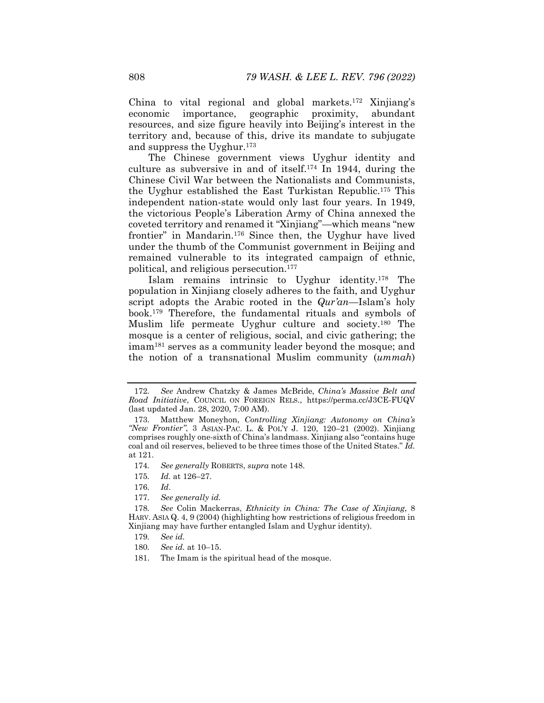China to vital regional and global markets.172 Xinjiang's economic importance, geographic proximity, abundant resources, and size figure heavily into Beijing's interest in the territory and, because of this, drive its mandate to subjugate and suppress the Uyghur.173

The Chinese government views Uyghur identity and culture as subversive in and of itself.174 In 1944, during the Chinese Civil War between the Nationalists and Communists, the Uyghur established the East Turkistan Republic.175 This independent nation-state would only last four years. In 1949, the victorious People's Liberation Army of China annexed the coveted territory and renamed it "Xinjiang"—which means "new frontier" in Mandarin.176 Since then, the Uyghur have lived under the thumb of the Communist government in Beijing and remained vulnerable to its integrated campaign of ethnic, political, and religious persecution.177

Islam remains intrinsic to Uyghur identity.178 The population in Xinjiang closely adheres to the faith, and Uyghur script adopts the Arabic rooted in the *Qur'an*—Islam's holy book.179 Therefore, the fundamental rituals and symbols of Muslim life permeate Uyghur culture and society.180 The mosque is a center of religious, social, and civic gathering; the imam181 serves as a community leader beyond the mosque; and the notion of a transnational Muslim community (*ummah*)

<sup>172</sup>*. See* Andrew Chatzky & James McBride, *China's Massive Belt and Road Initiative*, COUNCIL ON FOREIGN RELS., https://perma.cc/J3CE-FUQV (last updated Jan. 28, 2020, 7:00 AM).

 <sup>173.</sup> Matthew Moneyhon, *Controlling Xinjiang: Autonomy on China's "New Frontier"*, 3 ASIAN-PAC. L. & POL'Y J. 120, 120–21 (2002). Xinjiang comprises roughly one-sixth of China's landmass. Xinjiang also "contains huge coal and oil reserves, believed to be three times those of the United States." *Id.*  at 121.

<sup>174</sup>*. See generally* ROBERTS, *supra* note 148.

<sup>175</sup>*. Id.* at 126–27.

<sup>176</sup>*. Id*.

<sup>177</sup>*. See generally id.* 

<sup>178</sup>*. See* Colin Mackerras, *Ethnicity in China: The Case of Xinjiang*, 8 HARV. ASIA Q. 4, 9 (2004) (highlighting how restrictions of religious freedom in Xinjiang may have further entangled Islam and Uyghur identity).

<sup>179</sup>*. See id.*

<sup>180</sup>*. See id.* at 10–15.

 <sup>181.</sup> The Imam is the spiritual head of the mosque.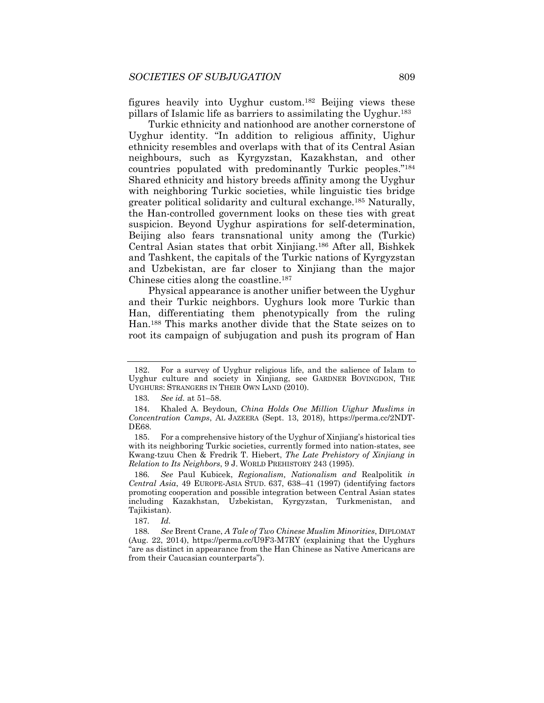figures heavily into Uyghur custom.182 Beijing views these pillars of Islamic life as barriers to assimilating the Uyghur.183

Turkic ethnicity and nationhood are another cornerstone of Uyghur identity. "In addition to religious affinity, Uighur ethnicity resembles and overlaps with that of its Central Asian neighbours, such as Kyrgyzstan, Kazakhstan, and other countries populated with predominantly Turkic peoples."184 Shared ethnicity and history breeds affinity among the Uyghur with neighboring Turkic societies, while linguistic ties bridge greater political solidarity and cultural exchange.185 Naturally, the Han-controlled government looks on these ties with great suspicion. Beyond Uyghur aspirations for self-determination, Beijing also fears transnational unity among the (Turkic) Central Asian states that orbit Xinjiang.186 After all, Bishkek and Tashkent, the capitals of the Turkic nations of Kyrgyzstan and Uzbekistan, are far closer to Xinjiang than the major Chinese cities along the coastline.187

Physical appearance is another unifier between the Uyghur and their Turkic neighbors. Uyghurs look more Turkic than Han, differentiating them phenotypically from the ruling Han.188 This marks another divide that the State seizes on to root its campaign of subjugation and push its program of Han

 <sup>182.</sup> For a survey of Uyghur religious life, and the salience of Islam to Uyghur culture and society in Xinjiang, see GARDNER BOVINGDON, THE UYGHURS: STRANGERS IN THEIR OWN LAND (2010).

<sup>183</sup>*. See id.* at 51–58.

 <sup>184.</sup> Khaled A. Beydoun, *China Holds One Million Uighur Muslims in Concentration Camps*, AL JAZEERA (Sept. 13, 2018), https://perma.cc/2NDT-DE68.

 <sup>185.</sup> For a comprehensive history of the Uyghur of Xinjiang's historical ties with its neighboring Turkic societies, currently formed into nation-states, see Kwang-tzuu Chen & Fredrik T. Hiebert, *The Late Prehistory of Xinjiang in Relation to Its Neighbors*, 9 J. WORLD PREHISTORY 243 (1995).

<sup>186</sup>*. See* Paul Kubicek, *Regionalism, Nationalism and* Realpolitik *in Central Asia*, 49 EUROPE-ASIA STUD. 637, 638–41 (1997) (identifying factors promoting cooperation and possible integration between Central Asian states including Kazakhstan, Uzbekistan, Kyrgyzstan, Turkmenistan, and Tajikistan).

<sup>187</sup>*. Id.* 

<sup>188</sup>*. See* Brent Crane, *A Tale of Two Chinese Muslim Minorities*, DIPLOMAT (Aug. 22, 2014), https://perma.cc/U9F3-M7RY (explaining that the Uyghurs "are as distinct in appearance from the Han Chinese as Native Americans are from their Caucasian counterparts").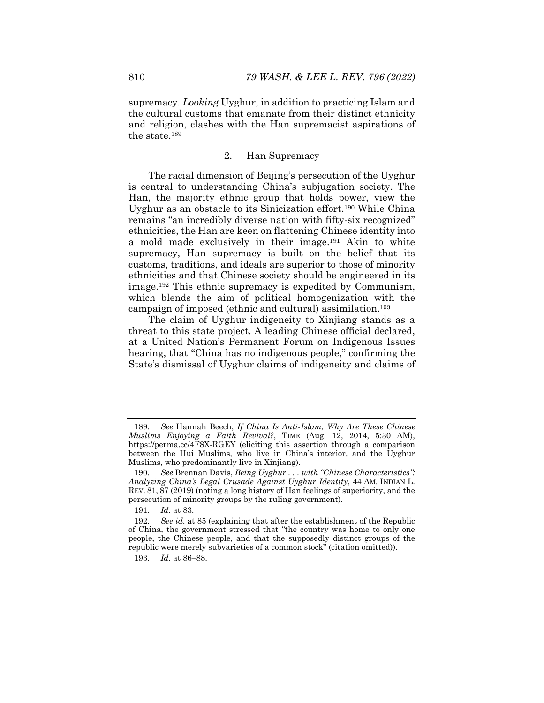supremacy. *Looking* Uyghur, in addition to practicing Islam and the cultural customs that emanate from their distinct ethnicity and religion, clashes with the Han supremacist aspirations of the state.189

# 2. Han Supremacy

The racial dimension of Beijing's persecution of the Uyghur is central to understanding China's subjugation society. The Han, the majority ethnic group that holds power, view the Uyghur as an obstacle to its Sinicization effort.190 While China remains "an incredibly diverse nation with fifty-six recognized" ethnicities, the Han are keen on flattening Chinese identity into a mold made exclusively in their image.191 Akin to white supremacy, Han supremacy is built on the belief that its customs, traditions, and ideals are superior to those of minority ethnicities and that Chinese society should be engineered in its image.192 This ethnic supremacy is expedited by Communism, which blends the aim of political homogenization with the campaign of imposed (ethnic and cultural) assimilation.193

The claim of Uyghur indigeneity to Xinjiang stands as a threat to this state project. A leading Chinese official declared, at a United Nation's Permanent Forum on Indigenous Issues hearing, that "China has no indigenous people," confirming the State's dismissal of Uyghur claims of indigeneity and claims of

<sup>189</sup>*. See* Hannah Beech, *If China Is Anti-Islam, Why Are These Chinese Muslims Enjoying a Faith Revival?*, TIME (Aug. 12, 2014, 5:30 AM), https://perma.cc/4F8X-RGEY (eliciting this assertion through a comparison between the Hui Muslims, who live in China's interior, and the Uyghur Muslims, who predominantly live in Xinjiang).

<sup>190</sup>*. See* Brennan Davis, *Being Uyghur . . . with "Chinese Characteristics": Analyzing China's Legal Crusade Against Uyghur Identity*, 44 AM. INDIAN L. REV. 81, 87 (2019) (noting a long history of Han feelings of superiority, and the persecution of minority groups by the ruling government).

<sup>191</sup>*. Id.* at 83.

<sup>192</sup>*. See id*. at 85 (explaining that after the establishment of the Republic of China, the government stressed that "the country was home to only one people, the Chinese people, and that the supposedly distinct groups of the republic were merely subvarieties of a common stock" (citation omitted)).

<sup>193</sup>*. Id.* at 86–88.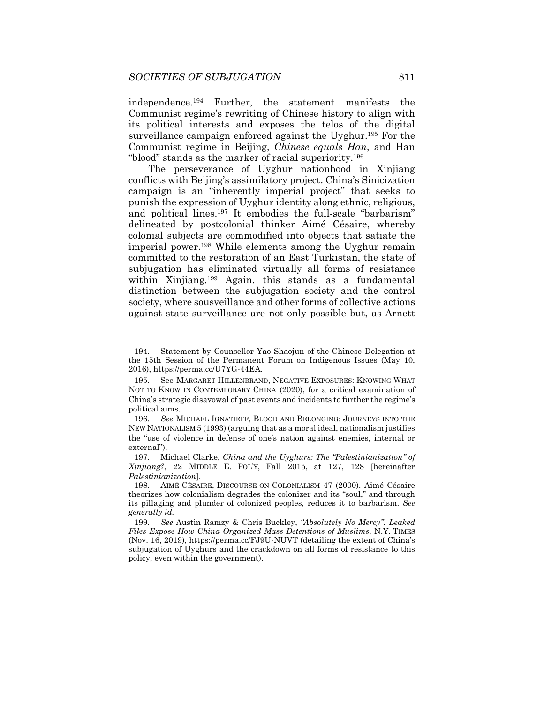independence.194 Further, the statement manifests the Communist regime's rewriting of Chinese history to align with its political interests and exposes the telos of the digital surveillance campaign enforced against the Uyghur.195 For the Communist regime in Beijing, *Chinese equals Han*, and Han "blood" stands as the marker of racial superiority.196

The perseverance of Uyghur nationhood in Xinjiang conflicts with Beijing's assimilatory project. China's Sinicization campaign is an "inherently imperial project" that seeks to punish the expression of Uyghur identity along ethnic, religious, and political lines.<sup>197</sup> It embodies the full-scale "barbarism" delineated by postcolonial thinker Aimé Césaire, whereby colonial subjects are commodified into objects that satiate the imperial power.198 While elements among the Uyghur remain committed to the restoration of an East Turkistan, the state of subjugation has eliminated virtually all forms of resistance within Xinjiang.<sup>199</sup> Again, this stands as a fundamental distinction between the subjugation society and the control society, where sousveillance and other forms of collective actions against state surveillance are not only possible but, as Arnett

 <sup>194.</sup> Statement by Counsellor Yao Shaojun of the Chinese Delegation at the 15th Session of the Permanent Forum on Indigenous Issues (May 10, 2016), https://perma.cc/U7YG-44EA.

 <sup>195.</sup> See MARGARET HILLENBRAND, NEGATIVE EXPOSURES: KNOWING WHAT NOT TO KNOW IN CONTEMPORARY CHINA (2020), for a critical examination of China's strategic disavowal of past events and incidents to further the regime's political aims.

<sup>196</sup>*. See* MICHAEL IGNATIEFF, BLOOD AND BELONGING: JOURNEYS INTO THE NEW NATIONALISM 5 (1993) (arguing that as a moral ideal, nationalism justifies the "use of violence in defense of one's nation against enemies, internal or external").

 <sup>197.</sup> Michael Clarke, *China and the Uyghurs: The "Palestinianization" of Xinjiang?*, 22 MIDDLE E. POL'Y, Fall 2015, at 127, 128 [hereinafter *Palestinianization*].

 <sup>198.</sup> AIMÉ CÉSAIRE, DISCOURSE ON COLONIALISM 47 (2000). Aimé Césaire theorizes how colonialism degrades the colonizer and its "soul," and through its pillaging and plunder of colonized peoples, reduces it to barbarism. *See generally id.* 

<sup>199</sup>*. See* Austin Ramzy & Chris Buckley, *"Absolutely No Mercy": Leaked Files Expose How China Organized Mass Detentions of Muslims*, N.Y. TIMES (Nov. 16, 2019), https://perma.cc/FJ9U-NUVT (detailing the extent of China's subjugation of Uyghurs and the crackdown on all forms of resistance to this policy, even within the government).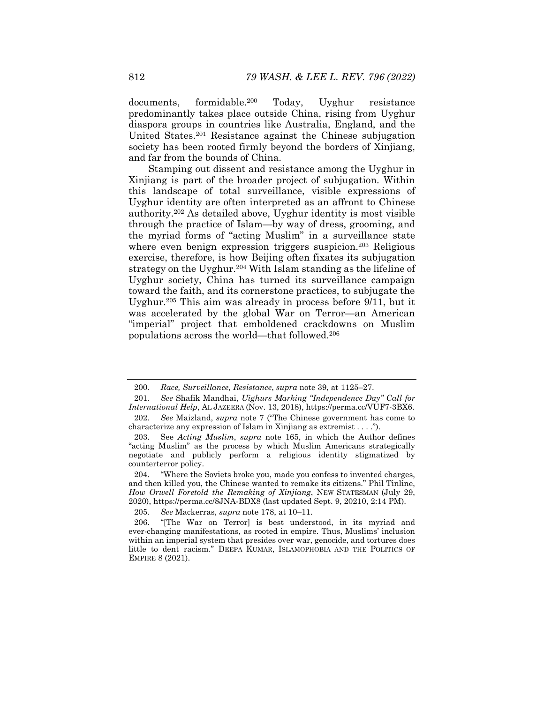documents, formidable.200 Today, Uyghur resistance predominantly takes place outside China, rising from Uyghur diaspora groups in countries like Australia, England, and the United States.201 Resistance against the Chinese subjugation society has been rooted firmly beyond the borders of Xinjiang, and far from the bounds of China.

Stamping out dissent and resistance among the Uyghur in Xinjiang is part of the broader project of subjugation. Within this landscape of total surveillance, visible expressions of Uyghur identity are often interpreted as an affront to Chinese authority.202 As detailed above, Uyghur identity is most visible through the practice of Islam—by way of dress, grooming, and the myriad forms of "acting Muslim" in a surveillance state where even benign expression triggers suspicion.<sup>203</sup> Religious exercise, therefore, is how Beijing often fixates its subjugation strategy on the Uyghur.<sup>204</sup> With Islam standing as the lifeline of Uyghur society, China has turned its surveillance campaign toward the faith, and its cornerstone practices, to subjugate the Uyghur.205 This aim was already in process before 9/11, but it was accelerated by the global War on Terror—an American "imperial" project that emboldened crackdowns on Muslim populations across the world—that followed.206

<sup>200</sup>*. Race, Surveillance, Resistance*, *supra* note 39, at 1125–27.

<sup>201</sup>*. See* Shafik Mandhai, *Uighurs Marking "Independence Day" Call for International Help*, AL JAZEERA (Nov. 13, 2018), https://perma.cc/VUF7-3BX6.

<sup>202</sup>*. See* Maizland, *supra* note 7 ("The Chinese government has come to characterize any expression of Islam in Xinjiang as extremist . . . .").

 <sup>203.</sup> See *Acting Muslim*, *supra* note 165, in which the Author defines "acting Muslim" as the process by which Muslim Americans strategically negotiate and publicly perform a religious identity stigmatized by counterterror policy.

 <sup>204. &</sup>quot;Where the Soviets broke you, made you confess to invented charges, and then killed you, the Chinese wanted to remake its citizens." Phil Tinline, *How Orwell Foretold the Remaking of Xinjiang*, NEW STATESMAN (July 29, 2020), https://perma.cc/8JNA-BDX8 (last updated Sept. 9, 20210, 2:14 PM).

<sup>205</sup>*. See* Mackerras, *supra* note 178, at 10–11.

 <sup>206. &</sup>quot;[The War on Terror] is best understood, in its myriad and ever-changing manifestations, as rooted in empire. Thus, Muslims' inclusion within an imperial system that presides over war, genocide, and tortures does little to dent racism." DEEPA KUMAR, ISLAMOPHOBIA AND THE POLITICS OF EMPIRE 8 (2021).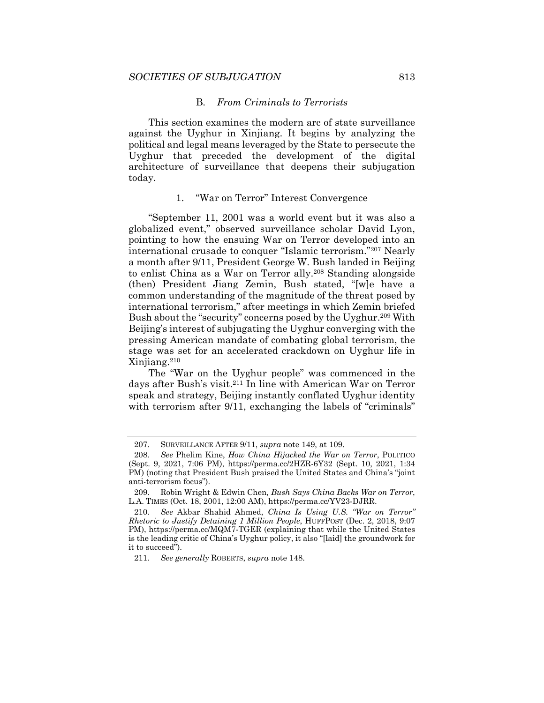## B. *From Criminals to Terrorists*

This section examines the modern arc of state surveillance against the Uyghur in Xinjiang. It begins by analyzing the political and legal means leveraged by the State to persecute the Uyghur that preceded the development of the digital architecture of surveillance that deepens their subjugation today.

## 1. "War on Terror" Interest Convergence

"September 11, 2001 was a world event but it was also a globalized event," observed surveillance scholar David Lyon, pointing to how the ensuing War on Terror developed into an international crusade to conquer "Islamic terrorism."207 Nearly a month after 9/11, President George W. Bush landed in Beijing to enlist China as a War on Terror ally.208 Standing alongside (then) President Jiang Zemin, Bush stated, "[w]e have a common understanding of the magnitude of the threat posed by international terrorism," after meetings in which Zemin briefed Bush about the "security" concerns posed by the Uyghur.<sup>209</sup> With Beijing's interest of subjugating the Uyghur converging with the pressing American mandate of combating global terrorism, the stage was set for an accelerated crackdown on Uyghur life in Xinjiang.210

The "War on the Uyghur people" was commenced in the days after Bush's visit.211 In line with American War on Terror speak and strategy, Beijing instantly conflated Uyghur identity with terrorism after 9/11, exchanging the labels of "criminals"

 <sup>207.</sup> SURVEILLANCE AFTER 9/11, *supra* note 149, at 109.

<sup>208</sup>*. See* Phelim Kine, *How China Hijacked the War on Terror*, POLITICO (Sept. 9, 2021, 7:06 PM), https://perma.cc/2HZR-6Y32 (Sept. 10, 2021, 1:34 PM) (noting that President Bush praised the United States and China's "joint anti-terrorism focus").

 <sup>209.</sup> Robin Wright & Edwin Chen*, Bush Says China Backs War on Terror*, L.A. TIMES (Oct. 18, 2001, 12:00 AM), https://perma.cc/YV23-DJRR.

<sup>210</sup>*. See* Akbar Shahid Ahmed, *China Is Using U.S. "War on Terror" Rhetoric to Justify Detaining 1 Million People*, HUFFPOST (Dec. 2, 2018, 9:07 PM), https://perma.cc/MQM7-TGER (explaining that while the United States is the leading critic of China's Uyghur policy, it also "[laid] the groundwork for it to succeed").

<sup>211</sup>*. See generally* ROBERTS, *supra* note 148.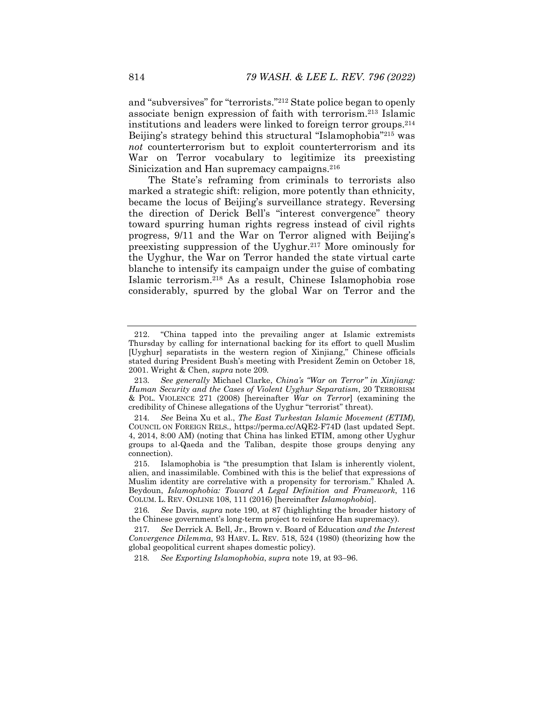and "subversives" for "terrorists."212 State police began to openly associate benign expression of faith with terrorism.213 Islamic institutions and leaders were linked to foreign terror groups.214 Beijing's strategy behind this structural "Islamophobia"<sup>215</sup> was *not* counterterrorism but to exploit counterterrorism and its War on Terror vocabulary to legitimize its preexisting Sinicization and Han supremacy campaigns.<sup>216</sup>

The State's reframing from criminals to terrorists also marked a strategic shift: religion, more potently than ethnicity, became the locus of Beijing's surveillance strategy. Reversing the direction of Derick Bell's "interest convergence" theory toward spurring human rights regress instead of civil rights progress, 9/11 and the War on Terror aligned with Beijing's preexisting suppression of the Uyghur.217 More ominously for the Uyghur, the War on Terror handed the state virtual carte blanche to intensify its campaign under the guise of combating Islamic terrorism.218 As a result, Chinese Islamophobia rose considerably, spurred by the global War on Terror and the

 <sup>212. &</sup>quot;China tapped into the prevailing anger at Islamic extremists Thursday by calling for international backing for its effort to quell Muslim [Uyghur] separatists in the western region of Xinjiang," Chinese officials stated during President Bush's meeting with President Zemin on October 18, 2001. Wright & Chen, *supra* note 209*.*

<sup>213</sup>*. See generally* Michael Clarke, *China's "War on Terror" in Xinjiang: Human Security and the Cases of Violent Uyghur Separatism*, 20 TERRORISM & POL. VIOLENCE 271 (2008) [hereinafter *War on Terror*] (examining the credibility of Chinese allegations of the Uyghur "terrorist" threat).

<sup>214</sup>*. See* Beina Xu et al., *The East Turkestan Islamic Movement (ETIM)*, COUNCIL ON FOREIGN RELS., https://perma.cc/AQE2-F74D (last updated Sept. 4, 2014, 8:00 AM) (noting that China has linked ETIM, among other Uyghur groups to al-Qaeda and the Taliban, despite those groups denying any connection).

 <sup>215.</sup> Islamophobia is "the presumption that Islam is inherently violent, alien, and inassimilable. Combined with this is the belief that expressions of Muslim identity are correlative with a propensity for terrorism." Khaled A. Beydoun, *Islamophobia: Toward A Legal Definition and Framework*, 116 COLUM. L. REV. ONLINE 108, 111 (2016) [hereinafter *Islamophobia*].

<sup>216</sup>*. See* Davis, *supra* note 190, at 87 (highlighting the broader history of the Chinese government's long-term project to reinforce Han supremacy).

<sup>217</sup>*. See* Derrick A. Bell, Jr., Brown v. Board of Education *and the Interest Convergence Dilemma*, 93 HARV. L. REV. 518, 524 (1980) (theorizing how the global geopolitical current shapes domestic policy).

<sup>218</sup>*. See Exporting Islamophobia*, *supra* note 19, at 93–96.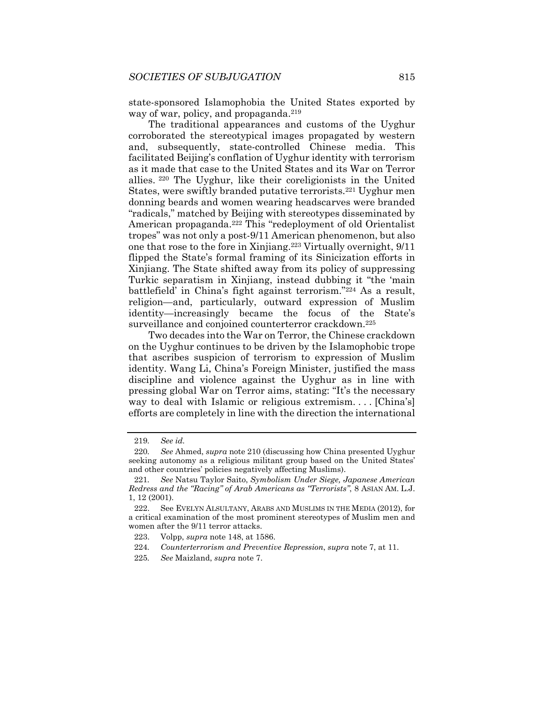state-sponsored Islamophobia the United States exported by way of war, policy, and propaganda.<sup>219</sup>

The traditional appearances and customs of the Uyghur corroborated the stereotypical images propagated by western and, subsequently, state-controlled Chinese media. This facilitated Beijing's conflation of Uyghur identity with terrorism as it made that case to the United States and its War on Terror allies. 220 The Uyghur, like their coreligionists in the United States, were swiftly branded putative terrorists.221 Uyghur men donning beards and women wearing headscarves were branded "radicals," matched by Beijing with stereotypes disseminated by American propaganda.222 This "redeployment of old Orientalist tropes" was not only a post-9/11 American phenomenon, but also one that rose to the fore in Xinjiang.223 Virtually overnight, 9/11 flipped the State's formal framing of its Sinicization efforts in Xinjiang. The State shifted away from its policy of suppressing Turkic separatism in Xinjiang, instead dubbing it "the 'main battlefield' in China's fight against terrorism."224 As a result, religion—and, particularly, outward expression of Muslim identity—increasingly became the focus of the State's surveillance and conjoined counterterror crackdown.<sup>225</sup>

Two decades into the War on Terror, the Chinese crackdown on the Uyghur continues to be driven by the Islamophobic trope that ascribes suspicion of terrorism to expression of Muslim identity. Wang Li, China's Foreign Minister, justified the mass discipline and violence against the Uyghur as in line with pressing global War on Terror aims, stating: "It's the necessary way to deal with Islamic or religious extremism. . . . [China's] efforts are completely in line with the direction the international

<sup>219</sup>*. See id.*

<sup>220</sup>*. See* Ahmed, *supra* note 210 (discussing how China presented Uyghur seeking autonomy as a religious militant group based on the United States' and other countries' policies negatively affecting Muslims).

<sup>221</sup>*. See* Natsu Taylor Saito, *Symbolism Under Siege, Japanese American Redress and the "Racing" of Arab Americans as "Terrorists"*, 8 ASIAN AM. L.J. 1, 12 (2001).

 <sup>222.</sup> See EVELYN ALSULTANY, ARABS AND MUSLIMS IN THE MEDIA (2012), for a critical examination of the most prominent stereotypes of Muslim men and women after the 9/11 terror attacks.

 <sup>223.</sup> Volpp, *supra* note 148, at 1586.

<sup>224</sup>*. Counterterrorism and Preventive Repression*, *supra* note 7, at 11.

<sup>225</sup>*. See* Maizland, *supra* note 7.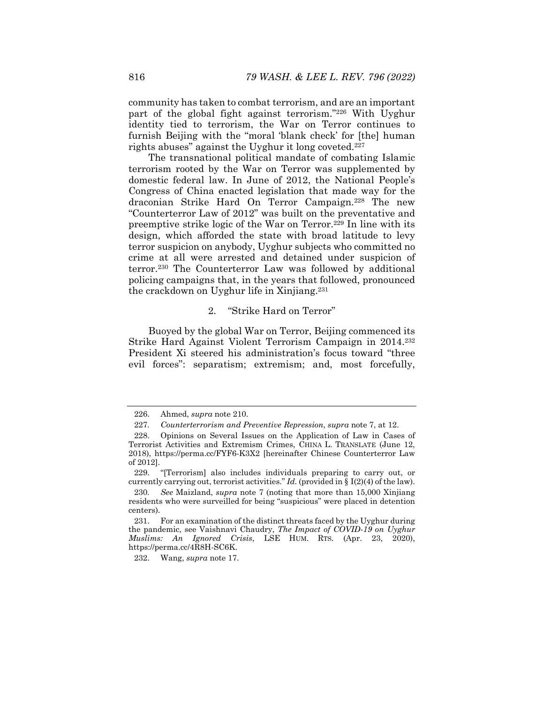community has taken to combat terrorism, and are an important part of the global fight against terrorism."226 With Uyghur identity tied to terrorism, the War on Terror continues to furnish Beijing with the "moral 'blank check' for [the] human rights abuses" against the Uyghur it long coveted.227

The transnational political mandate of combating Islamic terrorism rooted by the War on Terror was supplemented by domestic federal law. In June of 2012, the National People's Congress of China enacted legislation that made way for the draconian Strike Hard On Terror Campaign.228 The new "Counterterror Law of 2012" was built on the preventative and preemptive strike logic of the War on Terror.229 In line with its design, which afforded the state with broad latitude to levy terror suspicion on anybody, Uyghur subjects who committed no crime at all were arrested and detained under suspicion of terror.230 The Counterterror Law was followed by additional policing campaigns that, in the years that followed, pronounced the crackdown on Uyghur life in Xinjiang.231

## 2. "Strike Hard on Terror"

Buoyed by the global War on Terror, Beijing commenced its Strike Hard Against Violent Terrorism Campaign in 2014.232 President Xi steered his administration's focus toward "three evil forces": separatism; extremism; and, most forcefully,

232. Wang, *supra* note 17.

 <sup>226.</sup> Ahmed, *supra* note 210.

<sup>227</sup>*. Counterterrorism and Preventive Repression*, *supra* note 7, at 12.

 <sup>228.</sup> Opinions on Several Issues on the Application of Law in Cases of Terrorist Activities and Extremism Crimes, CHINA L. TRANSLATE (June 12, 2018), https://perma.cc/FYF6-K3X2 [hereinafter Chinese Counterterror Law of 2012].

 <sup>229. &</sup>quot;[Terrorism] also includes individuals preparing to carry out, or currently carrying out, terrorist activities." *Id.* (provided in  $\S$  I(2)(4) of the law).

<sup>230</sup>*. See* Maizland, *supra* note 7 (noting that more than 15,000 Xinjiang residents who were surveilled for being "suspicious" were placed in detention centers).

 <sup>231.</sup> For an examination of the distinct threats faced by the Uyghur during the pandemic, see Vaishnavi Chaudry, *The Impact of COVID-19 on Uyghur Muslims: An Ignored Crisis*, LSE HUM. RTS. (Apr. 23, 2020), https://perma.cc/4R8H-SC6K.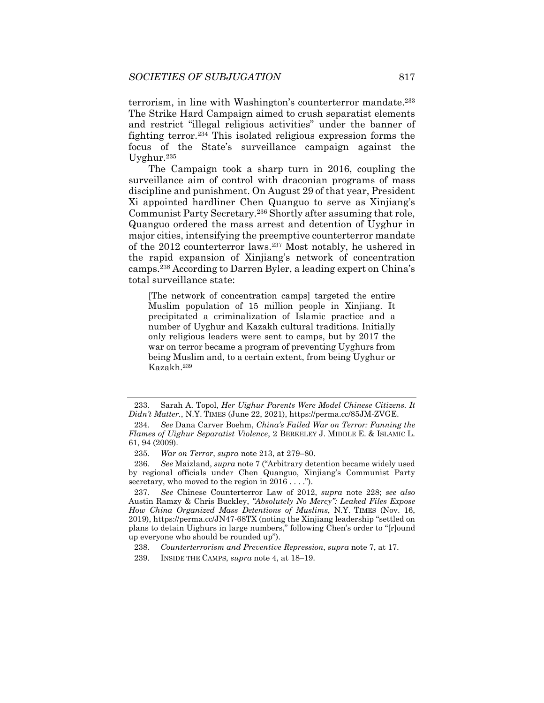terrorism, in line with Washington's counterterror mandate.233 The Strike Hard Campaign aimed to crush separatist elements and restrict "illegal religious activities" under the banner of fighting terror.234 This isolated religious expression forms the focus of the State's surveillance campaign against the Uyghur.235

The Campaign took a sharp turn in 2016, coupling the surveillance aim of control with draconian programs of mass discipline and punishment. On August 29 of that year, President Xi appointed hardliner Chen Quanguo to serve as Xinjiang's Communist Party Secretary.236 Shortly after assuming that role, Quanguo ordered the mass arrest and detention of Uyghur in major cities, intensifying the preemptive counterterror mandate of the 2012 counterterror laws.237 Most notably, he ushered in the rapid expansion of Xinjiang's network of concentration camps.238 According to Darren Byler, a leading expert on China's total surveillance state:

[The network of concentration camps] targeted the entire Muslim population of 15 million people in Xinjiang. It precipitated a criminalization of Islamic practice and a number of Uyghur and Kazakh cultural traditions. Initially only religious leaders were sent to camps, but by 2017 the war on terror became a program of preventing Uyghurs from being Muslim and, to a certain extent, from being Uyghur or Kazakh.239

<sup>233</sup>*.* Sarah A. Topol, *Her Uighur Parents Were Model Chinese Citizens. It Didn't Matter.*, N.Y. TIMES (June 22, 2021), https://perma.cc/85JM-ZVGE.

<sup>234</sup>*. See* Dana Carver Boehm, *China's Failed War on Terror: Fanning the Flames of Uighur Separatist Violence*, 2 BERKELEY J. MIDDLE E. & ISLAMIC L. 61, 94 (2009).

<sup>235</sup>*. War on Terror*, *supra* note 213, at 279–80.

<sup>236</sup>*. See* Maizland, *supra* note 7 ("Arbitrary detention became widely used by regional officials under Chen Quanguo, Xinjiang's Communist Party secretary, who moved to the region in 2016 . . . .").

<sup>237</sup>*. See* Chinese Counterterror Law of 2012, *supra* note 228; *see also* Austin Ramzy & Chris Buckley, *"Absolutely No Mercy": Leaked Files Expose How China Organized Mass Detentions of Muslims*, N.Y. TIMES (Nov. 16, 2019), https://perma.cc/JN47-68TX (noting the Xinjiang leadership "settled on plans to detain Uighurs in large numbers," following Chen's order to "[r]ound up everyone who should be rounded up").

<sup>238</sup>*. Counterterrorism and Preventive Repression*, *supra* note 7, at 17.

 <sup>239.</sup> INSIDE THE CAMPS, *supra* note 4, at 18–19.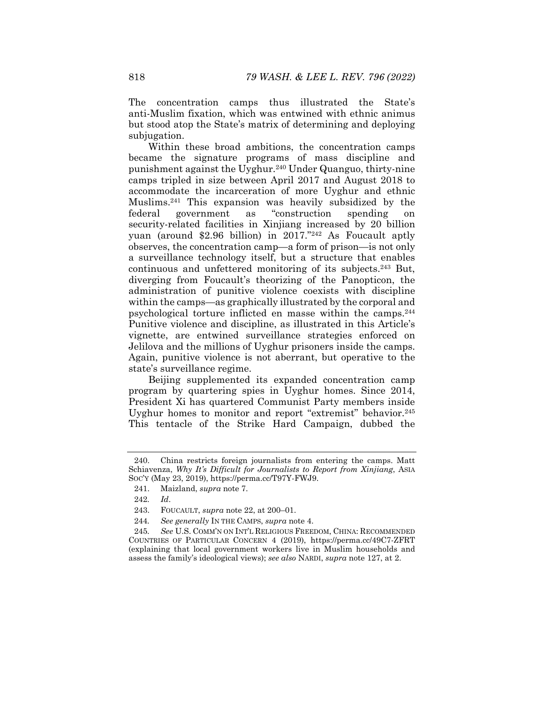The concentration camps thus illustrated the State's anti-Muslim fixation, which was entwined with ethnic animus but stood atop the State's matrix of determining and deploying subjugation.

Within these broad ambitions, the concentration camps became the signature programs of mass discipline and punishment against the Uyghur.240 Under Quanguo, thirty-nine camps tripled in size between April 2017 and August 2018 to accommodate the incarceration of more Uyghur and ethnic Muslims.241 This expansion was heavily subsidized by the federal government as "construction spending on security-related facilities in Xinjiang increased by 20 billion yuan (around \$2.96 billion) in 2017."242 As Foucault aptly observes, the concentration camp—a form of prison—is not only a surveillance technology itself, but a structure that enables continuous and unfettered monitoring of its subjects.243 But, diverging from Foucault's theorizing of the Panopticon, the administration of punitive violence coexists with discipline within the camps—as graphically illustrated by the corporal and psychological torture inflicted en masse within the camps.244 Punitive violence and discipline, as illustrated in this Article's vignette, are entwined surveillance strategies enforced on Jelilova and the millions of Uyghur prisoners inside the camps. Again, punitive violence is not aberrant, but operative to the state's surveillance regime.

Beijing supplemented its expanded concentration camp program by quartering spies in Uyghur homes. Since 2014, President Xi has quartered Communist Party members inside Uyghur homes to monitor and report "extremist" behavior.245 This tentacle of the Strike Hard Campaign, dubbed the

 <sup>240.</sup> China restricts foreign journalists from entering the camps. Matt Schiavenza, *Why It's Difficult for Journalists to Report from Xinjiang*, ASIA SOC'Y (May 23, 2019), https://perma.cc/T97Y-FWJ9.

 <sup>241.</sup> Maizland, *supra* note 7.

<sup>242</sup>*. Id*.

 <sup>243.</sup> FOUCAULT, *supra* note 22, at 200–01.

<sup>244</sup>*. See generally* IN THE CAMPS, *supra* note 4.

<sup>245</sup>*. See* U.S. COMM'N ON INT'L RELIGIOUS FREEDOM, CHINA: RECOMMENDED COUNTRIES OF PARTICULAR CONCERN 4 (2019), https://perma.cc/49C7-ZFRT (explaining that local government workers live in Muslim households and assess the family's ideological views); *see also* NARDI, *supra* note 127, at 2.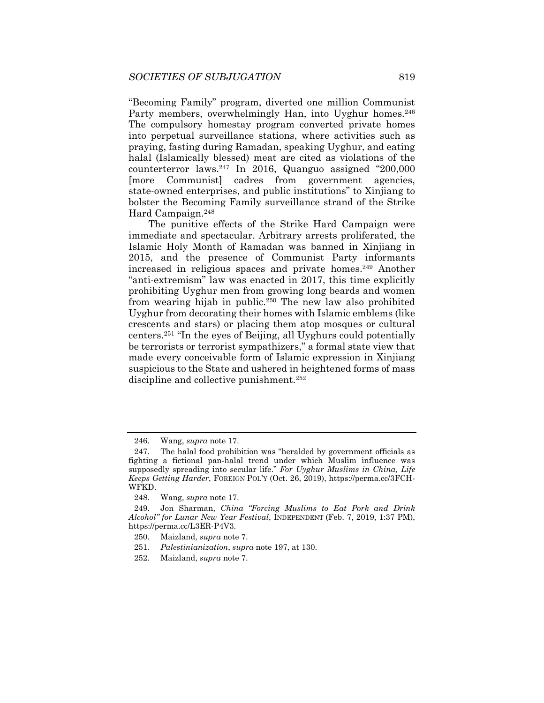"Becoming Family" program, diverted one million Communist Party members, overwhelmingly Han, into Uyghur homes.<sup>246</sup> The compulsory homestay program converted private homes into perpetual surveillance stations, where activities such as praying, fasting during Ramadan, speaking Uyghur, and eating halal (Islamically blessed) meat are cited as violations of the counterterror laws.247 In 2016, Quanguo assigned "200,000 [more Communist] cadres from government agencies, state-owned enterprises, and public institutions" to Xinjiang to bolster the Becoming Family surveillance strand of the Strike Hard Campaign.248

The punitive effects of the Strike Hard Campaign were immediate and spectacular. Arbitrary arrests proliferated, the Islamic Holy Month of Ramadan was banned in Xinjiang in 2015, and the presence of Communist Party informants increased in religious spaces and private homes.249 Another "anti-extremism" law was enacted in 2017, this time explicitly prohibiting Uyghur men from growing long beards and women from wearing hijab in public.250 The new law also prohibited Uyghur from decorating their homes with Islamic emblems (like crescents and stars) or placing them atop mosques or cultural centers.251 "In the eyes of Beijing, all Uyghurs could potentially be terrorists or terrorist sympathizers," a formal state view that made every conceivable form of Islamic expression in Xinjiang suspicious to the State and ushered in heightened forms of mass discipline and collective punishment.252

251*. Palestinianization*, *supra* note 197, at 130.

 <sup>246.</sup> Wang, *supra* note 17.

 <sup>247.</sup> The halal food prohibition was "heralded by government officials as fighting a fictional pan-halal trend under which Muslim influence was supposedly spreading into secular life." *For Uyghur Muslims in China, Life Keeps Getting Harder*, FOREIGN POL'Y (Oct. 26, 2019), https://perma.cc/3FCH-WFKD.

 <sup>248.</sup> Wang, *supra* note 17.

 <sup>249.</sup> Jon Sharman, *China "Forcing Muslims to Eat Pork and Drink Alcohol" for Lunar New Year Festival*, INDEPENDENT (Feb. 7, 2019, 1:37 PM), https://perma.cc/L3ER-P4V3.

 <sup>250.</sup> Maizland, *supra* note 7.

 <sup>252.</sup> Maizland, *supra* note 7.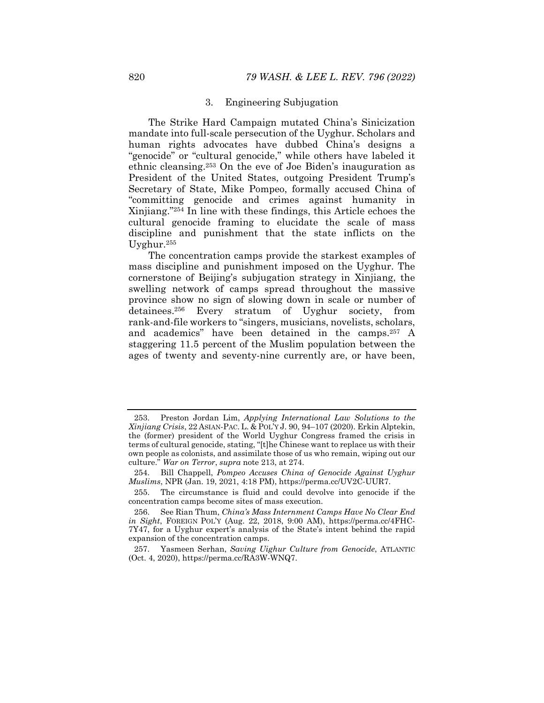### 3. Engineering Subjugation

The Strike Hard Campaign mutated China's Sinicization mandate into full-scale persecution of the Uyghur. Scholars and human rights advocates have dubbed China's designs a "genocide" or "cultural genocide," while others have labeled it ethnic cleansing.253 On the eve of Joe Biden's inauguration as President of the United States, outgoing President Trump's Secretary of State, Mike Pompeo, formally accused China of "committing genocide and crimes against humanity in Xinjiang."254 In line with these findings, this Article echoes the cultural genocide framing to elucidate the scale of mass discipline and punishment that the state inflicts on the Uyghur.255

The concentration camps provide the starkest examples of mass discipline and punishment imposed on the Uyghur. The cornerstone of Beijing's subjugation strategy in Xinjiang, the swelling network of camps spread throughout the massive province show no sign of slowing down in scale or number of detainees.256 Every stratum of Uyghur society, from rank-and-file workers to "singers, musicians, novelists, scholars, and academics" have been detained in the camps.257 A staggering 11.5 percent of the Muslim population between the ages of twenty and seventy-nine currently are, or have been,

 <sup>253.</sup> Preston Jordan Lim, *Applying International Law Solutions to the Xinjiang Crisis*, 22 ASIAN-PAC. L. & POL'Y J. 90, 94–107 (2020). Erkin Alptekin, the (former) president of the World Uyghur Congress framed the crisis in terms of cultural genocide, stating, "[t]he Chinese want to replace us with their own people as colonists, and assimilate those of us who remain, wiping out our culture." *War on Terror*, *supra* note 213, at 274.

 <sup>254.</sup> Bill Chappell, *Pompeo Accuses China of Genocide Against Uyghur Muslims*, NPR (Jan. 19, 2021, 4:18 PM), https://perma.cc/UV2C-UUR7.

 <sup>255.</sup> The circumstance is fluid and could devolve into genocide if the concentration camps become sites of mass execution.

 <sup>256.</sup> See Rian Thum, *China's Mass Internment Camps Have No Clear End in Sight*, FOREIGN POL'Y (Aug. 22, 2018, 9:00 AM), https://perma.cc/4FHC-7Y47, for a Uyghur expert's analysis of the State's intent behind the rapid expansion of the concentration camps.

 <sup>257.</sup> Yasmeen Serhan, *Saving Uighur Culture from Genocide*, ATLANTIC (Oct. 4, 2020), https://perma.cc/RA3W-WNQ7.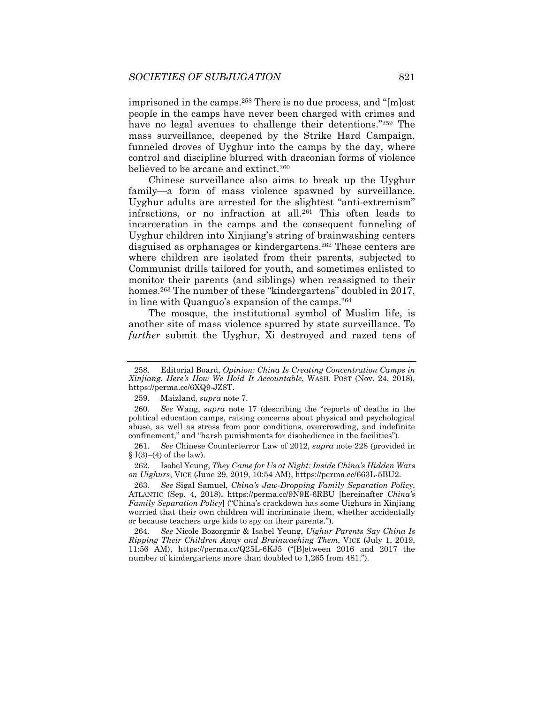imprisoned in the camps.258 There is no due process, and "[m]ost people in the camps have never been charged with crimes and have no legal avenues to challenge their detentions."<sup>259</sup> The mass surveillance, deepened by the Strike Hard Campaign, funneled droves of Uyghur into the camps by the day, where control and discipline blurred with draconian forms of violence believed to be arcane and extinct.<sup>260</sup>

Chinese surveillance also aims to break up the Uyghur family—a form of mass violence spawned by surveillance. Uyghur adults are arrested for the slightest "anti-extremism" infractions, or no infraction at all.261 This often leads to incarceration in the camps and the consequent funneling of Uyghur children into Xinjiang's string of brainwashing centers disguised as orphanages or kindergartens.262 These centers are where children are isolated from their parents, subjected to Communist drills tailored for youth, and sometimes enlisted to monitor their parents (and siblings) when reassigned to their homes.<sup>263</sup> The number of these "kindergartens" doubled in 2017, in line with Quanguo's expansion of the camps.264

The mosque, the institutional symbol of Muslim life, is another site of mass violence spurred by state surveillance. To *further* submit the Uyghur, Xi destroyed and razed tens of

 262. Isobel Yeung, *They Came for Us at Night: Inside China's Hidden Wars on Uighurs*, VICE (June 29, 2019, 10:54 AM), https://perma.cc/663L-5BU2.

 <sup>258.</sup> Editorial Board, *Opinion: China Is Creating Concentration Camps in Xinjiang. Here's How We Hold It Accountable*, WASH. POST (Nov. 24, 2018), https://perma.cc/6XQ9-JZ8T.

 <sup>259.</sup> Maizland, *supra* note 7.

<sup>260</sup>*. See* Wang, *supra* note 17 (describing the "reports of deaths in the political education camps, raising concerns about physical and psychological abuse, as well as stress from poor conditions, overcrowding, and indefinite confinement," and "harsh punishments for disobedience in the facilities").

<sup>261</sup>*. See* Chinese Counterterror Law of 2012, *supra* note 228 (provided in §  $I(3)–(4)$  of the law).

<sup>263</sup>*. See* Sigal Samuel, *China's Jaw-Dropping Family Separation Policy*, ATLANTIC (Sep. 4, 2018), https://perma.cc/9N9E-6RBU [hereinafter *China's Family Separation Policy*] ("China's crackdown has some Uighurs in Xinjiang worried that their own children will incriminate them, whether accidentally or because teachers urge kids to spy on their parents.").

<sup>264</sup>*. See* Nicole Bozorgmir & Isabel Yeung, *Uighur Parents Say China Is Ripping Their Children Away and Brainwashing Them*, VICE (July 1, 2019, 11:56 AM), https://perma.cc/Q25L-6KJ5 ("[B]etween 2016 and 2017 the number of kindergartens more than doubled to 1,265 from 481.").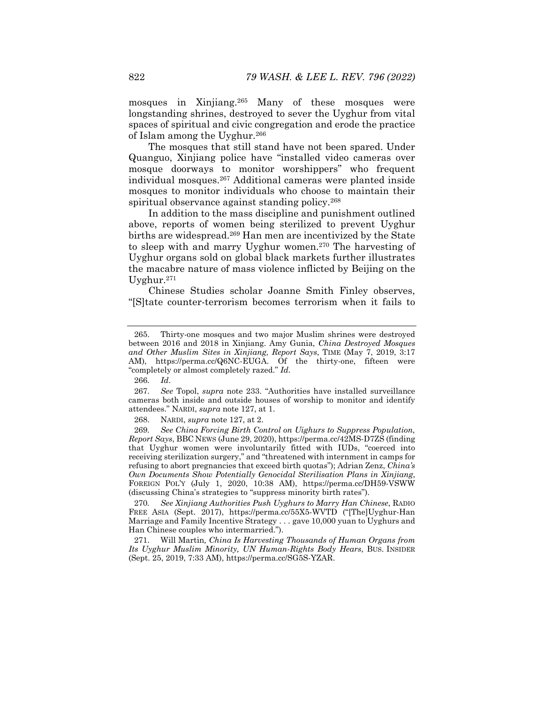mosques in Xinjiang.265 Many of these mosques were longstanding shrines, destroyed to sever the Uyghur from vital spaces of spiritual and civic congregation and erode the practice of Islam among the Uyghur.266

The mosques that still stand have not been spared. Under Quanguo, Xinjiang police have "installed video cameras over mosque doorways to monitor worshippers" who frequent individual mosques.267 Additional cameras were planted inside mosques to monitor individuals who choose to maintain their spiritual observance against standing policy.<sup>268</sup>

In addition to the mass discipline and punishment outlined above, reports of women being sterilized to prevent Uyghur births are widespread.269 Han men are incentivized by the State to sleep with and marry Uyghur women.270 The harvesting of Uyghur organs sold on global black markets further illustrates the macabre nature of mass violence inflicted by Beijing on the Uyghur.271

Chinese Studies scholar Joanne Smith Finley observes, "[S]tate counter-terrorism becomes terrorism when it fails to

 <sup>265.</sup> Thirty-one mosques and two major Muslim shrines were destroyed between 2016 and 2018 in Xinjiang. Amy Gunia, *China Destroyed Mosques and Other Muslim Sites in Xinjiang, Report Says*, TIME (May 7, 2019, 3:17 AM), https://perma.cc/Q6NC-EUGA. Of the thirty-one, fifteen were "completely or almost completely razed." *Id.* 

<sup>266</sup>*. Id*.

 <sup>267.</sup> *See* Topol, *supra* note 233. "Authorities have installed surveillance cameras both inside and outside houses of worship to monitor and identify attendees." NARDI, *supra* note 127, at 1.

 <sup>268.</sup> NARDI, *supra* note 127, at 2.

<sup>269</sup>*. See China Forcing Birth Control on Uighurs to Suppress Population, Report Says*, BBC NEWS (June 29, 2020), https://perma.cc/42MS-D7ZS (finding that Uyghur women were involuntarily fitted with IUDs, "coerced into receiving sterilization surgery," and "threatened with internment in camps for refusing to abort pregnancies that exceed birth quotas"); Adrian Zenz, *China's Own Documents Show Potentially Genocidal Sterilisation Plans in Xinjiang*, FOREIGN POL'Y (July 1, 2020, 10:38 AM), https://perma.cc/DH59-VSWW (discussing China's strategies to "suppress minority birth rates").

<sup>270</sup>*. See Xinjiang Authorities Push Uyghurs to Marry Han Chinese*, RADIO FREE ASIA (Sept. 2017), https://perma.cc/55X5-WVTD ("[The]Uyghur-Han Marriage and Family Incentive Strategy . . . gave 10,000 yuan to Uyghurs and Han Chinese couples who intermarried.").

 <sup>271.</sup> Will Martin*, China Is Harvesting Thousands of Human Organs from Its Uyghur Muslim Minority, UN Human-Rights Body Hears*, BUS. INSIDER (Sept. 25, 2019, 7:33 AM), https://perma.cc/SG5S-YZAR.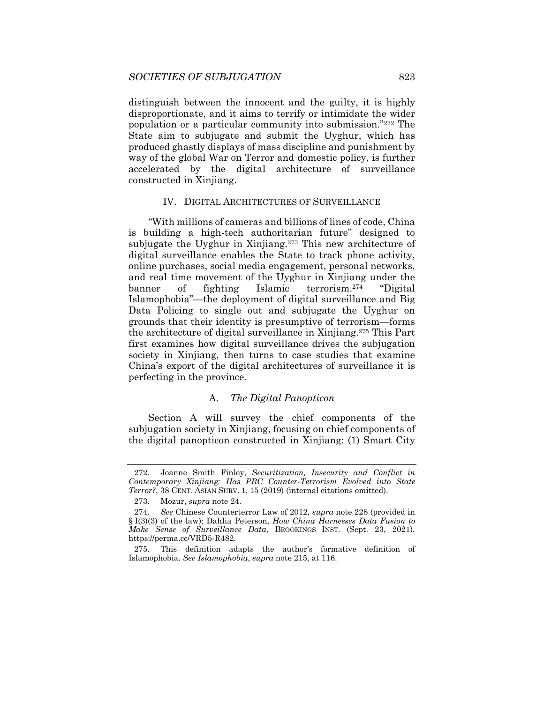distinguish between the innocent and the guilty, it is highly disproportionate, and it aims to terrify or intimidate the wider population or a particular community into submission."272 The State aim to subjugate and submit the Uyghur, which has produced ghastly displays of mass discipline and punishment by way of the global War on Terror and domestic policy, is further accelerated by the digital architecture of surveillance constructed in Xinjiang.

### IV. DIGITAL ARCHITECTURES OF SURVEILLANCE

"With millions of cameras and billions of lines of code, China is building a high-tech authoritarian future" designed to subjugate the Uyghur in Xinjiang.<sup>273</sup> This new architecture of digital surveillance enables the State to track phone activity, online purchases, social media engagement, personal networks, and real time movement of the Uyghur in Xinjiang under the banner of fighting Islamic terrorism.274 "Digital Islamophobia"—the deployment of digital surveillance and Big Data Policing to single out and subjugate the Uyghur on grounds that their identity is presumptive of terrorism—forms the architecture of digital surveillance in Xinjiang.275 This Part first examines how digital surveillance drives the subjugation society in Xinjiang, then turns to case studies that examine China's export of the digital architectures of surveillance it is perfecting in the province.

# A. *The Digital Panopticon*

Section A will survey the chief components of the subjugation society in Xinjiang, focusing on chief components of the digital panopticon constructed in Xinjiang: (1) Smart City

 <sup>272.</sup> Joanne Smith Finley, *Securitization, Insecurity and Conflict in Contemporary Xinjiang: Has PRC Counter-Terrorism Evolved into State Terror?*, 38 CENT. ASIAN SURV. 1, 15 (2019) (internal citations omitted).

 <sup>273.</sup> Mozur, *supra* note 24.

<sup>274</sup>*. See* Chinese Counterterror Law of 2012, *supra* note 228 (provided in § I(3)(3) of the law); Dahlia Peterson, *How China Harnesses Data Fusion to Make Sense of Surveillance Data*, BROOKINGS INST. (Sept. 23, 2021), https://perma.cc/VRD5-R482.

 <sup>275.</sup> This definition adapts the author's formative definition of Islamophobia. *See Islamophobia*, *supra* note 215, at 116.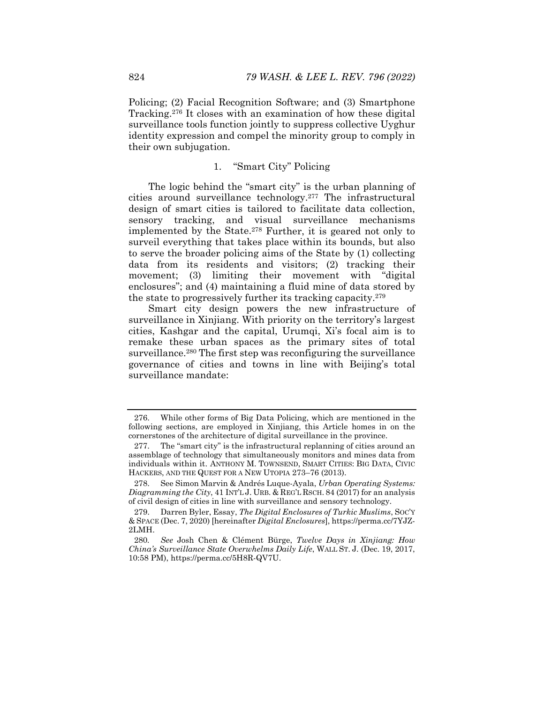Policing; (2) Facial Recognition Software; and (3) Smartphone Tracking.276 It closes with an examination of how these digital surveillance tools function jointly to suppress collective Uyghur identity expression and compel the minority group to comply in their own subjugation.

# 1. "Smart City" Policing

The logic behind the "smart city" is the urban planning of cities around surveillance technology.277 The infrastructural design of smart cities is tailored to facilitate data collection, sensory tracking, and visual surveillance mechanisms implemented by the State.278 Further, it is geared not only to surveil everything that takes place within its bounds, but also to serve the broader policing aims of the State by (1) collecting data from its residents and visitors; (2) tracking their movement; (3) limiting their movement with "digital enclosures"; and (4) maintaining a fluid mine of data stored by the state to progressively further its tracking capacity.279

Smart city design powers the new infrastructure of surveillance in Xinjiang. With priority on the territory's largest cities, Kashgar and the capital, Urumqi, Xi's focal aim is to remake these urban spaces as the primary sites of total surveillance.<sup>280</sup> The first step was reconfiguring the surveillance governance of cities and towns in line with Beijing's total surveillance mandate:

 <sup>276.</sup> While other forms of Big Data Policing, which are mentioned in the following sections, are employed in Xinjiang, this Article homes in on the cornerstones of the architecture of digital surveillance in the province.

 <sup>277.</sup> The "smart city" is the infrastructural replanning of cities around an assemblage of technology that simultaneously monitors and mines data from individuals within it. ANTHONY M. TOWNSEND, SMART CITIES: BIG DATA, CIVIC HACKERS, AND THE QUEST FOR A NEW UTOPIA 273–76 (2013).

 <sup>278.</sup> See Simon Marvin & Andrés Luque-Ayala, *Urban Operating Systems: Diagramming the City*, 41 INT'L J. URB. & REG'L RSCH. 84 (2017) for an analysis of civil design of cities in line with surveillance and sensory technology.

 <sup>279.</sup> Darren Byler, Essay, *The Digital Enclosures of Turkic Muslims*, SOC'Y & SPACE (Dec. 7, 2020) [hereinafter *Digital Enclosures*], https://perma.cc/7YJZ-2LMH.

<sup>280</sup>*. See* Josh Chen & Clément Bürge, *Twelve Days in Xinjiang: How China's Surveillance State Overwhelms Daily Life*, WALL ST. J. (Dec. 19, 2017, 10:58 PM), https://perma.cc/5H8R-QV7U.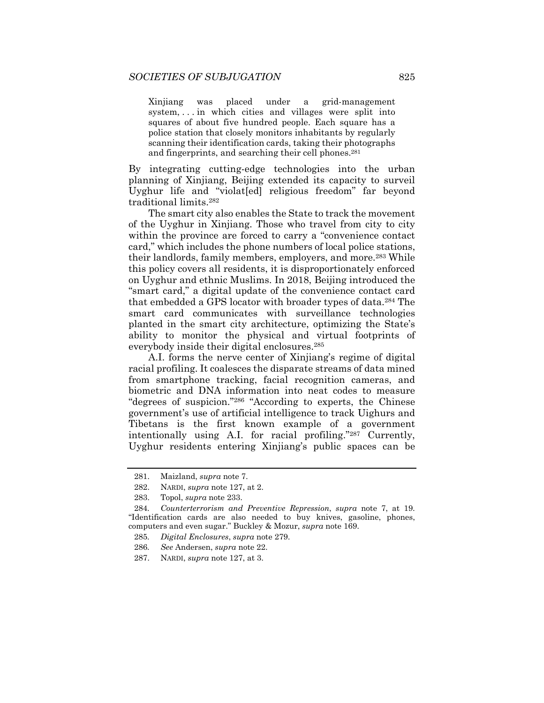Xinjiang was placed under a grid-management system, . . . in which cities and villages were split into squares of about five hundred people. Each square has a police station that closely monitors inhabitants by regularly scanning their identification cards, taking their photographs and fingerprints, and searching their cell phones.281

By integrating cutting-edge technologies into the urban planning of Xinjiang, Beijing extended its capacity to surveil Uyghur life and "violat[ed] religious freedom" far beyond traditional limits.282

The smart city also enables the State to track the movement of the Uyghur in Xinjiang. Those who travel from city to city within the province are forced to carry a "convenience contact card," which includes the phone numbers of local police stations, their landlords, family members, employers, and more.283 While this policy covers all residents, it is disproportionately enforced on Uyghur and ethnic Muslims. In 2018, Beijing introduced the "smart card," a digital update of the convenience contact card that embedded a GPS locator with broader types of data.284 The smart card communicates with surveillance technologies planted in the smart city architecture, optimizing the State's ability to monitor the physical and virtual footprints of everybody inside their digital enclosures.285

A.I. forms the nerve center of Xinjiang's regime of digital racial profiling. It coalesces the disparate streams of data mined from smartphone tracking, facial recognition cameras, and biometric and DNA information into neat codes to measure "degrees of suspicion."286 "According to experts, the Chinese government's use of artificial intelligence to track Uighurs and Tibetans is the first known example of a government intentionally using A.I. for racial profiling."287 Currently, Uyghur residents entering Xinjiang's public spaces can be

 <sup>281.</sup> Maizland, *supra* note 7.

 <sup>282.</sup> NARDI, *supra* note 127, at 2.

 <sup>283.</sup> Topol, *supra* note 233.

<sup>284</sup>*. Counterterrorism and Preventive Repression*, *supra* note 7, at 19. "Identification cards are also needed to buy knives, gasoline, phones, computers and even sugar." Buckley & Mozur, *supra* note 169.

<sup>285</sup>*. Digital Enclosures*, *supra* note 279.

<sup>286</sup>*. See* Andersen, *supra* note 22.

 <sup>287.</sup> NARDI, *supra* note 127, at 3.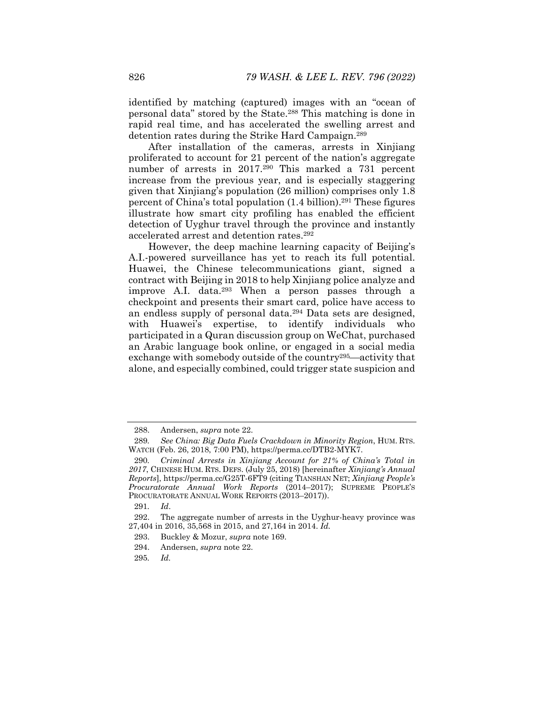identified by matching (captured) images with an "ocean of personal data" stored by the State.288 This matching is done in rapid real time, and has accelerated the swelling arrest and detention rates during the Strike Hard Campaign.289

After installation of the cameras, arrests in Xinjiang proliferated to account for 21 percent of the nation's aggregate number of arrests in 2017.<sup>290</sup> This marked a 731 percent increase from the previous year, and is especially staggering given that Xinjiang's population (26 million) comprises only 1.8 percent of China's total population  $(1.4 \text{ billion})$ .<sup>291</sup> These figures illustrate how smart city profiling has enabled the efficient detection of Uyghur travel through the province and instantly accelerated arrest and detention rates.292

However, the deep machine learning capacity of Beijing's A.I.-powered surveillance has yet to reach its full potential. Huawei, the Chinese telecommunications giant, signed a contract with Beijing in 2018 to help Xinjiang police analyze and improve A.I. data.293 When a person passes through a checkpoint and presents their smart card, police have access to an endless supply of personal data.294 Data sets are designed, with Huawei's expertise, to identify individuals who participated in a Quran discussion group on WeChat, purchased an Arabic language book online, or engaged in a social media exchange with somebody outside of the country<sup>295</sup>—activity that alone, and especially combined, could trigger state suspicion and

 <sup>288.</sup> Andersen, *supra* note 22.

<sup>289</sup>*. See China: Big Data Fuels Crackdown in Minority Region*, HUM. RTS. WATCH (Feb. 26, 2018, 7:00 PM), https://perma.cc/DTB2-MYK7.

<sup>290</sup>*. Criminal Arrests in Xinjiang Account for 21% of China's Total in 2017*, CHINESE HUM. RTS. DEFS. (July 25, 2018) [hereinafter *Xinjiang's Annual Reports*], https://perma.cc/G25T-6FT9 (citing TIANSHAN NET; *Xinjiang People's Procuratorate Annual Work Reports* (2014–2017); SUPREME PEOPLE'S PROCURATORATE ANNUAL WORK REPORTS (2013–2017)).

<sup>291</sup>*. Id*.

 <sup>292.</sup> The aggregate number of arrests in the Uyghur-heavy province was 27,404 in 2016, 35,568 in 2015, and 27,164 in 2014. *Id.*

 <sup>293.</sup> Buckley & Mozur, *supra* note 169.

 <sup>294.</sup> Andersen, *supra* note 22.

<sup>295</sup>*. Id.*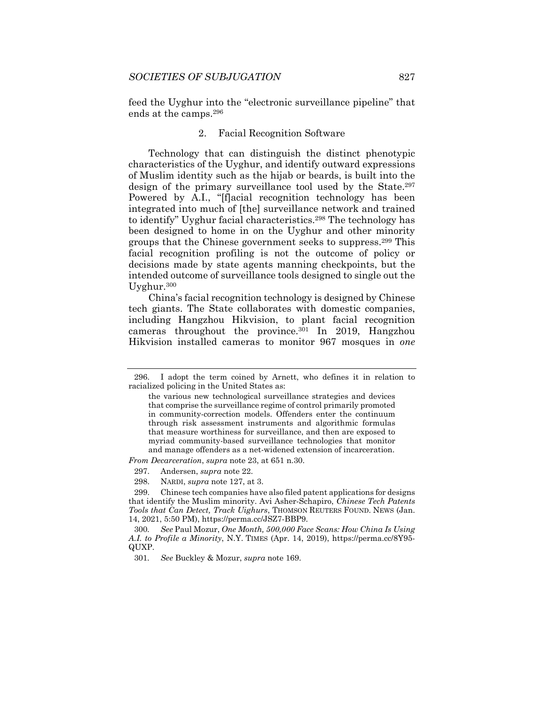feed the Uyghur into the "electronic surveillance pipeline" that ends at the camps.296

### 2. Facial Recognition Software

Technology that can distinguish the distinct phenotypic characteristics of the Uyghur, and identify outward expressions of Muslim identity such as the hijab or beards, is built into the design of the primary surveillance tool used by the State.<sup>297</sup> Powered by A.I., "[f]acial recognition technology has been integrated into much of [the] surveillance network and trained to identify" Uyghur facial characteristics.298 The technology has been designed to home in on the Uyghur and other minority groups that the Chinese government seeks to suppress.299 This facial recognition profiling is not the outcome of policy or decisions made by state agents manning checkpoints, but the intended outcome of surveillance tools designed to single out the Uyghur.300

China's facial recognition technology is designed by Chinese tech giants. The State collaborates with domestic companies, including Hangzhou Hikvision, to plant facial recognition cameras throughout the province.301 In 2019, Hangzhou Hikvision installed cameras to monitor 967 mosques in *one*

*From Decarceration*, *supra* note 23, at 651 n.30.

298. NARDI, *supra* note 127, at 3.

 <sup>296.</sup> I adopt the term coined by Arnett, who defines it in relation to racialized policing in the United States as:

the various new technological surveillance strategies and devices that comprise the surveillance regime of control primarily promoted in community-correction models. Offenders enter the continuum through risk assessment instruments and algorithmic formulas that measure worthiness for surveillance, and then are exposed to myriad community-based surveillance technologies that monitor and manage offenders as a net-widened extension of incarceration.

 <sup>297.</sup> Andersen, *supra* note 22.

 <sup>299.</sup> Chinese tech companies have also filed patent applications for designs that identify the Muslim minority. Avi Asher-Schapiro, *Chinese Tech Patents Tools that Can Detect, Track Uighurs*, THOMSON REUTERS FOUND. NEWS (Jan. 14, 2021, 5:50 PM), https://perma.cc/JSZ7-BBP9.

<sup>300</sup>*. See* Paul Mozur, *One Month, 500,000 Face Scans: How China Is Using A.I. to Profile a Minority*, N.Y. TIMES (Apr. 14, 2019), https://perma.cc/8Y95- QUXP.

<sup>301</sup>*. See* Buckley & Mozur, *supra* note 169.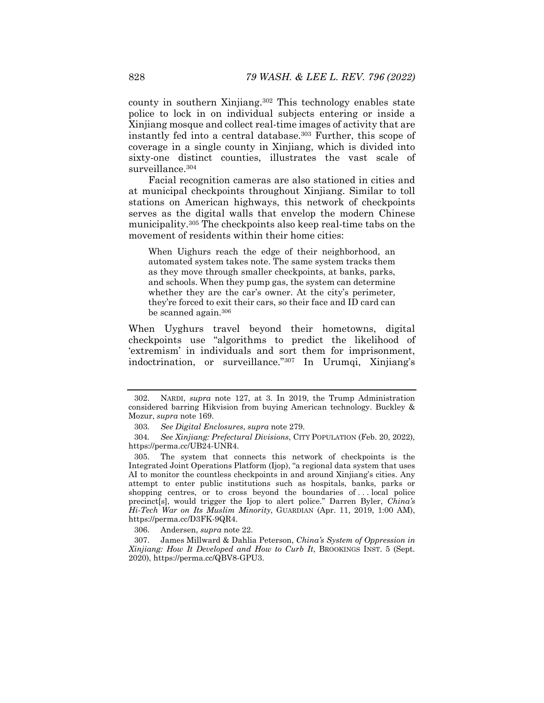county in southern Xinjiang.302 This technology enables state police to lock in on individual subjects entering or inside a Xinjiang mosque and collect real-time images of activity that are instantly fed into a central database.303 Further, this scope of coverage in a single county in Xinjiang, which is divided into sixty-one distinct counties, illustrates the vast scale of surveillance.<sup>304</sup>

Facial recognition cameras are also stationed in cities and at municipal checkpoints throughout Xinjiang. Similar to toll stations on American highways, this network of checkpoints serves as the digital walls that envelop the modern Chinese municipality.305 The checkpoints also keep real-time tabs on the movement of residents within their home cities:

When Uighurs reach the edge of their neighborhood, an automated system takes note. The same system tracks them as they move through smaller checkpoints, at banks, parks, and schools. When they pump gas, the system can determine whether they are the car's owner. At the city's perimeter, they're forced to exit their cars, so their face and ID card can be scanned again.306

When Uyghurs travel beyond their hometowns, digital checkpoints use "algorithms to predict the likelihood of 'extremism' in individuals and sort them for imprisonment, indoctrination, or surveillance."307 In Urumqi, Xinjiang's

306. Andersen, *supra* note 22.

 <sup>302.</sup> NARDI, *supra* note 127, at 3. In 2019, the Trump Administration considered barring Hikvision from buying American technology. Buckley & Mozur, *supra* note 169.

<sup>303</sup>*. See Digital Enclosures*, *supra* note 279.

<sup>304</sup>*. See Xinjiang: Prefectural Divisions*, CITY POPULATION (Feb. 20, 2022), https://perma.cc/UB24-UNR4.

 <sup>305.</sup> The system that connects this network of checkpoints is the Integrated Joint Operations Platform (Ijop), "a regional data system that uses AI to monitor the countless checkpoints in and around Xinjiang's cities. Any attempt to enter public institutions such as hospitals, banks, parks or shopping centres, or to cross beyond the boundaries of ... local police precinct[s], would trigger the Ijop to alert police." Darren Byler, *China's Hi-Tech War on Its Muslim Minority*, GUARDIAN (Apr. 11, 2019, 1:00 AM), https://perma.cc/D3FK-9QR4.

 <sup>307.</sup> James Millward & Dahlia Peterson, *China's System of Oppression in Xinjiang: How It Developed and How to Curb It*, BROOKINGS INST. 5 (Sept. 2020), https://perma.cc/QBV8-GPU3.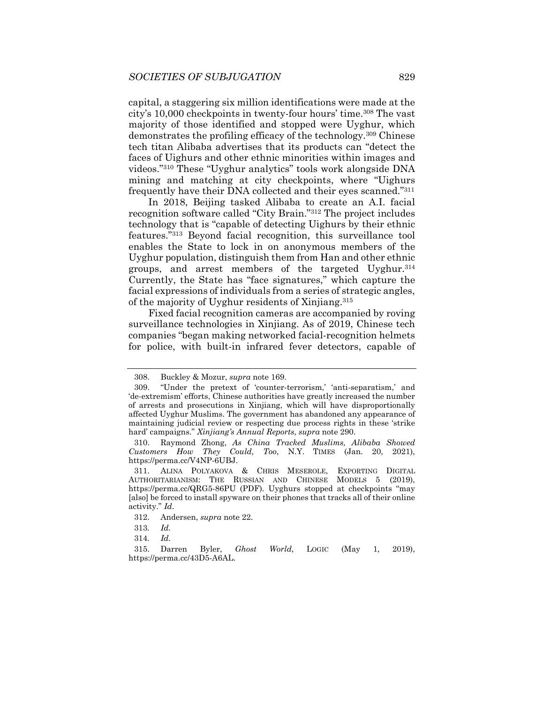capital, a staggering six million identifications were made at the city's 10,000 checkpoints in twenty-four hours' time.308 The vast majority of those identified and stopped were Uyghur, which demonstrates the profiling efficacy of the technology.309 Chinese tech titan Alibaba advertises that its products can "detect the faces of Uighurs and other ethnic minorities within images and videos."310 These "Uyghur analytics" tools work alongside DNA mining and matching at city checkpoints, where "Uighurs frequently have their DNA collected and their eyes scanned."311

In 2018, Beijing tasked Alibaba to create an A.I. facial recognition software called "City Brain."312 The project includes technology that is "capable of detecting Uighurs by their ethnic features."313 Beyond facial recognition, this surveillance tool enables the State to lock in on anonymous members of the Uyghur population, distinguish them from Han and other ethnic groups, and arrest members of the targeted Uyghur.314 Currently, the State has "face signatures," which capture the facial expressions of individuals from a series of strategic angles, of the majority of Uyghur residents of Xinjiang.315

Fixed facial recognition cameras are accompanied by roving surveillance technologies in Xinjiang. As of 2019, Chinese tech companies "began making networked facial-recognition helmets for police, with built-in infrared fever detectors, capable of

 <sup>308.</sup> Buckley & Mozur, *supra* note 169.

 <sup>309. &</sup>quot;Under the pretext of 'counter-terrorism,' 'anti-separatism,' and 'de-extremism' efforts, Chinese authorities have greatly increased the number of arrests and prosecutions in Xinjiang, which will have disproportionally affected Uyghur Muslims. The government has abandoned any appearance of maintaining judicial review or respecting due process rights in these 'strike hard' campaigns." *Xinjiang's Annual Reports*, *supra* note 290.

 <sup>310.</sup> Raymond Zhong, *As China Tracked Muslims, Alibaba Showed Customers How They Could, Too*, N.Y. TIMES (Jan. 20, 2021), https://perma.cc/V4NP-6UBJ.

 <sup>311.</sup> ALINA POLYAKOVA & CHRIS MESEROLE, EXPORTING DIGITAL AUTHORITARIANISM: THE RUSSIAN AND CHINESE MODELS 5 (2019), https://perma.cc/QRG5-86PU (PDF). Uyghurs stopped at checkpoints "may [also] be forced to install spyware on their phones that tracks all of their online activity." *Id*.

 <sup>312.</sup> Andersen, *supra* note 22.

<sup>313</sup>*. Id.*

<sup>314</sup>*. Id.* 

 <sup>315.</sup> Darren Byler, *Ghost World*, LOGIC (May 1, 2019), https://perma.cc/43D5-A6AL.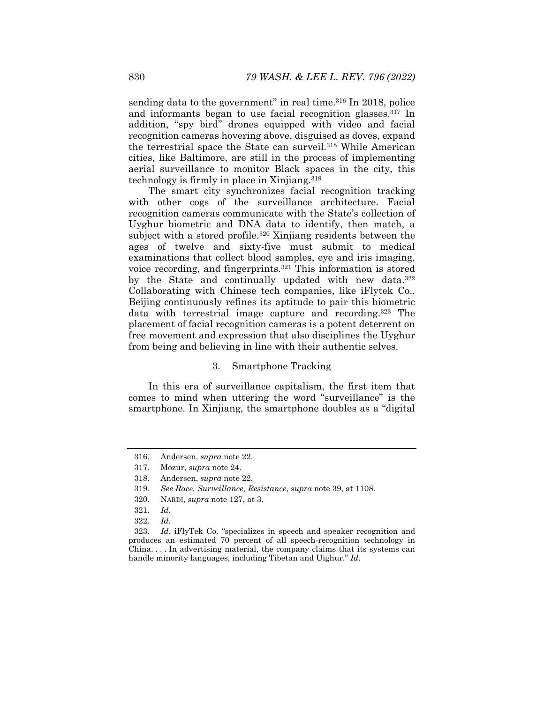sending data to the government" in real time.<sup>316</sup> In 2018, police and informants began to use facial recognition glasses.317 In addition, "spy bird" drones equipped with video and facial recognition cameras hovering above, disguised as doves, expand the terrestrial space the State can surveil.<sup>318</sup> While American cities, like Baltimore, are still in the process of implementing aerial surveillance to monitor Black spaces in the city, this technology is firmly in place in Xinjiang.319

The smart city synchronizes facial recognition tracking with other cogs of the surveillance architecture. Facial recognition cameras communicate with the State's collection of Uyghur biometric and DNA data to identify, then match, a subject with a stored profile.<sup>320</sup> Xinjiang residents between the ages of twelve and sixty-five must submit to medical examinations that collect blood samples, eye and iris imaging, voice recording, and fingerprints.321 This information is stored by the State and continually updated with new data.<sup>322</sup> Collaborating with Chinese tech companies, like iFlytek Co., Beijing continuously refines its aptitude to pair this biometric data with terrestrial image capture and recording.<sup>323</sup> The placement of facial recognition cameras is a potent deterrent on free movement and expression that also disciplines the Uyghur from being and believing in line with their authentic selves.

## 3. Smartphone Tracking

In this era of surveillance capitalism, the first item that comes to mind when uttering the word "surveillance" is the smartphone. In Xinjiang, the smartphone doubles as a "digital

 <sup>316.</sup> Andersen, *supra* note 22.

 <sup>317.</sup> Mozur, *supra* note 24.

 <sup>318.</sup> Andersen, *supra* note 22.

<sup>319</sup>*. See Race, Surveillance, Resistance*, *supra* note 39, at 1108.

 <sup>320.</sup> NARDI, *supra* note 127, at 3.

<sup>321</sup>*. Id.*

<sup>322</sup>*. Id.* 

 <sup>323.</sup> *Id*. iFlyTek Co. "specializes in speech and speaker recognition and produces an estimated 70 percent of all speech-recognition technology in China. . . . In advertising material, the company claims that its systems can handle minority languages, including Tibetan and Uighur." *Id.*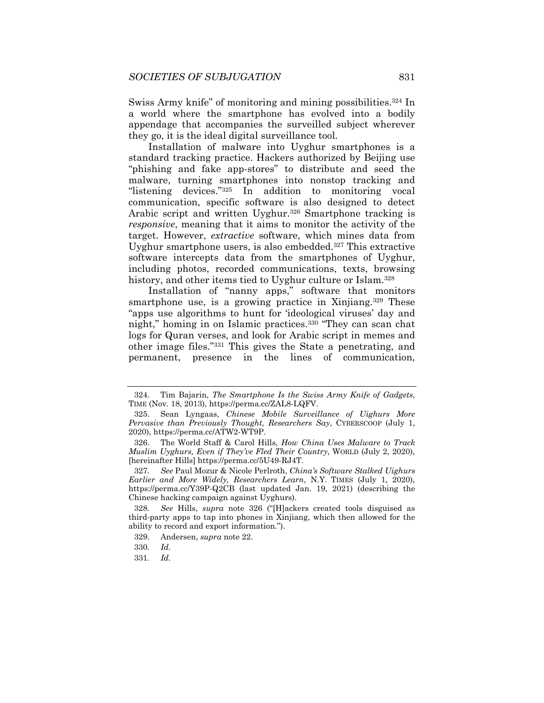Swiss Army knife" of monitoring and mining possibilities.<sup>324</sup> In a world where the smartphone has evolved into a bodily appendage that accompanies the surveilled subject wherever they go, it is the ideal digital surveillance tool.

Installation of malware into Uyghur smartphones is a standard tracking practice. Hackers authorized by Beijing use "phishing and fake app-stores" to distribute and seed the malware, turning smartphones into nonstop tracking and "listening devices."325 In addition to monitoring vocal communication, specific software is also designed to detect Arabic script and written Uyghur.<sup>326</sup> Smartphone tracking is *responsive*, meaning that it aims to monitor the activity of the target. However, *extractive* software, which mines data from Uyghur smartphone users, is also embedded.327 This extractive software intercepts data from the smartphones of Uyghur, including photos, recorded communications, texts, browsing history, and other items tied to Uyghur culture or Islam.<sup>328</sup>

Installation of "nanny apps," software that monitors smartphone use, is a growing practice in Xinjiang.<sup>329</sup> These "apps use algorithms to hunt for 'ideological viruses' day and night," homing in on Islamic practices.330 "They can scan chat logs for Quran verses, and look for Arabic script in memes and other image files."331 This gives the State a penetrating, and permanent, presence in the lines of communication,

 <sup>324.</sup> Tim Bajarin, *The Smartphone Is the Swiss Army Knife of Gadgets*, TIME (Nov. 18, 2013), https://perma.cc/ZAL8-LQFV.

 <sup>325.</sup> Sean Lyngaas, *Chinese Mobile Surveillance of Uighurs More Pervasive than Previously Thought, Researchers Say*, CYBERSCOOP (July 1, 2020), https://perma.cc/ATW2-WT9P.

 <sup>326.</sup> The World Staff & Carol Hills, *How China Uses Malware to Track Muslim Uyghurs, Even if They've Fled Their Country*, WORLD (July 2, 2020), [hereinafter Hills] https://perma.cc/5U49-RJ4T.

<sup>327</sup>*. See* Paul Mozur & Nicole Perlroth, *China's Software Stalked Uighurs Earlier and More Widely, Researchers Learn*, N.Y. TIMES (July 1, 2020), https://perma.cc/Y39P-Q2CB (last updated Jan. 19, 2021) (describing the Chinese hacking campaign against Uyghurs).

<sup>328</sup>*. See* Hills, *supra* note 326 ("[H]ackers created tools disguised as third-party apps to tap into phones in Xinjiang, which then allowed for the ability to record and export information.").

 <sup>329.</sup> Andersen, *supra* note 22.

<sup>330</sup>*. Id.* 

<sup>331</sup>*. Id.*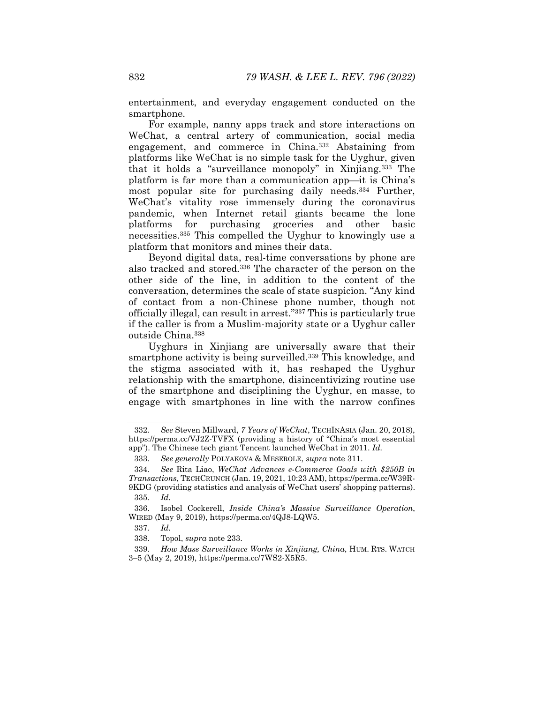entertainment, and everyday engagement conducted on the smartphone.

For example, nanny apps track and store interactions on WeChat, a central artery of communication, social media engagement, and commerce in China.332 Abstaining from platforms like WeChat is no simple task for the Uyghur, given that it holds a "surveillance monopoly" in Xinjiang.333 The platform is far more than a communication app—it is China's most popular site for purchasing daily needs.334 Further, WeChat's vitality rose immensely during the coronavirus pandemic, when Internet retail giants became the lone platforms for purchasing groceries and other basic necessities.335 This compelled the Uyghur to knowingly use a platform that monitors and mines their data.

Beyond digital data, real-time conversations by phone are also tracked and stored.336 The character of the person on the other side of the line, in addition to the content of the conversation, determines the scale of state suspicion. "Any kind of contact from a non-Chinese phone number, though not officially illegal, can result in arrest."337 This is particularly true if the caller is from a Muslim-majority state or a Uyghur caller outside China.338

Uyghurs in Xinjiang are universally aware that their smartphone activity is being surveilled.<sup>339</sup> This knowledge, and the stigma associated with it, has reshaped the Uyghur relationship with the smartphone, disincentivizing routine use of the smartphone and disciplining the Uyghur, en masse, to engage with smartphones in line with the narrow confines

335*. Id.*

<sup>332</sup>*. See* Steven Millward, *7 Years of WeChat*, TECHINASIA (Jan. 20, 2018), https://perma.cc/VJ2Z-TVFX (providing a history of "China's most essential app"). The Chinese tech giant Tencent launched WeChat in 2011. *Id.* 

<sup>333</sup>*. See generally* POLYAKOVA & MESEROLE, *supra* note 311.

<sup>334</sup>*. See* Rita Liao, *WeChat Advances e-Commerce Goals with \$250B in Transactions*, TECHCRUNCH (Jan. 19, 2021, 10:23 AM), https://perma.cc/W39R-9KDG (providing statistics and analysis of WeChat users' shopping patterns).

 <sup>336.</sup> Isobel Cockerell, *Inside China's Massive Surveillance Operation*, WIRED (May 9, 2019), https://perma.cc/4QJ8-LQW5.

<sup>337</sup>*. Id.*

 <sup>338.</sup> Topol, *supra* note 233.

<sup>339</sup>*. How Mass Surveillance Works in Xinjiang, China*, HUM. RTS. WATCH 3–5 (May 2, 2019), https://perma.cc/7WS2-X5R5.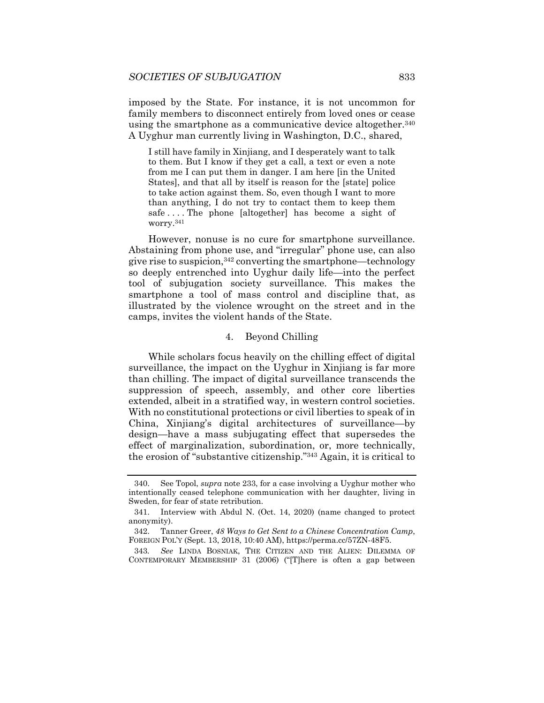imposed by the State. For instance, it is not uncommon for family members to disconnect entirely from loved ones or cease using the smartphone as a communicative device altogether.<sup>340</sup> A Uyghur man currently living in Washington, D.C., shared,

I still have family in Xinjiang, and I desperately want to talk to them. But I know if they get a call, a text or even a note from me I can put them in danger. I am here [in the United States], and that all by itself is reason for the [state] police to take action against them. So, even though I want to more than anything, I do not try to contact them to keep them safe . . . . The phone [altogether] has become a sight of worry.341

However, nonuse is no cure for smartphone surveillance. Abstaining from phone use, and "irregular" phone use, can also give rise to suspicion,  $342$  converting the smartphone—technology so deeply entrenched into Uyghur daily life—into the perfect tool of subjugation society surveillance. This makes the smartphone a tool of mass control and discipline that, as illustrated by the violence wrought on the street and in the camps, invites the violent hands of the State.

# 4. Beyond Chilling

While scholars focus heavily on the chilling effect of digital surveillance, the impact on the Uyghur in Xinjiang is far more than chilling. The impact of digital surveillance transcends the suppression of speech, assembly, and other core liberties extended, albeit in a stratified way, in western control societies. With no constitutional protections or civil liberties to speak of in China, Xinjiang's digital architectures of surveillance—by design—have a mass subjugating effect that supersedes the effect of marginalization, subordination, or, more technically, the erosion of "substantive citizenship."343 Again, it is critical to

 <sup>340.</sup> See Topol, *supra* note 233, for a case involving a Uyghur mother who intentionally ceased telephone communication with her daughter, living in Sweden, for fear of state retribution.

 <sup>341.</sup> Interview with Abdul N. (Oct. 14, 2020) (name changed to protect anonymity).

 <sup>342.</sup> Tanner Greer, *48 Ways to Get Sent to a Chinese Concentration Camp*, FOREIGN POL'Y (Sept. 13, 2018, 10:40 AM), https://perma.cc/57ZN-48F5.

<sup>343</sup>*. See* LINDA BOSNIAK, THE CITIZEN AND THE ALIEN: DILEMMA OF CONTEMPORARY MEMBERSHIP 31 (2006) ("[T]here is often a gap between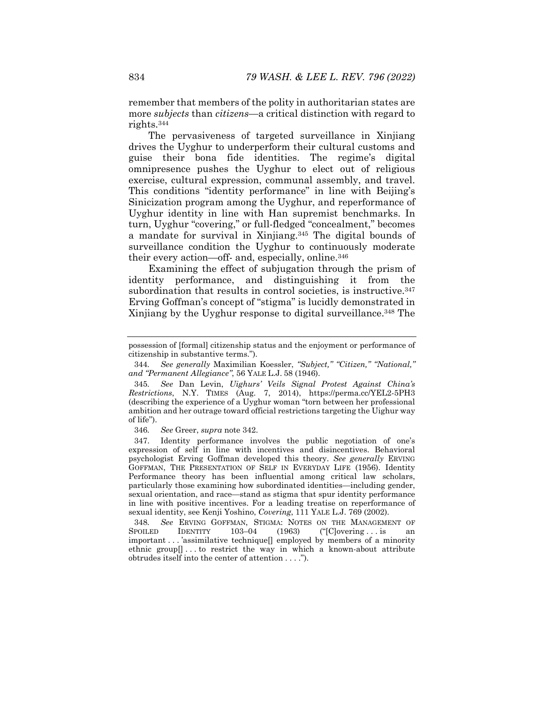remember that members of the polity in authoritarian states are more *subjects* than *citizens*—a critical distinction with regard to rights.344

The pervasiveness of targeted surveillance in Xinjiang drives the Uyghur to underperform their cultural customs and guise their bona fide identities. The regime's digital omnipresence pushes the Uyghur to elect out of religious exercise, cultural expression, communal assembly, and travel. This conditions "identity performance" in line with Beijing's Sinicization program among the Uyghur, and reperformance of Uyghur identity in line with Han supremist benchmarks. In turn, Uyghur "covering," or full-fledged "concealment," becomes a mandate for survival in Xinjiang.345 The digital bounds of surveillance condition the Uyghur to continuously moderate their every action—off- and, especially, online.346

Examining the effect of subjugation through the prism of identity performance, and distinguishing it from the subordination that results in control societies, is instructive.<sup>347</sup> Erving Goffman's concept of "stigma" is lucidly demonstrated in Xinjiang by the Uyghur response to digital surveillance.348 The

346*. See* Greer, *supra* note 342.

 347. Identity performance involves the public negotiation of one's expression of self in line with incentives and disincentives. Behavioral psychologist Erving Goffman developed this theory. *See generally* ERVING GOFFMAN, THE PRESENTATION OF SELF IN EVERYDAY LIFE (1956). Identity Performance theory has been influential among critical law scholars, particularly those examining how subordinated identities—including gender, sexual orientation, and race—stand as stigma that spur identity performance in line with positive incentives. For a leading treatise on reperformance of sexual identity, see Kenji Yoshino, *Covering*, 111 YALE L.J. 769 (2002).

348*. See* ERVING GOFFMAN, STIGMA: NOTES ON THE MANAGEMENT OF  $103-04$   $(1963)$   $(°[C]overing...is$  an important . . . 'assimilative technique[] employed by members of a minority ethnic group[] . . . to restrict the way in which a known-about attribute obtrudes itself into the center of attention . . . .").

possession of [formal] citizenship status and the enjoyment or performance of citizenship in substantive terms.").

<sup>344</sup>*. See generally* Maximilian Koessler, *"Subject," "Citizen," "National," and "Permanent Allegiance"*, 56 YALE L.J. 58 (1946).

<sup>345</sup>*. See* Dan Levin, *Uighurs' Veils Signal Protest Against China's Restrictions*, N.Y. TIMES (Aug. 7, 2014), https://perma.cc/YEL2-5PH3 (describing the experience of a Uyghur woman "torn between her professional ambition and her outrage toward official restrictions targeting the Uighur way of life").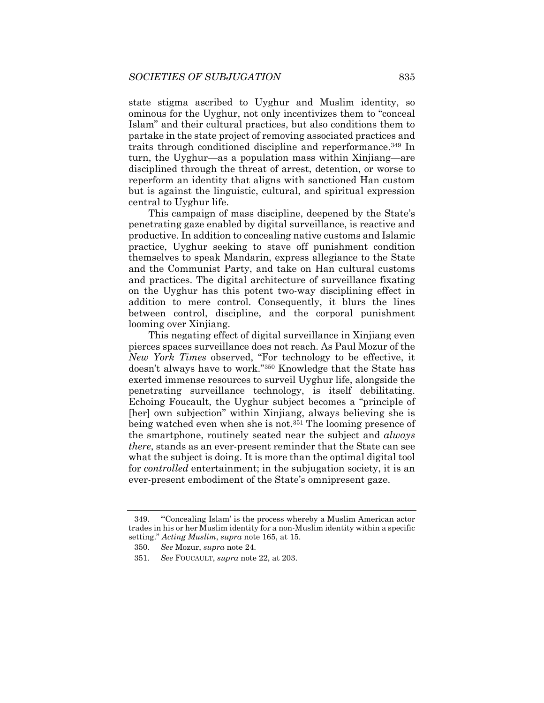state stigma ascribed to Uyghur and Muslim identity, so ominous for the Uyghur, not only incentivizes them to "conceal Islam" and their cultural practices, but also conditions them to partake in the state project of removing associated practices and traits through conditioned discipline and reperformance.349 In turn, the Uyghur—as a population mass within Xinjiang—are disciplined through the threat of arrest, detention, or worse to reperform an identity that aligns with sanctioned Han custom but is against the linguistic, cultural, and spiritual expression central to Uyghur life.

This campaign of mass discipline, deepened by the State's penetrating gaze enabled by digital surveillance, is reactive and productive. In addition to concealing native customs and Islamic practice, Uyghur seeking to stave off punishment condition themselves to speak Mandarin, express allegiance to the State and the Communist Party, and take on Han cultural customs and practices. The digital architecture of surveillance fixating on the Uyghur has this potent two-way disciplining effect in addition to mere control. Consequently, it blurs the lines between control, discipline, and the corporal punishment looming over Xinjiang.

This negating effect of digital surveillance in Xinjiang even pierces spaces surveillance does not reach. As Paul Mozur of the *New York Times* observed, "For technology to be effective, it doesn't always have to work."350 Knowledge that the State has exerted immense resources to surveil Uyghur life, alongside the penetrating surveillance technology, is itself debilitating. Echoing Foucault, the Uyghur subject becomes a "principle of [her] own subjection" within Xinjiang, always believing she is being watched even when she is not.<sup>351</sup> The looming presence of the smartphone, routinely seated near the subject and *always there*, stands as an ever-present reminder that the State can see what the subject is doing. It is more than the optimal digital tool for *controlled* entertainment; in the subjugation society, it is an ever-present embodiment of the State's omnipresent gaze.

 <sup>349. &</sup>quot;'Concealing Islam' is the process whereby a Muslim American actor trades in his or her Muslim identity for a non-Muslim identity within a specific setting." *Acting Muslim*, *supra* note 165, at 15.

<sup>350</sup>*. See* Mozur, *supra* note 24.

<sup>351</sup>*. See* FOUCAULT, *supra* note 22, at 203.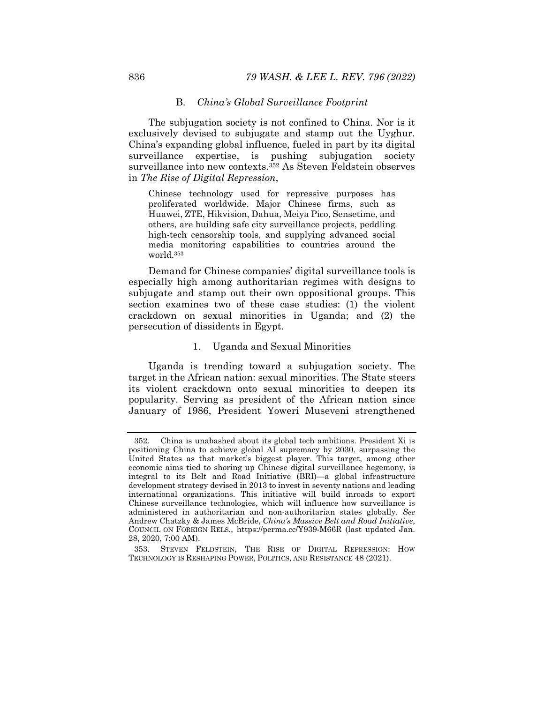#### B. *China's Global Surveillance Footprint*

The subjugation society is not confined to China. Nor is it exclusively devised to subjugate and stamp out the Uyghur. China's expanding global influence, fueled in part by its digital surveillance expertise, is pushing subjugation society surveillance into new contexts.<sup>352</sup> As Steven Feldstein observes in *The Rise of Digital Repression*,

Chinese technology used for repressive purposes has proliferated worldwide. Major Chinese firms, such as Huawei, ZTE, Hikvision, Dahua, Meiya Pico, Sensetime, and others, are building safe city surveillance projects, peddling high-tech censorship tools, and supplying advanced social media monitoring capabilities to countries around the world.353

Demand for Chinese companies' digital surveillance tools is especially high among authoritarian regimes with designs to subjugate and stamp out their own oppositional groups. This section examines two of these case studies: (1) the violent crackdown on sexual minorities in Uganda; and (2) the persecution of dissidents in Egypt.

# 1. Uganda and Sexual Minorities

Uganda is trending toward a subjugation society. The target in the African nation: sexual minorities. The State steers its violent crackdown onto sexual minorities to deepen its popularity. Serving as president of the African nation since January of 1986, President Yoweri Museveni strengthened

 <sup>352.</sup> China is unabashed about its global tech ambitions. President Xi is positioning China to achieve global AI supremacy by 2030, surpassing the United States as that market's biggest player. This target, among other economic aims tied to shoring up Chinese digital surveillance hegemony, is integral to its Belt and Road Initiative (BRI)—a global infrastructure development strategy devised in 2013 to invest in seventy nations and leading international organizations. This initiative will build inroads to export Chinese surveillance technologies, which will influence how surveillance is administered in authoritarian and non-authoritarian states globally. *See* Andrew Chatzky & James McBride, *China's Massive Belt and Road Initiative*, COUNCIL ON FOREIGN RELS., https://perma.cc/Y939-M66R (last updated Jan. 28, 2020, 7:00 AM).

 <sup>353.</sup> STEVEN FELDSTEIN, THE RISE OF DIGITAL REPRESSION: HOW TECHNOLOGY IS RESHAPING POWER, POLITICS, AND RESISTANCE 48 (2021).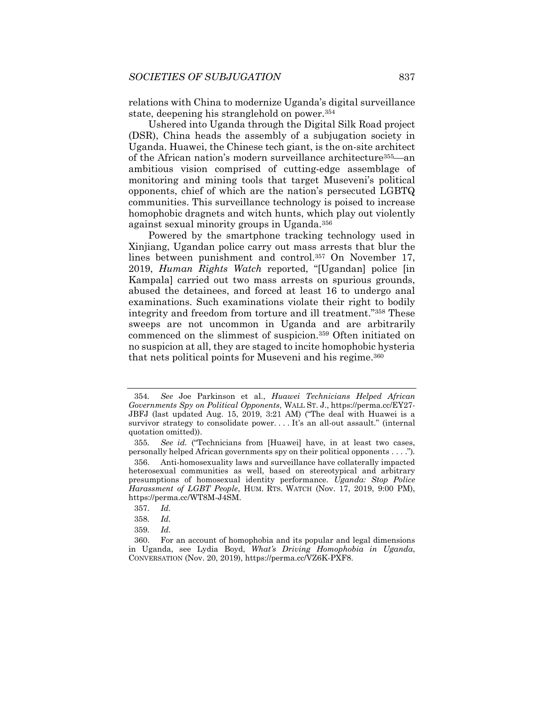relations with China to modernize Uganda's digital surveillance state, deepening his stranglehold on power.354

Ushered into Uganda through the Digital Silk Road project (DSR), China heads the assembly of a subjugation society in Uganda. Huawei, the Chinese tech giant, is the on-site architect of the African nation's modern surveillance architecture<sup>355</sup>—an ambitious vision comprised of cutting-edge assemblage of monitoring and mining tools that target Museveni's political opponents, chief of which are the nation's persecuted LGBTQ communities. This surveillance technology is poised to increase homophobic dragnets and witch hunts, which play out violently against sexual minority groups in Uganda.356

Powered by the smartphone tracking technology used in Xinjiang, Ugandan police carry out mass arrests that blur the lines between punishment and control.357 On November 17, 2019, *Human Rights Watch* reported, "[Ugandan] police [in Kampala] carried out two mass arrests on spurious grounds, abused the detainees, and forced at least 16 to undergo anal examinations. Such examinations violate their right to bodily integrity and freedom from torture and ill treatment."358 These sweeps are not uncommon in Uganda and are arbitrarily commenced on the slimmest of suspicion.359 Often initiated on no suspicion at all, they are staged to incite homophobic hysteria that nets political points for Museveni and his regime.<sup>360</sup>

<sup>354</sup>*. See* Joe Parkinson et al., *Huawei Technicians Helped African Governments Spy on Political Opponents*, WALL ST. J., https://perma.cc/EY27- JBFJ (last updated Aug. 15, 2019, 3:21 AM) ("The deal with Huawei is a survivor strategy to consolidate power. . . . It's an all-out assault." (internal quotation omitted)).

<sup>355</sup>*. See id.* ("Technicians from [Huawei] have, in at least two cases, personally helped African governments spy on their political opponents . . . .")*.*

 <sup>356.</sup> Anti-homosexuality laws and surveillance have collaterally impacted heterosexual communities as well, based on stereotypical and arbitrary presumptions of homosexual identity performance. *Uganda: Stop Police Harassment of LGBT People*, HUM. RTS. WATCH (Nov. 17, 2019, 9:00 PM), https://perma.cc/WT8M-J4SM.

<sup>357</sup>*. Id.*

<sup>358</sup>*. Id.*

<sup>359</sup>*. Id.* 

 <sup>360.</sup> For an account of homophobia and its popular and legal dimensions in Uganda, see Lydia Boyd, *What's Driving Homophobia in Uganda*, CONVERSATION (Nov. 20, 2019), https://perma.cc/VZ6K-PXF8.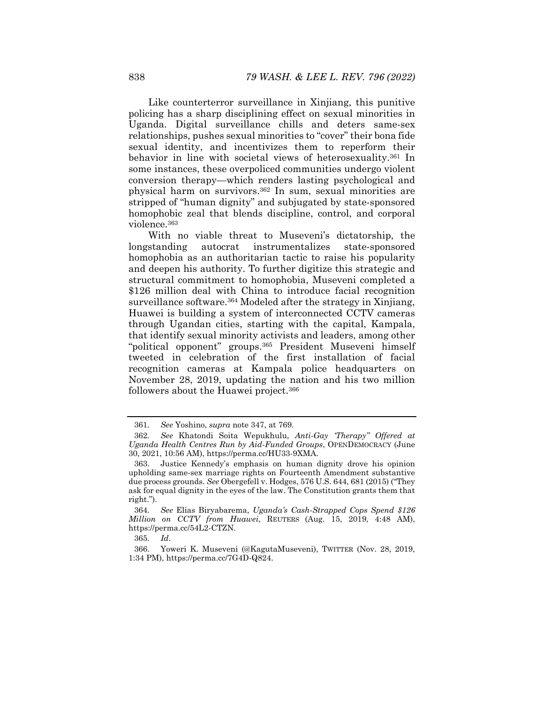Like counterterror surveillance in Xinjiang, this punitive policing has a sharp disciplining effect on sexual minorities in Uganda. Digital surveillance chills and deters same-sex relationships, pushes sexual minorities to "cover" their bona fide sexual identity, and incentivizes them to reperform their behavior in line with societal views of heterosexuality.361 In some instances, these overpoliced communities undergo violent conversion therapy—which renders lasting psychological and physical harm on survivors.362 In sum, sexual minorities are stripped of "human dignity" and subjugated by state-sponsored homophobic zeal that blends discipline, control, and corporal violence.363

With no viable threat to Museveni's dictatorship, the longstanding autocrat instrumentalizes state-sponsored homophobia as an authoritarian tactic to raise his popularity and deepen his authority. To further digitize this strategic and structural commitment to homophobia, Museveni completed a \$126 million deal with China to introduce facial recognition surveillance software.<sup>364</sup> Modeled after the strategy in Xinjiang, Huawei is building a system of interconnected CCTV cameras through Ugandan cities, starting with the capital, Kampala, that identify sexual minority activists and leaders, among other "political opponent" groups.365 President Museveni himself tweeted in celebration of the first installation of facial recognition cameras at Kampala police headquarters on November 28, 2019, updating the nation and his two million followers about the Huawei project.366

<sup>361</sup>*. See* Yoshino, *supra* note 347, at 769.

<sup>362</sup>*. See* Khatondi Soita Wepukhulu, *Anti-Gay 'Therapy" Offered at Uganda Health Centres Run by Aid-Funded Groups*, OPENDEMOCRACY (June 30, 2021, 10:56 AM), https://perma.cc/HU33-9XMA.

 <sup>363.</sup> Justice Kennedy's emphasis on human dignity drove his opinion upholding same-sex marriage rights on Fourteenth Amendment substantive due process grounds. *See* Obergefell v. Hodges, 576 U.S. 644, 681 (2015) ("They ask for equal dignity in the eyes of the law. The Constitution grants them that right.").

<sup>364</sup>*. See* Elias Biryabarema, *Uganda's Cash-Strapped Cops Spend \$126 Million on CCTV from Huawei*, REUTERS (Aug. 15, 2019, 4:48 AM), https://perma.cc/54L2-CTZN.

<sup>365</sup>*. Id*.

 <sup>366.</sup> Yoweri K. Museveni (@KagutaMuseveni), TWITTER (Nov. 28, 2019, 1:34 PM), https://perma.cc/7G4D-Q824.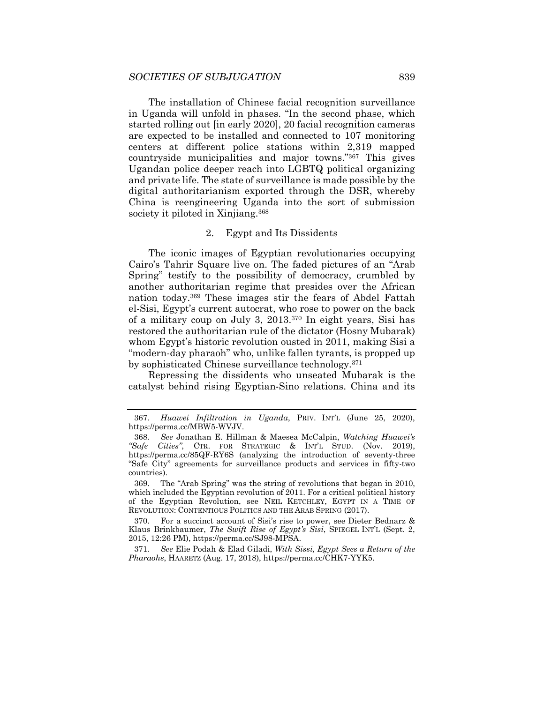The installation of Chinese facial recognition surveillance in Uganda will unfold in phases. "In the second phase, which started rolling out [in early 2020], 20 facial recognition cameras are expected to be installed and connected to 107 monitoring centers at different police stations within 2,319 mapped countryside municipalities and major towns."367 This gives Ugandan police deeper reach into LGBTQ political organizing and private life. The state of surveillance is made possible by the digital authoritarianism exported through the DSR, whereby China is reengineering Uganda into the sort of submission society it piloted in Xinjiang.<sup>368</sup>

#### 2. Egypt and Its Dissidents

The iconic images of Egyptian revolutionaries occupying Cairo's Tahrir Square live on. The faded pictures of an "Arab Spring" testify to the possibility of democracy, crumbled by another authoritarian regime that presides over the African nation today.369 These images stir the fears of Abdel Fattah el-Sisi, Egypt's current autocrat, who rose to power on the back of a military coup on July 3, 2013.370 In eight years, Sisi has restored the authoritarian rule of the dictator (Hosny Mubarak) whom Egypt's historic revolution ousted in 2011, making Sisi a "modern-day pharaoh" who, unlike fallen tyrants, is propped up by sophisticated Chinese surveillance technology.371

Repressing the dissidents who unseated Mubarak is the catalyst behind rising Egyptian-Sino relations. China and its

 369. The "Arab Spring" was the string of revolutions that began in 2010, which included the Egyptian revolution of 2011. For a critical political history of the Egyptian Revolution, see NEIL KETCHLEY, EGYPT IN A TIME OF REVOLUTION: CONTENTIOUS POLITICS AND THE ARAB SPRING (2017).

 370. For a succinct account of Sisi's rise to power, see Dieter Bednarz & Klaus Brinkbaumer, *The Swift Rise of Egypt's Sisi*, SPIEGEL INT'L (Sept. 2, 2015, 12:26 PM), https://perma.cc/SJ98-MPSA.

371*. See* Elie Podah & Elad Giladi, *With Sissi, Egypt Sees a Return of the Pharaohs*, HAARETZ (Aug. 17, 2018), https://perma.cc/CHK7-YYK5.

<sup>367</sup>*. Huawei Infiltration in Uganda*, PRIV. INT'L (June 25, 2020), https://perma.cc/MBW5-WVJV.

<sup>368</sup>*. See* Jonathan E. Hillman & Maesea McCalpin, *Watching Huawei's "Safe Cities"*, CTR. FOR STRATEGIC & INT'L STUD. (Nov. 2019), https://perma.cc/85QF-RY6S (analyzing the introduction of seventy-three "Safe City" agreements for surveillance products and services in fifty-two countries).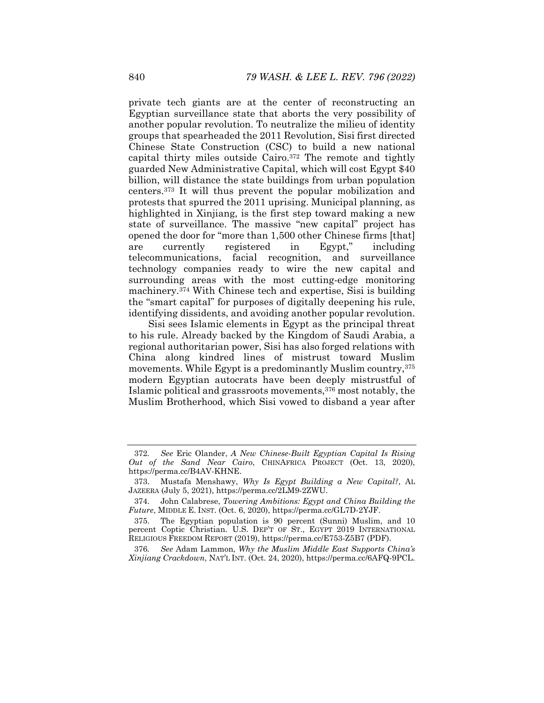private tech giants are at the center of reconstructing an Egyptian surveillance state that aborts the very possibility of another popular revolution. To neutralize the milieu of identity groups that spearheaded the 2011 Revolution, Sisi first directed Chinese State Construction (CSC) to build a new national capital thirty miles outside Cairo.372 The remote and tightly guarded New Administrative Capital, which will cost Egypt \$40 billion, will distance the state buildings from urban population centers.373 It will thus prevent the popular mobilization and protests that spurred the 2011 uprising. Municipal planning, as highlighted in Xinjiang, is the first step toward making a new state of surveillance. The massive "new capital" project has opened the door for "more than 1,500 other Chinese firms [that] are currently registered in Egypt," including telecommunications, facial recognition, and surveillance technology companies ready to wire the new capital and surrounding areas with the most cutting-edge monitoring machinery.374 With Chinese tech and expertise, Sisi is building the "smart capital" for purposes of digitally deepening his rule, identifying dissidents, and avoiding another popular revolution.

Sisi sees Islamic elements in Egypt as the principal threat to his rule. Already backed by the Kingdom of Saudi Arabia, a regional authoritarian power, Sisi has also forged relations with China along kindred lines of mistrust toward Muslim movements. While Egypt is a predominantly Muslim country, 375 modern Egyptian autocrats have been deeply mistrustful of Islamic political and grassroots movements,  $376$  most notably, the Muslim Brotherhood, which Sisi vowed to disband a year after

376*. See* Adam Lammon, *Why the Muslim Middle East Supports China's Xinjiang Crackdown*, NAT'L INT. (Oct. 24, 2020), https://perma.cc/6AFQ-9PCL.

<sup>372</sup>*. See* Eric Olander, *A New Chinese-Built Egyptian Capital Is Rising Out of the Sand Near Cairo*, CHINAFRICA PROJECT (Oct. 13, 2020), https://perma.cc/B4AV-KHNE.

 <sup>373.</sup> Mustafa Menshawy, *Why Is Egypt Building a New Capital?*, AL JAZEERA (July 5, 2021), https://perma.cc/2LM9-2ZWU.

 <sup>374.</sup> John Calabrese, *Towering Ambitions: Egypt and China Building the Future*, MIDDLE E. INST. (Oct. 6, 2020), https://perma.cc/GL7D-2YJF.

 <sup>375.</sup> The Egyptian population is 90 percent (Sunni) Muslim, and 10 percent Coptic Christian. U.S. DEP'T OF ST., EGYPT 2019 INTERNATIONAL RELIGIOUS FREEDOM REPORT (2019), https://perma.cc/E753-Z5B7 (PDF).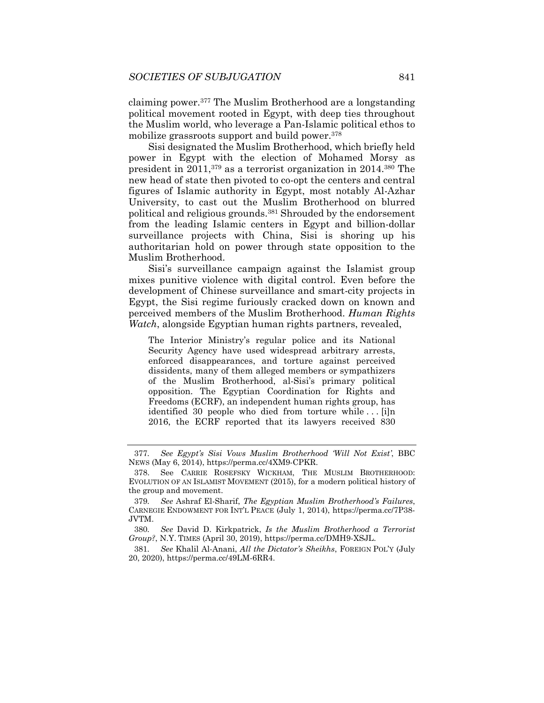claiming power.377 The Muslim Brotherhood are a longstanding political movement rooted in Egypt, with deep ties throughout the Muslim world, who leverage a Pan-Islamic political ethos to mobilize grassroots support and build power.378

Sisi designated the Muslim Brotherhood, which briefly held power in Egypt with the election of Mohamed Morsy as president in 2011,379 as a terrorist organization in 2014.380 The new head of state then pivoted to co-opt the centers and central figures of Islamic authority in Egypt, most notably Al-Azhar University, to cast out the Muslim Brotherhood on blurred political and religious grounds.<sup>381</sup> Shrouded by the endorsement from the leading Islamic centers in Egypt and billion-dollar surveillance projects with China, Sisi is shoring up his authoritarian hold on power through state opposition to the Muslim Brotherhood.

Sisi's surveillance campaign against the Islamist group mixes punitive violence with digital control. Even before the development of Chinese surveillance and smart-city projects in Egypt, the Sisi regime furiously cracked down on known and perceived members of the Muslim Brotherhood. *Human Rights Watch*, alongside Egyptian human rights partners, revealed,

The Interior Ministry's regular police and its National Security Agency have used widespread arbitrary arrests, enforced disappearances, and torture against perceived dissidents, many of them alleged members or sympathizers of the Muslim Brotherhood, al-Sisi's primary political opposition. The Egyptian Coordination for Rights and Freedoms (ECRF), an independent human rights group, has identified 30 people who died from torture while . . . [i]n 2016, the ECRF reported that its lawyers received 830

<sup>377</sup>*. See Egypt's Sisi Vows Muslim Brotherhood 'Will Not Exist'*, BBC NEWS (May 6, 2014), https://perma.cc/4XM9-CPKR.

 <sup>378.</sup> See CARRIE ROSEFSKY WICKHAM, THE MUSLIM BROTHERHOOD: EVOLUTION OF AN ISLAMIST MOVEMENT (2015), for a modern political history of the group and movement.

<sup>379</sup>*. See* Ashraf El-Sharif, *The Egyptian Muslim Brotherhood's Failures*, CARNEGIE ENDOWMENT FOR INT'L PEACE (July 1, 2014), https://perma.cc/7P38- JVTM.

<sup>380</sup>*. See* David D. Kirkpatrick, *Is the Muslim Brotherhood a Terrorist Group?*, N.Y. TIMES (April 30, 2019), https://perma.cc/DMH9-XSJL.

<sup>381</sup>*. See* Khalil Al-Anani, *All the Dictator's Sheikhs*, FOREIGN POL'Y (July 20, 2020), https://perma.cc/49LM-6RR4.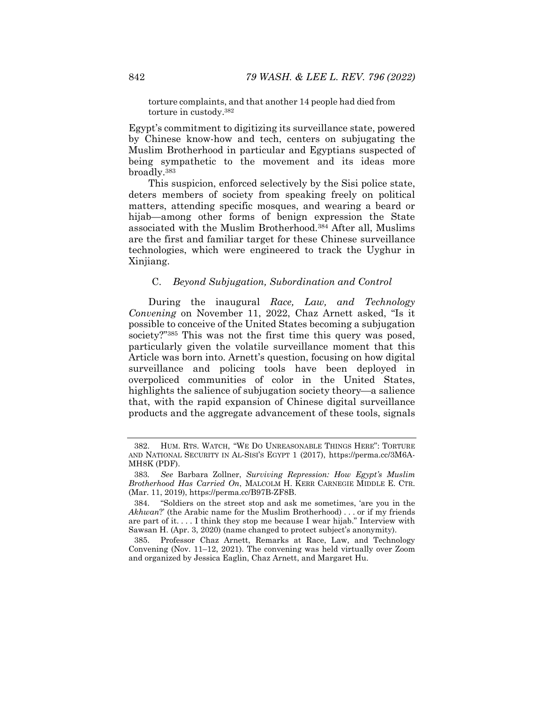torture complaints, and that another 14 people had died from torture in custody.382

Egypt's commitment to digitizing its surveillance state, powered by Chinese know-how and tech, centers on subjugating the Muslim Brotherhood in particular and Egyptians suspected of being sympathetic to the movement and its ideas more broadly.383

This suspicion, enforced selectively by the Sisi police state, deters members of society from speaking freely on political matters, attending specific mosques, and wearing a beard or hijab—among other forms of benign expression the State associated with the Muslim Brotherhood.384 After all, Muslims are the first and familiar target for these Chinese surveillance technologies, which were engineered to track the Uyghur in Xinjiang.

## C. *Beyond Subjugation, Subordination and Control*

During the inaugural *Race, Law, and Technology Convening* on November 11, 2022, Chaz Arnett asked, "Is it possible to conceive of the United States becoming a subjugation society?"385 This was not the first time this query was posed, particularly given the volatile surveillance moment that this Article was born into. Arnett's question, focusing on how digital surveillance and policing tools have been deployed in overpoliced communities of color in the United States, highlights the salience of subjugation society theory—a salience that, with the rapid expansion of Chinese digital surveillance products and the aggregate advancement of these tools, signals

 <sup>382.</sup> HUM. RTS. WATCH, "WE DO UNREASONABLE THINGS HERE": TORTURE AND NATIONAL SECURITY IN AL-SISI'S EGYPT 1 (2017), https://perma.cc/3M6A-MH8K (PDF).

<sup>383</sup>*. See* Barbara Zollner, *Surviving Repression: How Egypt's Muslim Brotherhood Has Carried On*, MALCOLM H. KERR CARNEGIE MIDDLE E. CTR. (Mar. 11, 2019), https://perma.cc/B97B-ZF8B.

 <sup>384. &</sup>quot;Soldiers on the street stop and ask me sometimes, 'are you in the *Akhwan*?' (the Arabic name for the Muslim Brotherhood) . . . or if my friends are part of it. . . . I think they stop me because I wear hijab." Interview with Sawsan H. (Apr. 3, 2020) (name changed to protect subject's anonymity).

 <sup>385.</sup> Professor Chaz Arnett, Remarks at Race, Law, and Technology Convening (Nov. 11–12, 2021). The convening was held virtually over Zoom and organized by Jessica Eaglin, Chaz Arnett, and Margaret Hu.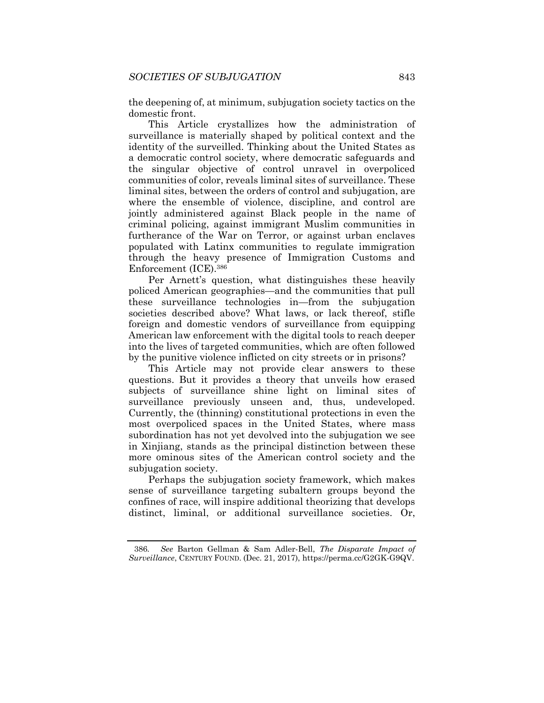the deepening of, at minimum, subjugation society tactics on the domestic front.

This Article crystallizes how the administration of surveillance is materially shaped by political context and the identity of the surveilled. Thinking about the United States as a democratic control society, where democratic safeguards and the singular objective of control unravel in overpoliced communities of color, reveals liminal sites of surveillance. These liminal sites, between the orders of control and subjugation, are where the ensemble of violence, discipline, and control are jointly administered against Black people in the name of criminal policing, against immigrant Muslim communities in furtherance of the War on Terror, or against urban enclaves populated with Latinx communities to regulate immigration through the heavy presence of Immigration Customs and Enforcement (ICE).386

Per Arnett's question, what distinguishes these heavily policed American geographies—and the communities that pull these surveillance technologies in—from the subjugation societies described above? What laws, or lack thereof, stifle foreign and domestic vendors of surveillance from equipping American law enforcement with the digital tools to reach deeper into the lives of targeted communities, which are often followed by the punitive violence inflicted on city streets or in prisons?

This Article may not provide clear answers to these questions. But it provides a theory that unveils how erased subjects of surveillance shine light on liminal sites of surveillance previously unseen and, thus, undeveloped. Currently, the (thinning) constitutional protections in even the most overpoliced spaces in the United States, where mass subordination has not yet devolved into the subjugation we see in Xinjiang, stands as the principal distinction between these more ominous sites of the American control society and the subjugation society.

Perhaps the subjugation society framework, which makes sense of surveillance targeting subaltern groups beyond the confines of race, will inspire additional theorizing that develops distinct, liminal, or additional surveillance societies. Or,

<sup>386</sup>*. See* Barton Gellman & Sam Adler-Bell, *The Disparate Impact of Surveillance*, CENTURY FOUND. (Dec. 21, 2017), https://perma.cc/G2GK-G9QV.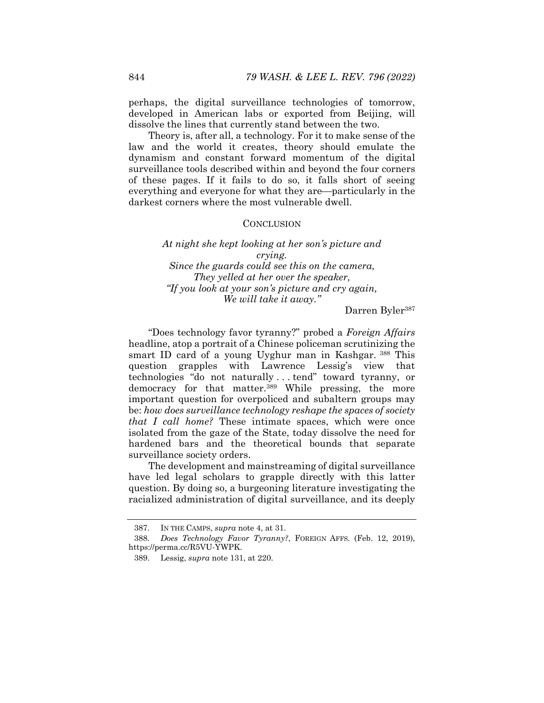perhaps, the digital surveillance technologies of tomorrow, developed in American labs or exported from Beijing, will dissolve the lines that currently stand between the two.

Theory is, after all, a technology. For it to make sense of the law and the world it creates, theory should emulate the dynamism and constant forward momentum of the digital surveillance tools described within and beyond the four corners of these pages. If it fails to do so, it falls short of seeing everything and everyone for what they are—particularly in the darkest corners where the most vulnerable dwell.

## **CONCLUSION**

*At night she kept looking at her son's picture and crying. Since the guards could see this on the camera, They yelled at her over the speaker, "If you look at your son's picture and cry again, We will take it away."* 

Darren Byler<sup>387</sup>

"Does technology favor tyranny?" probed a *Foreign Affairs* headline, atop a portrait of a Chinese policeman scrutinizing the smart ID card of a young Uyghur man in Kashgar. 388 This question grapples with Lawrence Lessig's view that technologies "do not naturally . . . tend" toward tyranny, or democracy for that matter.389 While pressing, the more important question for overpoliced and subaltern groups may be: *how does surveillance technology reshape the spaces of society that I call home?* These intimate spaces, which were once isolated from the gaze of the State, today dissolve the need for hardened bars and the theoretical bounds that separate surveillance society orders.

The development and mainstreaming of digital surveillance have led legal scholars to grapple directly with this latter question. By doing so, a burgeoning literature investigating the racialized administration of digital surveillance, and its deeply

 <sup>387.</sup> IN THE CAMPS, *supra* note 4, at 31.

<sup>388</sup>*. Does Technology Favor Tyranny?*, FOREIGN AFFS. (Feb. 12, 2019), https://perma.cc/R5VU-YWPK.

 <sup>389.</sup> Lessig, *supra* note 131, at 220.